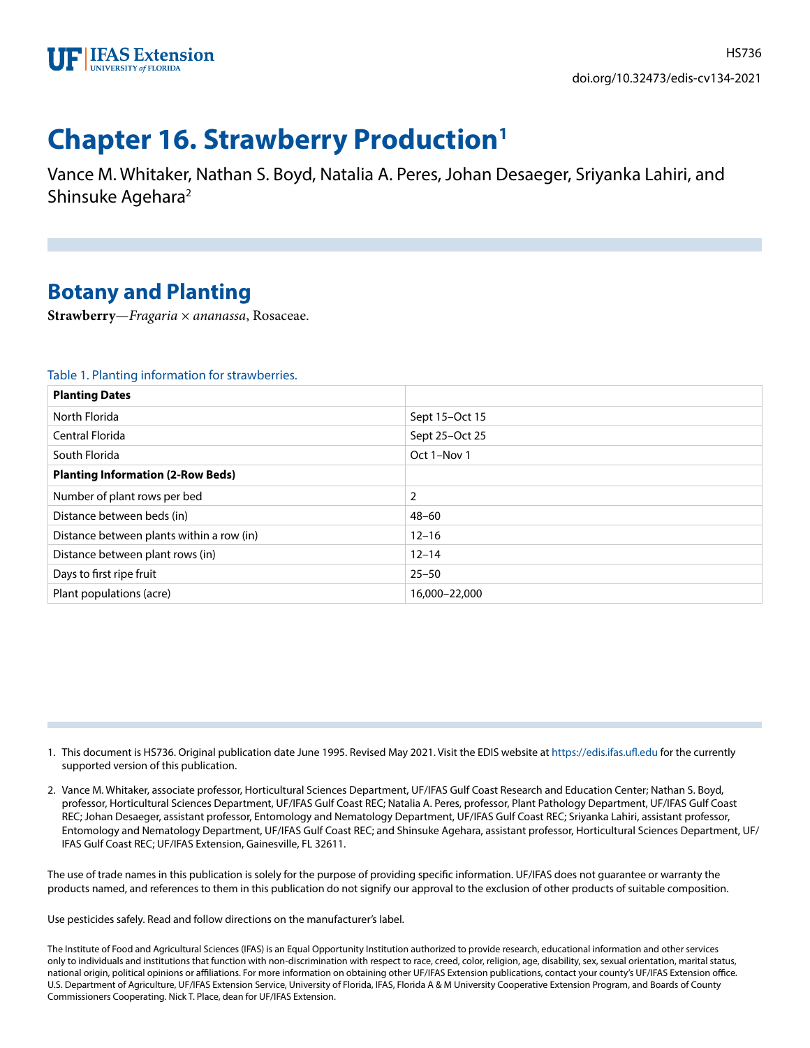

# **Chapter 16. Strawberry Production1**

Vance M. Whitaker, Nathan S. Boyd, Natalia A. Peres, Johan Desaeger, Sriyanka Lahiri, and Shinsuke Agehara<sup>2</sup>

# **Botany and Planting**

**Strawberry**—*Fragaria × ananassa*, Rosaceae.

### Table 1. Planting information for strawberries.

| <b>Planting Dates</b>                     |                |
|-------------------------------------------|----------------|
| North Florida                             | Sept 15-Oct 15 |
| Central Florida                           | Sept 25-Oct 25 |
| South Florida                             | Oct 1-Nov 1    |
| <b>Planting Information (2-Row Beds)</b>  |                |
| Number of plant rows per bed              | 2              |
| Distance between beds (in)                | $48 - 60$      |
| Distance between plants within a row (in) | $12 - 16$      |
| Distance between plant rows (in)          | $12 - 14$      |
| Days to first ripe fruit                  | $25 - 50$      |
| Plant populations (acre)                  | 16,000-22,000  |

- 1. This document is HS736. Original publication date June 1995. Revised May 2021. Visit the EDIS website at<https://edis.ifas.ufl.edu> for the currently supported version of this publication.
- 2. Vance M. Whitaker, associate professor, Horticultural Sciences Department, UF/IFAS Gulf Coast Research and Education Center; Nathan S. Boyd, professor, Horticultural Sciences Department, UF/IFAS Gulf Coast REC; Natalia A. Peres, professor, Plant Pathology Department, UF/IFAS Gulf Coast REC; Johan Desaeger, assistant professor, Entomology and Nematology Department, UF/IFAS Gulf Coast REC; Sriyanka Lahiri, assistant professor, Entomology and Nematology Department, UF/IFAS Gulf Coast REC; and Shinsuke Agehara, assistant professor, Horticultural Sciences Department, UF/ IFAS Gulf Coast REC; UF/IFAS Extension, Gainesville, FL 32611.

The use of trade names in this publication is solely for the purpose of providing specific information. UF/IFAS does not guarantee or warranty the products named, and references to them in this publication do not signify our approval to the exclusion of other products of suitable composition.

Use pesticides safely. Read and follow directions on the manufacturer's label.

The Institute of Food and Agricultural Sciences (IFAS) is an Equal Opportunity Institution authorized to provide research, educational information and other services only to individuals and institutions that function with non-discrimination with respect to race, creed, color, religion, age, disability, sex, sexual orientation, marital status, national origin, political opinions or affiliations. For more information on obtaining other UF/IFAS Extension publications, contact your county's UF/IFAS Extension office. U.S. Department of Agriculture, UF/IFAS Extension Service, University of Florida, IFAS, Florida A & M University Cooperative Extension Program, and Boards of County Commissioners Cooperating. Nick T. Place, dean for UF/IFAS Extension.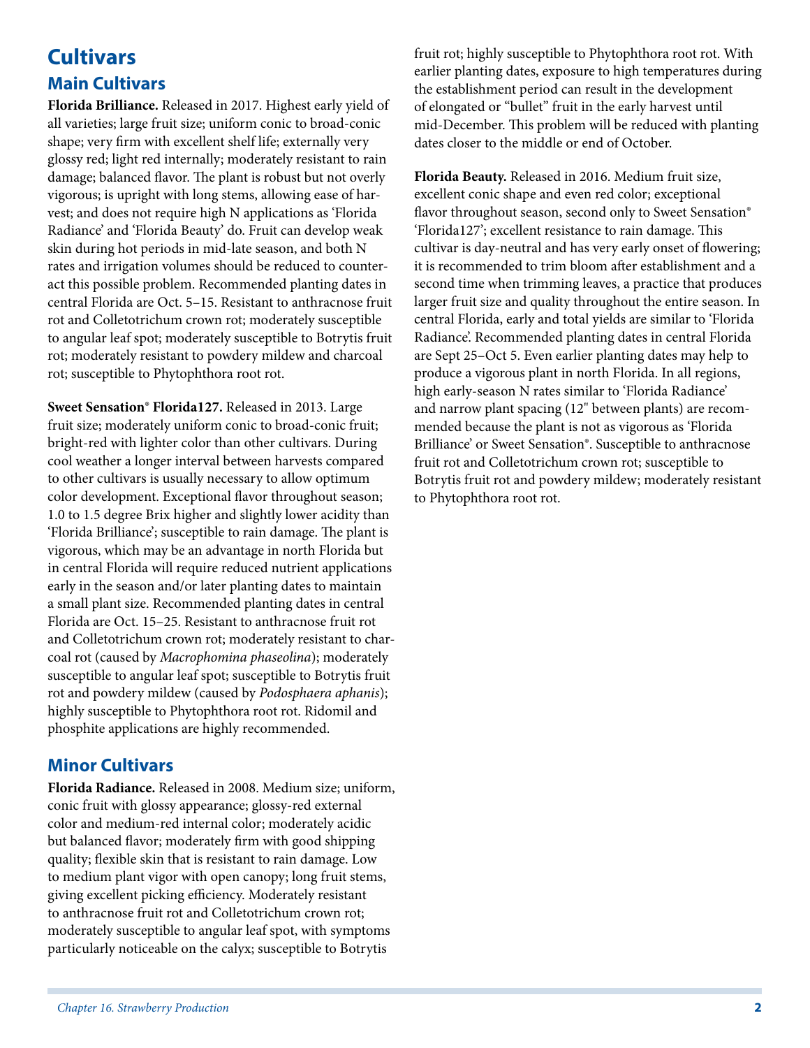# **Cultivars Main Cultivars**

**Florida Brilliance.** Released in 2017. Highest early yield of all varieties; large fruit size; uniform conic to broad-conic shape; very firm with excellent shelf life; externally very glossy red; light red internally; moderately resistant to rain damage; balanced flavor. The plant is robust but not overly vigorous; is upright with long stems, allowing ease of harvest; and does not require high N applications as 'Florida Radiance' and 'Florida Beauty' do. Fruit can develop weak skin during hot periods in mid-late season, and both N rates and irrigation volumes should be reduced to counteract this possible problem. Recommended planting dates in central Florida are Oct. 5–15. Resistant to anthracnose fruit rot and Colletotrichum crown rot; moderately susceptible to angular leaf spot; moderately susceptible to Botrytis fruit rot; moderately resistant to powdery mildew and charcoal rot; susceptible to Phytophthora root rot.

**Sweet Sensation® Florida127.** Released in 2013. Large fruit size; moderately uniform conic to broad-conic fruit; bright-red with lighter color than other cultivars. During cool weather a longer interval between harvests compared to other cultivars is usually necessary to allow optimum color development. Exceptional flavor throughout season; 1.0 to 1.5 degree Brix higher and slightly lower acidity than 'Florida Brilliance'; susceptible to rain damage. The plant is vigorous, which may be an advantage in north Florida but in central Florida will require reduced nutrient applications early in the season and/or later planting dates to maintain a small plant size. Recommended planting dates in central Florida are Oct. 15–25. Resistant to anthracnose fruit rot and Colletotrichum crown rot; moderately resistant to charcoal rot (caused by *Macrophomina phaseolina*); moderately susceptible to angular leaf spot; susceptible to Botrytis fruit rot and powdery mildew (caused by *Podosphaera aphanis*); highly susceptible to Phytophthora root rot. Ridomil and phosphite applications are highly recommended.

### **Minor Cultivars**

**Florida Radiance.** Released in 2008. Medium size; uniform, conic fruit with glossy appearance; glossy-red external color and medium-red internal color; moderately acidic but balanced flavor; moderately firm with good shipping quality; flexible skin that is resistant to rain damage. Low to medium plant vigor with open canopy; long fruit stems, giving excellent picking efficiency. Moderately resistant to anthracnose fruit rot and Colletotrichum crown rot; moderately susceptible to angular leaf spot, with symptoms particularly noticeable on the calyx; susceptible to Botrytis

fruit rot; highly susceptible to Phytophthora root rot. With earlier planting dates, exposure to high temperatures during the establishment period can result in the development of elongated or "bullet" fruit in the early harvest until mid-December. This problem will be reduced with planting dates closer to the middle or end of October.

**Florida Beauty.** Released in 2016. Medium fruit size, excellent conic shape and even red color; exceptional flavor throughout season, second only to Sweet Sensation® 'Florida127'; excellent resistance to rain damage. This cultivar is day-neutral and has very early onset of flowering; it is recommended to trim bloom after establishment and a second time when trimming leaves, a practice that produces larger fruit size and quality throughout the entire season. In central Florida, early and total yields are similar to 'Florida Radiance'. Recommended planting dates in central Florida are Sept 25–Oct 5. Even earlier planting dates may help to produce a vigorous plant in north Florida. In all regions, high early-season N rates similar to 'Florida Radiance' and narrow plant spacing (12" between plants) are recommended because the plant is not as vigorous as 'Florida Brilliance' or Sweet Sensation®. Susceptible to anthracnose fruit rot and Colletotrichum crown rot; susceptible to Botrytis fruit rot and powdery mildew; moderately resistant to Phytophthora root rot.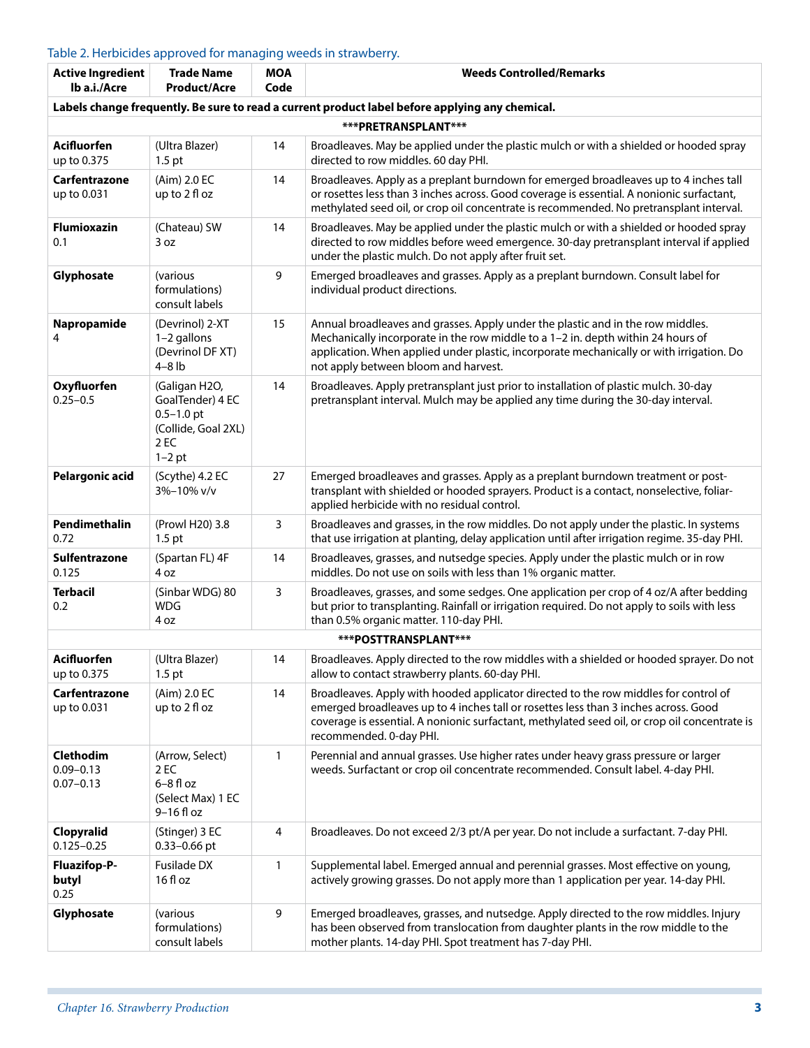### Table 2. Herbicides approved for managing weeds in strawberry.

| <b>Active Ingredient</b><br>lb a.i./Acre           | <b>Trade Name</b><br><b>Product/Acre</b>                                                       | <b>MOA</b><br>Code | <b>Weeds Controlled/Remarks</b>                                                                                                                                                                                                                                                                         |
|----------------------------------------------------|------------------------------------------------------------------------------------------------|--------------------|---------------------------------------------------------------------------------------------------------------------------------------------------------------------------------------------------------------------------------------------------------------------------------------------------------|
|                                                    |                                                                                                |                    | Labels change frequently. Be sure to read a current product label before applying any chemical.                                                                                                                                                                                                         |
|                                                    |                                                                                                |                    | ***PRETRANSPLANT***                                                                                                                                                                                                                                                                                     |
| <b>Acifluorfen</b><br>up to 0.375                  | (Ultra Blazer)<br>$1.5$ pt                                                                     | 14                 | Broadleaves. May be applied under the plastic mulch or with a shielded or hooded spray<br>directed to row middles. 60 day PHI.                                                                                                                                                                          |
| Carfentrazone<br>up to 0.031                       | (Aim) 2.0 EC<br>up to 2 fl oz                                                                  | 14                 | Broadleaves. Apply as a preplant burndown for emerged broadleaves up to 4 inches tall<br>or rosettes less than 3 inches across. Good coverage is essential. A nonionic surfactant,<br>methylated seed oil, or crop oil concentrate is recommended. No pretransplant interval.                           |
| <b>Flumioxazin</b><br>0.1                          | (Chateau) SW<br>3 oz                                                                           | 14                 | Broadleaves. May be applied under the plastic mulch or with a shielded or hooded spray<br>directed to row middles before weed emergence. 30-day pretransplant interval if applied<br>under the plastic mulch. Do not apply after fruit set.                                                             |
| Glyphosate                                         | (various<br>formulations)<br>consult labels                                                    | 9                  | Emerged broadleaves and grasses. Apply as a preplant burndown. Consult label for<br>individual product directions.                                                                                                                                                                                      |
| Napropamide<br>4                                   | (Devrinol) 2-XT<br>1-2 gallons<br>(Devrinol DF XT)<br>$4 - 8$ lb                               | 15                 | Annual broadleaves and grasses. Apply under the plastic and in the row middles.<br>Mechanically incorporate in the row middle to a 1-2 in. depth within 24 hours of<br>application. When applied under plastic, incorporate mechanically or with irrigation. Do<br>not apply between bloom and harvest. |
| Oxyfluorfen<br>$0.25 - 0.5$                        | (Galigan H2O,<br>GoalTender) 4 EC<br>$0.5 - 1.0$ pt<br>(Collide, Goal 2XL)<br>2 EC<br>$1-2$ pt | 14                 | Broadleaves. Apply pretransplant just prior to installation of plastic mulch. 30-day<br>pretransplant interval. Mulch may be applied any time during the 30-day interval.                                                                                                                               |
| Pelargonic acid                                    | (Scythe) 4.2 EC<br>3%-10% v/v                                                                  | 27                 | Emerged broadleaves and grasses. Apply as a preplant burndown treatment or post-<br>transplant with shielded or hooded sprayers. Product is a contact, nonselective, foliar-<br>applied herbicide with no residual control.                                                                             |
| Pendimethalin<br>0.72                              | (Prowl H20) 3.8<br>$1.5$ pt                                                                    | 3                  | Broadleaves and grasses, in the row middles. Do not apply under the plastic. In systems<br>that use irrigation at planting, delay application until after irrigation regime. 35-day PHI.                                                                                                                |
| Sulfentrazone<br>0.125                             | (Spartan FL) 4F<br>4 oz                                                                        | 14                 | Broadleaves, grasses, and nutsedge species. Apply under the plastic mulch or in row<br>middles. Do not use on soils with less than 1% organic matter.                                                                                                                                                   |
| <b>Terbacil</b><br>0.2                             | (Sinbar WDG) 80<br><b>WDG</b><br>4 oz                                                          | $\mathsf{3}$       | Broadleaves, grasses, and some sedges. One application per crop of 4 oz/A after bedding<br>but prior to transplanting. Rainfall or irrigation required. Do not apply to soils with less<br>than 0.5% organic matter. 110-day PHI.                                                                       |
|                                                    |                                                                                                |                    | ***POSTTRANSPLANT***                                                                                                                                                                                                                                                                                    |
| <b>Acifluorfen</b><br>up to 0.375                  | (Ultra Blazer)<br>$1.5$ pt                                                                     | 14                 | Broadleaves. Apply directed to the row middles with a shielded or hooded sprayer. Do not<br>allow to contact strawberry plants. 60-day PHI.                                                                                                                                                             |
| Carfentrazone<br>up to 0.031                       | (Aim) 2.0 EC<br>up to 2 fl oz                                                                  | 14                 | Broadleaves. Apply with hooded applicator directed to the row middles for control of<br>emerged broadleaves up to 4 inches tall or rosettes less than 3 inches across. Good<br>coverage is essential. A nonionic surfactant, methylated seed oil, or crop oil concentrate is<br>recommended. 0-day PHI. |
| <b>Clethodim</b><br>$0.09 - 0.13$<br>$0.07 - 0.13$ | (Arrow, Select)<br>2 EC<br>$6-8$ fl oz<br>(Select Max) 1 EC<br>$9-16$ fl oz                    | 1                  | Perennial and annual grasses. Use higher rates under heavy grass pressure or larger<br>weeds. Surfactant or crop oil concentrate recommended. Consult label. 4-day PHI.                                                                                                                                 |
| Clopyralid<br>$0.125 - 0.25$                       | (Stinger) 3 EC<br>0.33-0.66 pt                                                                 | 4                  | Broadleaves. Do not exceed 2/3 pt/A per year. Do not include a surfactant. 7-day PHI.                                                                                                                                                                                                                   |
| <b>Fluazifop-P-</b><br>butyl<br>0.25               | Fusilade DX<br>16 fl oz                                                                        | 1                  | Supplemental label. Emerged annual and perennial grasses. Most effective on young,<br>actively growing grasses. Do not apply more than 1 application per year. 14-day PHI.                                                                                                                              |
| Glyphosate                                         | (various<br>formulations)<br>consult labels                                                    | 9                  | Emerged broadleaves, grasses, and nutsedge. Apply directed to the row middles. Injury<br>has been observed from translocation from daughter plants in the row middle to the<br>mother plants. 14-day PHI. Spot treatment has 7-day PHI.                                                                 |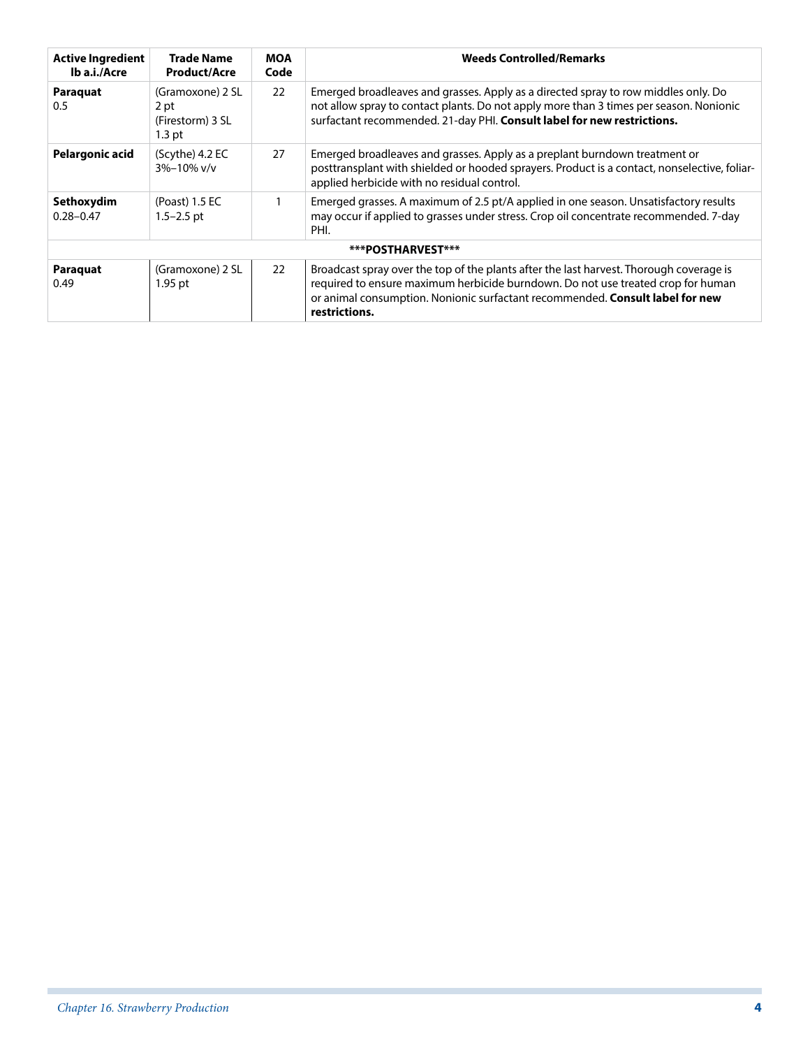| <b>Active Ingredient</b><br>Ib a.i./Acre | <b>Trade Name</b><br><b>Product/Acre</b>                 | <b>MOA</b><br>Code | <b>Weeds Controlled/Remarks</b>                                                                                                                                                                                                                                               |
|------------------------------------------|----------------------------------------------------------|--------------------|-------------------------------------------------------------------------------------------------------------------------------------------------------------------------------------------------------------------------------------------------------------------------------|
| Paraquat<br>0.5                          | (Gramoxone) 2 SL<br>2 pt<br>(Firestorm) 3 SL<br>$1.3$ pt | 22                 | Emerged broadleaves and grasses. Apply as a directed spray to row middles only. Do<br>not allow spray to contact plants. Do not apply more than 3 times per season. Nonionic<br>surfactant recommended. 21-day PHI. Consult label for new restrictions.                       |
| <b>Pelargonic acid</b>                   | (Scythe) 4.2 EC<br>$3\% - 10\%$ v/v                      | 27                 | Emerged broadleaves and grasses. Apply as a preplant burndown treatment or<br>posttransplant with shielded or hooded sprayers. Product is a contact, nonselective, foliar-<br>applied herbicide with no residual control.                                                     |
| Sethoxydim<br>$0.28 - 0.47$              | (Poast) 1.5 EC<br>1.5–2.5 pt                             |                    | Emerged grasses. A maximum of 2.5 pt/A applied in one season. Unsatisfactory results<br>may occur if applied to grasses under stress. Crop oil concentrate recommended. 7-day<br>PHI.                                                                                         |
|                                          |                                                          |                    | ***POSTHARVEST***                                                                                                                                                                                                                                                             |
| Paraquat<br>0.49                         | (Gramoxone) 2 SL<br>1.95 pt                              | 22                 | Broadcast spray over the top of the plants after the last harvest. Thorough coverage is<br>required to ensure maximum herbicide burndown. Do not use treated crop for human<br>or animal consumption. Nonionic surfactant recommended. Consult label for new<br>restrictions. |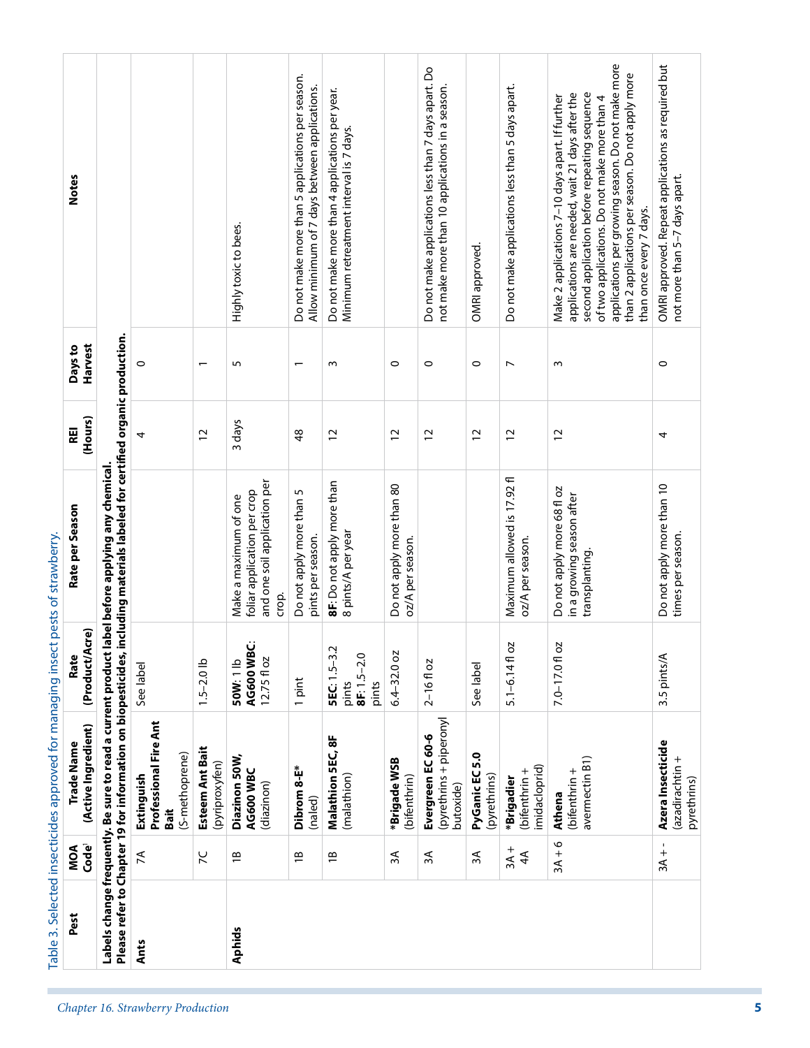| Pest                              |                                                                                                                                                                  | <b>Ants</b>                                                   |                                   | <b>Aphids</b>                                                                                 |                                                                                                   |                                                                                           |                                               |                                                                                                        |                                |                                                  |                                                                                                                                                                                                                                                                                                                                         |                                                                                     |
|-----------------------------------|------------------------------------------------------------------------------------------------------------------------------------------------------------------|---------------------------------------------------------------|-----------------------------------|-----------------------------------------------------------------------------------------------|---------------------------------------------------------------------------------------------------|-------------------------------------------------------------------------------------------|-----------------------------------------------|--------------------------------------------------------------------------------------------------------|--------------------------------|--------------------------------------------------|-----------------------------------------------------------------------------------------------------------------------------------------------------------------------------------------------------------------------------------------------------------------------------------------------------------------------------------------|-------------------------------------------------------------------------------------|
| Code <sup>1</sup><br>MOA          |                                                                                                                                                                  | $\lambda$                                                     | 56                                | $\frac{1}{2}$                                                                                 | $\overline{1}$                                                                                    | $\overline{1}$                                                                            | $\approx$                                     | $\approx$                                                                                              | ЗÁ                             | $3A +$<br>$\overline{4}$                         | $3A + 6$                                                                                                                                                                                                                                                                                                                                | $3A + -$                                                                            |
| (Active Ingredient)<br>Trade Name | Labels change frequently. Be sure to read a current product I                                                                                                    | Professional Fire Ant<br>(S-methoprene)<br>Extinguish<br>Bait | Esteem Ant Bait<br>(pyriproxyfen) | Diazinon 50W,<br>AG600 WBC<br>(diazinon)                                                      | Dibrom 8-E*<br>(naled)                                                                            | Malathion 5EC, 8F<br>(malathion)                                                          | *Brigade WSB<br>(bifenthrin)                  | (pyrethrins + piperonyl<br>Evergreen EC 60-6<br>butoxide)                                              | PyGanic EC 5.0<br>(pyrethrins) | imidacloprid)<br>(bifenthrin +<br>*Brigadier     | avermectin B1)<br>(bifenthrin +<br>Athena                                                                                                                                                                                                                                                                                               | Azera Insecticide<br>(azadirachtin +<br>pyrethrins)                                 |
| (Product/Acre)<br>Rate            |                                                                                                                                                                  | See label                                                     | $1.5 - 2.0$ lb                    | AG600 WBC:<br>$12.75f$ loz<br>50W: 1 lb                                                       | 1 pint                                                                                            | 5EC: 1.5-3.2<br>$8F: 1.5 - 2.0$<br>pints<br>pints                                         | $6.4 - 32.0$ oz                               | $2 - 16f$ oz                                                                                           | See label                      | $5.1 - 6.14f$ oz                                 | 7.0-17.01 oz                                                                                                                                                                                                                                                                                                                            | 3.5 pints/A                                                                         |
| Rate per Season                   | Please refer to Chapter 19 for information on biopesticides, including materials labeled for certified organic production.<br>abel before applying any chemical. |                                                               |                                   | and one soil application per<br>foliar application per crop<br>Make a maximum of one<br>crop. | Do not apply more than 5<br>pints per season.                                                     | 8F: Do not apply more than<br>8 pints/A per year                                          | Do not apply more than 80<br>oz/A per season. |                                                                                                        |                                | Maximum allowed is 17.92 fl<br>oz/A per season.  | Do not apply more 68 fl oz<br>in a growing season after<br>transplanting                                                                                                                                                                                                                                                                | Do not apply more than 10<br>times per season.                                      |
| (Hours)<br>REI                    |                                                                                                                                                                  | 4                                                             | 12                                | 3 days                                                                                        | 48                                                                                                | $\overline{c}$                                                                            | $\overline{c}$                                | $\overline{c}$                                                                                         | $\overline{c}$                 | 12                                               | $\overline{c}$                                                                                                                                                                                                                                                                                                                          | 4                                                                                   |
| Harvest<br>Days to                |                                                                                                                                                                  | 0                                                             | $\overline{\phantom{0}}$          | 5                                                                                             | $\overline{\phantom{0}}$                                                                          | $\sim$                                                                                    | $\circ$                                       | $\circ$                                                                                                | $\circ$                        | $\overline{ }$                                   | $\sim$                                                                                                                                                                                                                                                                                                                                  | $\circ$                                                                             |
| <b>Notes</b>                      |                                                                                                                                                                  |                                                               |                                   | Highly toxic to bees.                                                                         | Do not make more than 5 applications per season.<br>Allow minimum of 7 days between applications. | Do not make more than 4 applications per year.<br>Minimum retreatment interval is 7 days. |                                               | Do not make applications less than 7 days apart. Do<br>not make more than 10 applications in a season. | OMRI approved.                 | Do not make applications less than 5 days apart. | applications per growing season. Do not make more<br>than 2 applications per season. Do not apply more<br>applications are needed, wait 21 days after the<br>second application before repeating sequence<br>Make 2 applications 7-10 days apart. If further<br>of two applications. Do not make more than 4<br>than once every 7 days. | OMRI approved. Repeat applications as required but<br>not more than 5-7 days apart. |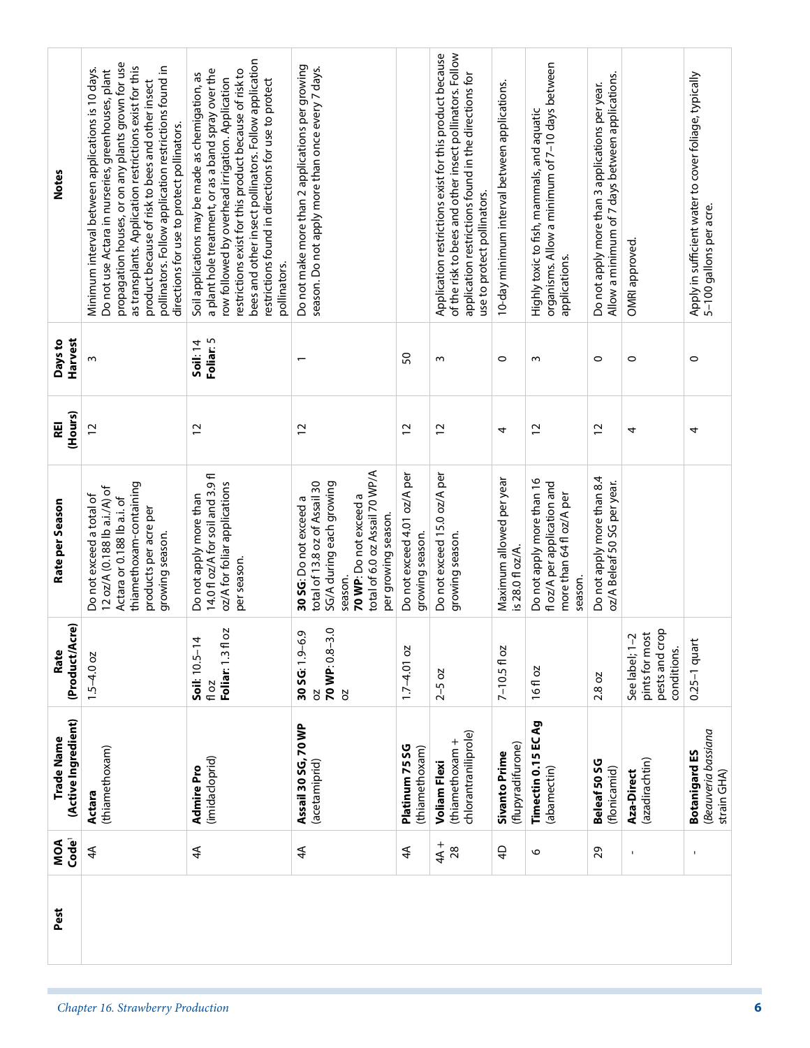| Pest | Code <sup>1</sup><br>MOA | (Active Ingredient)<br>Trade Name                              | (Product/Acre)<br>Rate                                            | Do not exceed a total of<br>Rate per Season                                                                                                                                      | (Hours)<br>廻<br>$\overline{c}$ | Harvest<br>Days to<br>S      | <b>Notes</b>                                                                                                                                                                                                                                                                                                                                                                        |  |
|------|--------------------------|----------------------------------------------------------------|-------------------------------------------------------------------|----------------------------------------------------------------------------------------------------------------------------------------------------------------------------------|--------------------------------|------------------------------|-------------------------------------------------------------------------------------------------------------------------------------------------------------------------------------------------------------------------------------------------------------------------------------------------------------------------------------------------------------------------------------|--|
|      | $4\overline{4}$          | (thiamethoxam)<br>Actara                                       | $1.5 - 4.0$ oz                                                    | thiamethoxam-containing<br>12 oz/A (0.188 lb a.i./A) of<br>Actara or 0.188 lb a.i. of<br>products per acre per<br>growing season.                                                |                                |                              | propagation houses, or on any plants grown for use<br>as transplants. Application restrictions exist for this<br>pollinators. Follow application restrictions found in<br>Minimum interval between applications is 10 days.<br>Do not use Actara in nurseries, greenhouses, plant<br>product because of risk to bees and other insect<br>directions for use to protect pollinators. |  |
|      | 4A                       | (imidacloprid)<br>Admire Pro                                   | 20<br>Soil: 10.5-14<br>Foliar: 1.3 fl<br>fl oz                    | 14.0 fl oz/A for soil and 3.9 fl<br>oz/A for foliar applications<br>Do not apply more than<br>per season.                                                                        | 12                             | Foliar: 5<br><b>Soil: 14</b> | bees and other insect pollinators. Follow application<br>a plant hole treatment, or as a band spray over the<br>restrictions exist for this product because of risk to<br>Soil applications may be made as chemigation, as<br>row followed by overhead irrigation. Application<br>restrictions found in directions for use to protect<br>pollinators.                               |  |
|      | $4\overline{4}$          | Assail 30 SG, 70 WP<br>(acetamiprid)                           | 70 WP: 0.8-3.0<br>Ō,<br>30 SG: 1.9-6<br>2O<br><b>b</b>            | total of 6.0 oz Assail 70 WP/A<br>total of 13.8 oz of Assail 30<br>SG/A during each growing<br>70 WP: Do not exceed a<br>30 SG: Do not exceed a<br>per growing season<br>season. | $\overline{c}$                 | $\overline{\phantom{0}}$     | Do not make more than 2 applications per growing<br>season. Do not apply more than once every 7 days.                                                                                                                                                                                                                                                                               |  |
|      | $\widetilde{4}$          | Platinum 75 SG<br>(thiamethoxam)                               | $1.7 - 4.01$ oz                                                   | Do not exceed 4.01 oz/A per<br>growing season.                                                                                                                                   | $\overline{c}$                 | SO                           |                                                                                                                                                                                                                                                                                                                                                                                     |  |
|      | $4A +$<br>28             | chlorantraniliprole)<br>(thiamethoxam +<br><b>Voliam Flexi</b> | $2 - 5 oz$                                                        | Do not exceed 15.0 oz/A per<br>growing season.                                                                                                                                   | $\overline{c}$                 | S                            | Application restrictions exist for this product because<br>of the risk to bees and other insect pollinators. Follow<br>application restrictions found in the directions for<br>use to protect pollinators.                                                                                                                                                                          |  |
|      | $\overline{4}$           | (flupyradifurone)<br><b>Sivanto Prime</b>                      | $7 - 10.5f$ oz                                                    | Maximum allowed per year<br>is 28.0 fl oz/A.                                                                                                                                     | 4                              | $\circ$                      | 10-day minimum interval between applications.                                                                                                                                                                                                                                                                                                                                       |  |
|      | 6                        | Timectin 0.15 EC Ag<br>(abamectin)                             | 16 fl oz                                                          | Do not apply more than 16<br>floz/A per application and<br>more than 64 fl oz/A per<br>season.                                                                                   | 12                             | ω                            | organisms. Allow a minimum of 7-10 days between<br>Highly toxic to fish, mammals, and aquatic<br>applications.                                                                                                                                                                                                                                                                      |  |
|      | 29                       | Beleaf 50 SG<br>(flonicamid)                                   | 2.8 oz                                                            | Do not apply more than 8.4<br>oz/A Beleaf 50 SG per year.                                                                                                                        | $\overline{c}$                 | $\circ$                      | Allow a minimum of 7 days between applications.<br>Do not apply more than 3 applications per year.                                                                                                                                                                                                                                                                                  |  |
|      | $\blacksquare$           | (azadirachtin)<br>Aza-Direct                                   | pests and crop<br>See label; 1-2<br>pints for most<br>conditions. |                                                                                                                                                                                  | 4                              | $\circ$                      | OMRI approved.                                                                                                                                                                                                                                                                                                                                                                      |  |
|      | $\mathbf{I}$             | Beauveria bassiana<br><b>Botanigard ES</b><br>strain GHA)      | $0.25-1$ quart                                                    |                                                                                                                                                                                  | 4                              | $\circ$                      | Apply in sufficient water to cover foliage, typically<br>5–100 gallons per acre.                                                                                                                                                                                                                                                                                                    |  |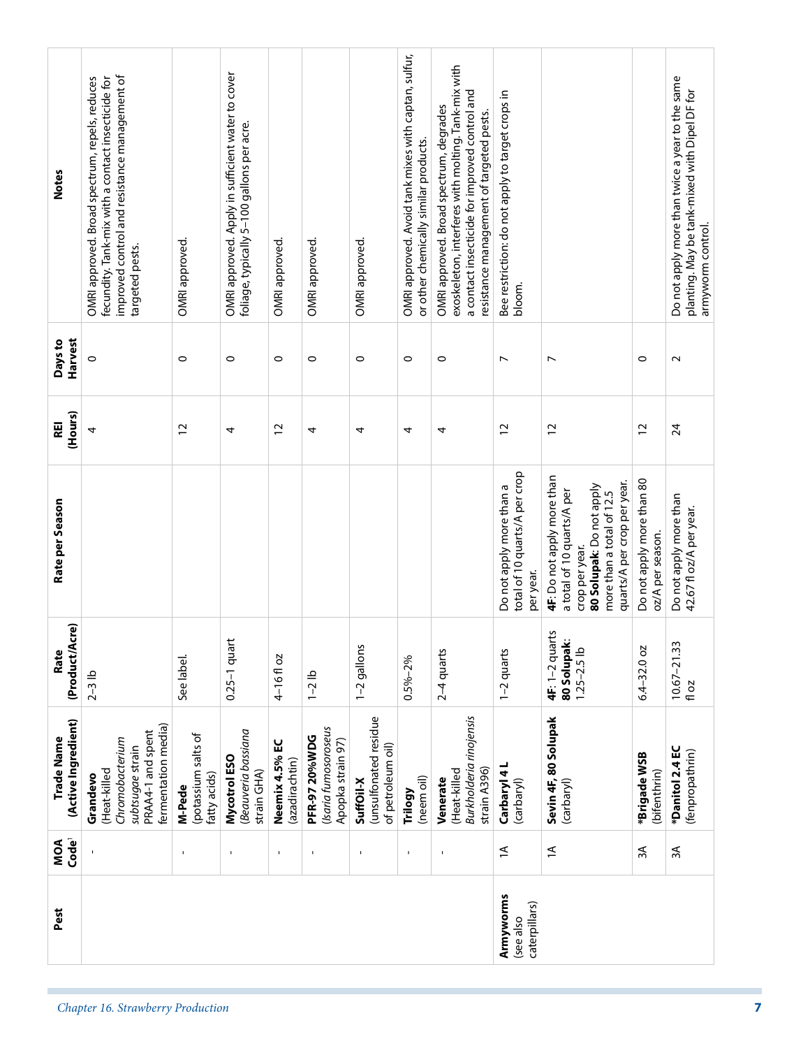| <b>Notes</b>                      | improved control and resistance management of<br>OMRI approved. Broad spectrum, repels, reduces<br>fecundity. Tank-mix with a contact insecticide for<br>targeted pests. | OMRI approved.                                | OMRI approved. Apply in sufficient water to cover<br>foliage, typically 5-100 gallons per acre. | OMRI approved.                   | OMRI approved.                                                    | OMRI approved.                                          | OMRI approved. Avoid tank mixes with captan, sulfur,<br>or other chemically similar products. | exoskeleton, interferes with molting. Tank-mix with<br>a contact insecticide for improved control and<br>OMRI approved. Broad spectrum, degrades<br>resistance management of targeted pests. | Bee restriction: do not apply to target crops in<br>bloom.             |                                                                                                                                                                    |                                               | Do not apply more than twice a year to the same<br>planting. May be tank-mixed with Dipel DF for<br>armyworm control. |
|-----------------------------------|--------------------------------------------------------------------------------------------------------------------------------------------------------------------------|-----------------------------------------------|-------------------------------------------------------------------------------------------------|----------------------------------|-------------------------------------------------------------------|---------------------------------------------------------|-----------------------------------------------------------------------------------------------|----------------------------------------------------------------------------------------------------------------------------------------------------------------------------------------------|------------------------------------------------------------------------|--------------------------------------------------------------------------------------------------------------------------------------------------------------------|-----------------------------------------------|-----------------------------------------------------------------------------------------------------------------------|
| Harvest<br>Days to                | $\circ$                                                                                                                                                                  | $\circ$                                       | 0                                                                                               | $\circ$                          | $\circ$                                                           | $\circ$                                                 | $\circ$                                                                                       | $\circ$                                                                                                                                                                                      | $\overline{ }$                                                         | $\overline{ }$                                                                                                                                                     | $\circ$                                       | $\sim$                                                                                                                |
| (Hours)<br>Æ                      | 4                                                                                                                                                                        | $\overline{c}$                                | 4                                                                                               | $\overline{c}$                   | 4                                                                 | 4                                                       | 4                                                                                             | 4                                                                                                                                                                                            | $\overline{c}$                                                         | 12                                                                                                                                                                 | $\overline{c}$                                | 24                                                                                                                    |
| Rate per Season                   |                                                                                                                                                                          |                                               |                                                                                                 |                                  |                                                                   |                                                         |                                                                                               |                                                                                                                                                                                              | total of 10 quarts/A per crop<br>Do not apply more than a<br>per year. | 4F: Do not apply more than<br>quarts/A per crop per year.<br>80 Solupak: Do not apply<br>a total of 10 quarts/A per<br>more than a total of 12.5<br>crop per year. | Do not apply more than 80<br>oz/A per season. | Do not apply more than<br>42.67 fl oz/A per year.                                                                     |
| (Product/Acre)<br>Rate            | $2-3$ lb                                                                                                                                                                 | See label                                     | $0.25 - 1$ quart                                                                                | 4-16floz                         | $1 - 2$ lb                                                        | 1-2 gallons                                             | $0.5\% - 2\%$                                                                                 | $2-4$ quarts                                                                                                                                                                                 | 1-2 quarts                                                             | 4F: 1-2 quarts<br>80 Solupak:<br>$1.25 - 2.5$ lb                                                                                                                   | $6.4 - 32.0$ oz                               | $10.67 - 21.33$<br>fl oz                                                                                              |
| (Active Ingredient)<br>Trade Name | fermentation media)<br>PRAA4-1 and spent<br>Chromobacterium<br>subtsugae strain<br>(Heat-killed<br>Grandevo                                                              | (potassium salts of<br>fatty acids)<br>M-Pede | Beauveria bassiana<br>Mycotrol ESO<br>strain GHA)                                               | Neemix 4.5% EC<br>(azadirachtin) | (Isaria fumosoroseus<br><b>PFR-97 20%WDG</b><br>Apopka strain 97) | (unsulfonated residue<br>of petroleum oil)<br>SuffOil-X | (neem oil)<br>Trilogy                                                                         | Burkholderia rinojensis<br>strain A396)<br>(Heat-killed<br>Venerate                                                                                                                          | Carbaryl 4L<br>(carbaryl)                                              | Sevin 4F, 80 Solupak<br>(carbaryl)                                                                                                                                 | *Brigade WSB<br>(bifenthrin)                  | *Danitol 2.4 EC<br>(fenpropathrin)                                                                                    |
| Code <sup>1</sup><br>MOA          | $\mathbf{I}$                                                                                                                                                             | $\overline{\phantom{a}}$                      | $\mathbf{I}$                                                                                    | $\mathbf I$                      | $\mathbf{I}$                                                      | 1                                                       | $\blacksquare$                                                                                | $\blacksquare$                                                                                                                                                                               | $\overline{1}$                                                         | $\widetilde{=}$                                                                                                                                                    | ЗÁ                                            | ЗÁ                                                                                                                    |
| Pest                              |                                                                                                                                                                          |                                               |                                                                                                 |                                  |                                                                   |                                                         |                                                                                               |                                                                                                                                                                                              | Armyworms<br>caterpillars)<br>(see also                                |                                                                                                                                                                    |                                               |                                                                                                                       |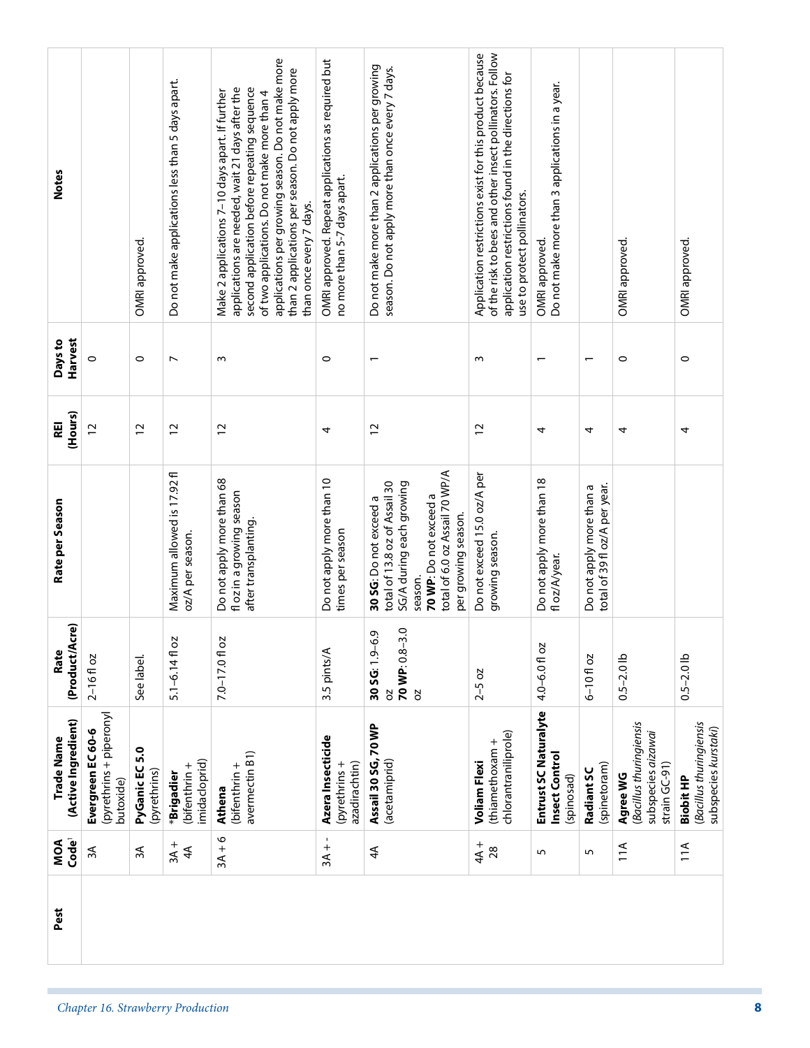| <b>Notes</b>                      |                                                           | OMRI approved.                 | Do not make applications less than 5 days apart. | applications per growing season. Do not make more<br>than 2 applications per season. Do not apply more<br>second application before repeating sequence<br>applications are needed, wait 21 days after the<br>Make 2 applications 7-10 days apart. If further<br>of two applications. Do not make more than 4<br>than once every 7 days. | OMRI approved. Repeat applications as required but<br>no more than 5-7 days apart. | Do not make more than 2 applications per growing<br>season. Do not apply more than once every 7 days.                                                                             | Application restrictions exist for this product because<br>of the risk to bees and other insect pollinators. Follow<br>application restrictions found in the directions for<br>use to protect pollinators. | Do not make more than 3 applications in a year.<br>OMRI approved. |                                                           | OMRI approved.                                                                | OMRI approved.                                                      |
|-----------------------------------|-----------------------------------------------------------|--------------------------------|--------------------------------------------------|-----------------------------------------------------------------------------------------------------------------------------------------------------------------------------------------------------------------------------------------------------------------------------------------------------------------------------------------|------------------------------------------------------------------------------------|-----------------------------------------------------------------------------------------------------------------------------------------------------------------------------------|------------------------------------------------------------------------------------------------------------------------------------------------------------------------------------------------------------|-------------------------------------------------------------------|-----------------------------------------------------------|-------------------------------------------------------------------------------|---------------------------------------------------------------------|
| Harvest<br>Days to                | $\circ$                                                   | $\circ$                        | $\overline{ }$                                   | $\sim$                                                                                                                                                                                                                                                                                                                                  | $\circ$                                                                            |                                                                                                                                                                                   | $\sim$                                                                                                                                                                                                     | $\overline{\phantom{0}}$                                          | $\overline{\phantom{0}}$                                  | $\circ$                                                                       | $\circ$                                                             |
| (Hours)<br>REI                    | 12                                                        | $\overline{c}$                 | $\overline{c}$                                   | 12                                                                                                                                                                                                                                                                                                                                      | 4                                                                                  | $\overline{c}$                                                                                                                                                                    | $\overline{c}$                                                                                                                                                                                             | 4                                                                 | 4                                                         | 4                                                                             | 4                                                                   |
| Rate per Season                   |                                                           |                                | Maximum allowed is 17.92 fl<br>oz/A per season.  | Do not apply more than 68<br>fl oz in a growing season<br>after transplanting.                                                                                                                                                                                                                                                          | Do not apply more than 10<br>times per season                                      | total of 6.0 oz Assail 70 WP/A<br>total of 13.8 oz of Assail 30<br>SG/A during each growing<br>70 WP: Do not exceed a<br>30 SG: Do not exceed a<br>per growing season.<br>season. | Do not exceed 15.0 oz/A per<br>growing season.                                                                                                                                                             | Do not apply more than 18<br>fl oz/A/year.                        | total of 39 fl oz/A per year.<br>Do not apply more than a |                                                                               |                                                                     |
| (Product/Acre)<br>Rate            | $2 - 16f$ oz                                              | See label.                     | $5.1 - 6.14f$ oz                                 | 7.0-17.0 fl oz                                                                                                                                                                                                                                                                                                                          | 3.5 pints/A                                                                        | 70 WP: 0.8-3.0<br>$\mathcal{O}$<br>30 SG: 1.9-6<br>2O<br>S0                                                                                                                       | $2-5$ oz                                                                                                                                                                                                   | 4.0-6.0 fl oz                                                     | $6 - 10f$ oz                                              | $0.5 - 2.0$ lb                                                                | $0.5 - 2.0$ lb                                                      |
| (Active Ingredient)<br>Trade Name | (pyrethrins + piperonyl<br>Evergreen EC 60-6<br>butoxide) | PyGanic EC 5.0<br>(pyrethrins) | midacloprid)<br>(bifenthrin +<br>*Brigadier      | avermectin B1)<br>(bifenthrin +<br>Athena                                                                                                                                                                                                                                                                                               | Azera Insecticide<br>azadirachtin)<br>(pyrethrins+                                 | Assail 30 SG, 70 WP<br>(acetamiprid)                                                                                                                                              | chlorantraniliprole)<br>(thiamethoxam +<br><b>Voliam Flexi</b>                                                                                                                                             | Entrust SC Naturalyte<br>Insect Control<br>(spinosad)             | (spinetoram)<br>Radiant SC                                | (Bacillus thuringiensis<br>subspecies aizawai<br>strain $GC-91$ )<br>Agree WG | (Bacillus thuringiensis<br>subspecies kurstaki)<br><b>Biobit HP</b> |
| Code <sup>1</sup><br>MOA          | $\approx$                                                 | ЗÁ                             | $3A +$<br>4 <sup>4</sup>                         | $3A + 6$                                                                                                                                                                                                                                                                                                                                | $3A +$                                                                             | 4A                                                                                                                                                                                | $4A +$<br>28                                                                                                                                                                                               | 5                                                                 | 5                                                         | 11A                                                                           | 11A                                                                 |
| Pest                              |                                                           |                                |                                                  |                                                                                                                                                                                                                                                                                                                                         |                                                                                    |                                                                                                                                                                                   |                                                                                                                                                                                                            |                                                                   |                                                           |                                                                               |                                                                     |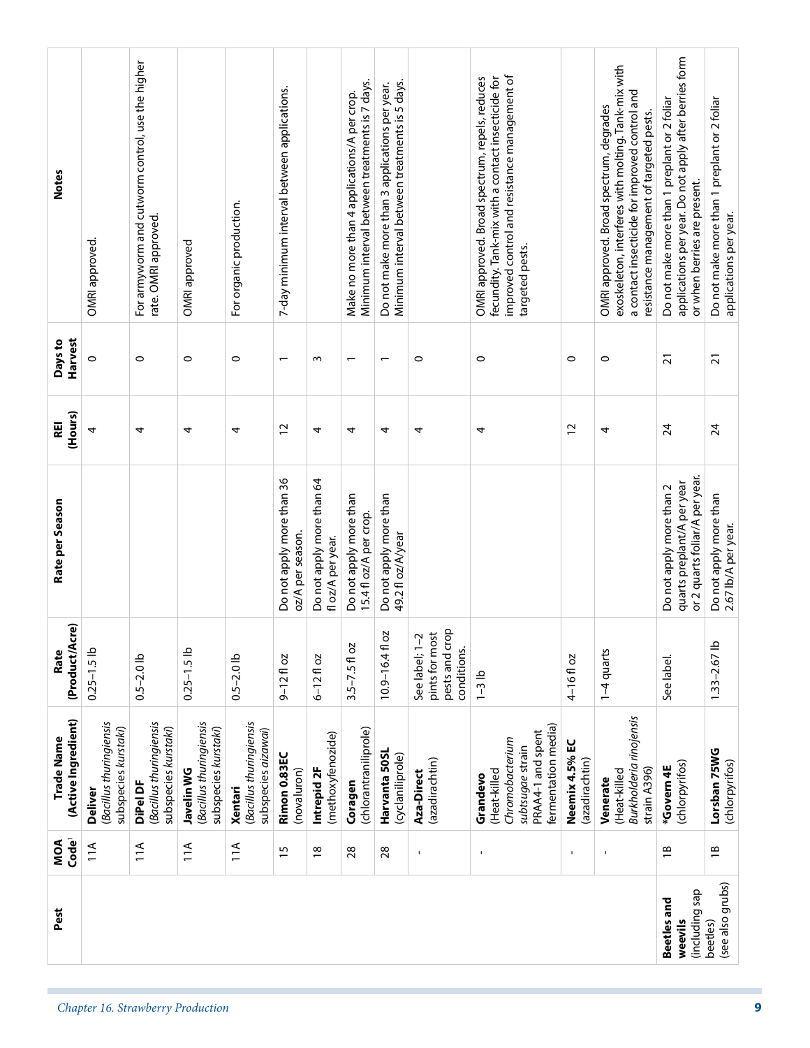| Pest                                     | Code <sup>1</sup><br>MOA | (Active Ingredient)<br><b>Trade Name</b>                                                                    | Cre)<br>(Product/A<br>Rate                                        | Rate per Season                                                                          | (Hours)<br>Æ    | Harvest<br>Days to       | <b>Notes</b>                                                                                                                                                                                 |
|------------------------------------------|--------------------------|-------------------------------------------------------------------------------------------------------------|-------------------------------------------------------------------|------------------------------------------------------------------------------------------|-----------------|--------------------------|----------------------------------------------------------------------------------------------------------------------------------------------------------------------------------------------|
|                                          | 11A                      | (Bacillus thuringiensis<br>subspecies kurstaki)<br><b>Deliver</b>                                           | $0.25 - 1.5$ lb                                                   |                                                                                          | 4               | $\circ$                  | OMRI approved.                                                                                                                                                                               |
|                                          | 11A                      | (Bacillus thuringiensis<br>subspecies kurstaki)<br>DiPel DF                                                 | $0.5 - 2.0$ lb                                                    |                                                                                          | 4               | $\circ$                  | For armyworm and cutworm control, use the higher<br>rate. OMRI approved.                                                                                                                     |
|                                          | 11A                      | (Bacillus thuringiensis<br>subspecies kurstaki)<br>Javelin WG                                               | $0.25 - 1.5$ lb                                                   |                                                                                          | 4               | $\circ$                  | OMRI approved                                                                                                                                                                                |
|                                          | 11A                      | (Bacillus thuringiensis<br>subspecies aizawai)<br>Xentari                                                   | $0.5 - 2.0$ lb                                                    |                                                                                          | 4               | $\circ$                  | For organic production.                                                                                                                                                                      |
|                                          | 15                       | Rimon 0.83EC<br>(novaluron)                                                                                 | $9 - 12f$ oz                                                      | Do not apply more than 36<br>oz/A per season.                                            | $\overline{c}$  | $\overline{\phantom{0}}$ | 7-day minimum interval between applications.                                                                                                                                                 |
|                                          | $\frac{8}{1}$            | (methoxyfenozide)<br>Intrepid 2F                                                                            | $6 - 12f$ oz                                                      | Do not apply more than 64<br>fl oz/A per year.                                           | 4               | $\sim$                   |                                                                                                                                                                                              |
|                                          | 28                       | (chlorantraniliprole)<br>Coragen                                                                            | $3.5 - 7.5 f$ oz                                                  | Do not apply more than<br>15.4 fl oz/A per crop.                                         | 4               | $\overline{\phantom{0}}$ | Minimum interval between treatments is 7 days.<br>Make no more than 4 applications/A per crop.                                                                                               |
|                                          | 28                       | Harvanta 50SL<br>(cyclaniliprole)                                                                           | 20<br>$10.9 - 16.4$ fl                                            | Do not apply more than<br>49.2 fl oz/A/year                                              | 4               | $\overline{\phantom{0}}$ | Minimum interval between treatments is 5 days.<br>Do not make more than 3 applications per year.                                                                                             |
|                                          | 1                        | (azadirachtin)<br>Aza-Direct                                                                                | pests and crop<br>See label; 1-2<br>pints for most<br>conditions. |                                                                                          | 4               | $\circ$                  |                                                                                                                                                                                              |
|                                          | $\mathbf{I}$             | fermentation media)<br>PRAA4-1 and spent<br>Chromobacterium<br>subtsugae strain<br>(Heat-killed<br>Grandevo | $1-3$ lb                                                          |                                                                                          | 4               | $\circ$                  | improved control and resistance management of<br>fecundity. Tank-mix with a contact insecticide for<br>OMRI approved. Broad spectrum, repels, reduces<br>targeted pests.                     |
|                                          |                          | Neemix 4.5% EC<br>(azadirachtin)                                                                            | 4-16fl oz                                                         |                                                                                          | 12              | $\circ$                  |                                                                                                                                                                                              |
|                                          | $\blacksquare$           | Burkholderia rinojensis<br>strain A396)<br>(Heat-killed<br>Venerate                                         | 1-4 quarts                                                        |                                                                                          | 4               | $\circ$                  | exoskeleton, interferes with molting. Tank-mix with<br>a contact insecticide for improved control and<br>OMRI approved. Broad spectrum, degrades<br>resistance management of targeted pests. |
| (including sap<br>Beetles and<br>weevils | $\overline{B}$           | (chlorpyrifos)<br>*Govern4E                                                                                 | See label.                                                        | or 2 quarts foliar/A per year.<br>quarts preplant/A per year<br>Do not apply more than 2 | $\overline{24}$ | $\overline{2}1$          | applications per year. Do not apply after berries form<br>Do not make more than 1 preplant or 2 foliar<br>or when berries are present.                                                       |
| (see also grubs)<br>beetles)             | $\frac{8}{1}$            | Lorsban 75WG<br>(chlorpyrifos)                                                                              | $1.33 - 2.67$ lb                                                  | Do not apply more than<br>2.67 lb/A per year.                                            | 24              | $\overline{21}$          | Do not make more than 1 preplant or 2 foliar<br>applications per year.                                                                                                                       |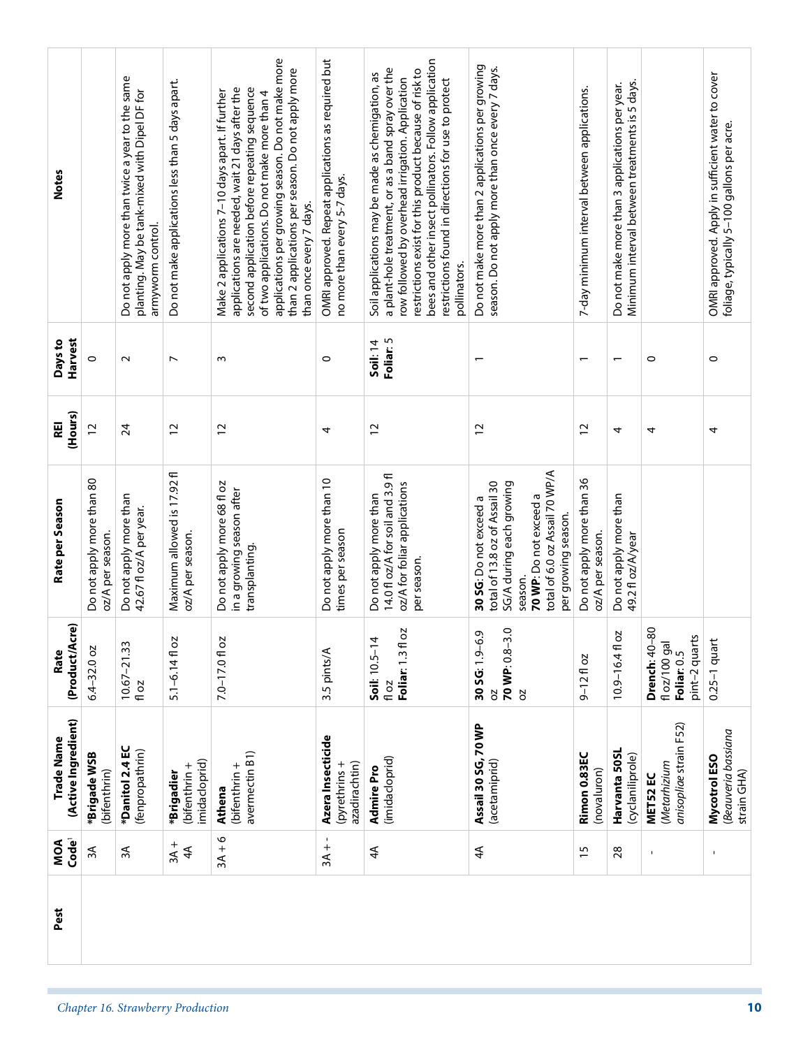| (Product/Acre)<br>70 WP: 0.8-3.0<br>2O<br>Ō.<br>7.0-17.0 fl oz<br>$5.1 - 6.14f$ oz<br>$Soli: 10.5-14$<br>30 SG: 1.9-6<br>$10.67 - 21.33$<br>Foliar: 1.3 fl<br>$6.4 - 32.0$ oz<br>3.5 pints/A<br>Rate<br>$9 - 12f$ oz<br>fl oz<br>fl oz<br><b>b</b><br><b>b</b><br>(Active Ingredient)<br>Assail 30 SG, 70 WP<br>Trade Name<br>Azera Insecticide<br>*Danitol 2.4 EC<br>(fenpropathrin)<br>avermectin B1)<br>Rimon 0.83EC<br>*Brigade WSB<br>(imidacloprid)<br>imidacloprid)<br>(acetamiprid)<br>azadirachtin)<br>(pyrethrins+<br>(bifenthrin +<br>(bifenthrin +<br><b>Admire Pro</b><br>(novaluron)<br>(bifenthrin)<br>*Brigadier<br>Athena<br>$3A + 6$<br>Code <sup>1</sup><br>MOA<br>$3A +$<br>$3A +$<br>4A<br>λξ<br>3A<br>$4\overline{4}$<br>15<br>4A                                                                                                                                                                                                                                                                                                                                                                               | anisopliae strain F52)<br>Harvanta 50SL<br>(cyclaniliprole)<br>(Metarhizium<br>MET52 EC<br>$28$<br>$\mathbf{I}$ | Beauveria bassiana<br>Mycotrol ESO<br>strain GHA)                                               |
|---------------------------------------------------------------------------------------------------------------------------------------------------------------------------------------------------------------------------------------------------------------------------------------------------------------------------------------------------------------------------------------------------------------------------------------------------------------------------------------------------------------------------------------------------------------------------------------------------------------------------------------------------------------------------------------------------------------------------------------------------------------------------------------------------------------------------------------------------------------------------------------------------------------------------------------------------------------------------------------------------------------------------------------------------------------------------------------------------------------------------------------|-----------------------------------------------------------------------------------------------------------------|-------------------------------------------------------------------------------------------------|
|                                                                                                                                                                                                                                                                                                                                                                                                                                                                                                                                                                                                                                                                                                                                                                                                                                                                                                                                                                                                                                                                                                                                       |                                                                                                                 |                                                                                                 |
|                                                                                                                                                                                                                                                                                                                                                                                                                                                                                                                                                                                                                                                                                                                                                                                                                                                                                                                                                                                                                                                                                                                                       |                                                                                                                 |                                                                                                 |
|                                                                                                                                                                                                                                                                                                                                                                                                                                                                                                                                                                                                                                                                                                                                                                                                                                                                                                                                                                                                                                                                                                                                       | 80<br>10.9-16.4 fl oz<br>pint-2 quarts<br>fl oz/100 gal<br>Drench: 40-<br>Foliar: 0.5                           | $0.25-1$ quart                                                                                  |
| total of 6.0 oz Assail 70 WP/A<br>Maximum allowed is 17.92 fl<br>14.0 fl oz/A for soil and 3.9 fl<br>Do not apply more than 36<br>Do not apply more than 80<br>Do not apply more than 10<br>total of 13.8 oz of Assail 30<br>Do not apply more 68 fl oz<br>oz/A for foliar applications<br>SG/A during each growing<br>in a growing season after<br>Do not apply more than<br>Do not apply more than<br>70 WP: Do not exceed a<br>30 SG: Do not exceed a<br>Rate per Season<br>42.67 fl oz/A per year.<br>per growing season.<br>times per season<br>oz/A per season.<br>oz/A per season.<br>oz/A per season.<br>transplanting.<br>per season.<br>season.                                                                                                                                                                                                                                                                                                                                                                                                                                                                             | Do not apply more than<br>49.2 fl oz/A/year                                                                     |                                                                                                 |
| (Hours)<br>REI<br>12<br>24<br>$\overline{c}$<br>12<br>12<br>12<br>12<br>4                                                                                                                                                                                                                                                                                                                                                                                                                                                                                                                                                                                                                                                                                                                                                                                                                                                                                                                                                                                                                                                             | 4<br>4                                                                                                          | 4                                                                                               |
| Harvest<br>Foliar: 5<br>Days to<br><b>Soil: 14</b><br>$\circ$<br>$\circ$<br>$\sim$<br>$\overline{ }$<br>$\sim$<br>$\overline{\phantom{0}}$<br>$\overline{\phantom{0}}$                                                                                                                                                                                                                                                                                                                                                                                                                                                                                                                                                                                                                                                                                                                                                                                                                                                                                                                                                                | $\circ$                                                                                                         | $\circ$                                                                                         |
| applications per growing season. Do not make more<br>bees and other insect pollinators. Follow application<br>OMRI approved. Repeat applications as required but<br>Do not make more than 2 applications per growing<br>season. Do not apply more than once every 7 days.<br>a plant-hole treatment, or as a band spray over the<br>than 2 applications per season. Do not apply more<br>restrictions exist for this product because of risk to<br>Soil applications may be made as chemigation, as<br>row followed by overhead irrigation. Application<br>Do not apply more than twice a year to the same<br>restrictions found in directions for use to protect<br>Do not make applications less than 5 days apart.<br>second application before repeating sequence<br>7-day minimum interval between applications.<br>applications are needed, wait 21 days after the<br>planting. May be tank-mixed with Dipel DF for<br>Make 2 applications 7-10 days apart. If further<br>of two applications. Do not make more than 4<br>Notes<br>no more than every 5-7 days.<br>than once every 7 days.<br>armyworm control.<br>pollinators. | Minimum interval between treatments is 5 days.<br>Do not make more than 3 applications per year.                | OMRI approved. Apply in sufficient water to cover<br>foliage, typically 5-100 gallons per acre. |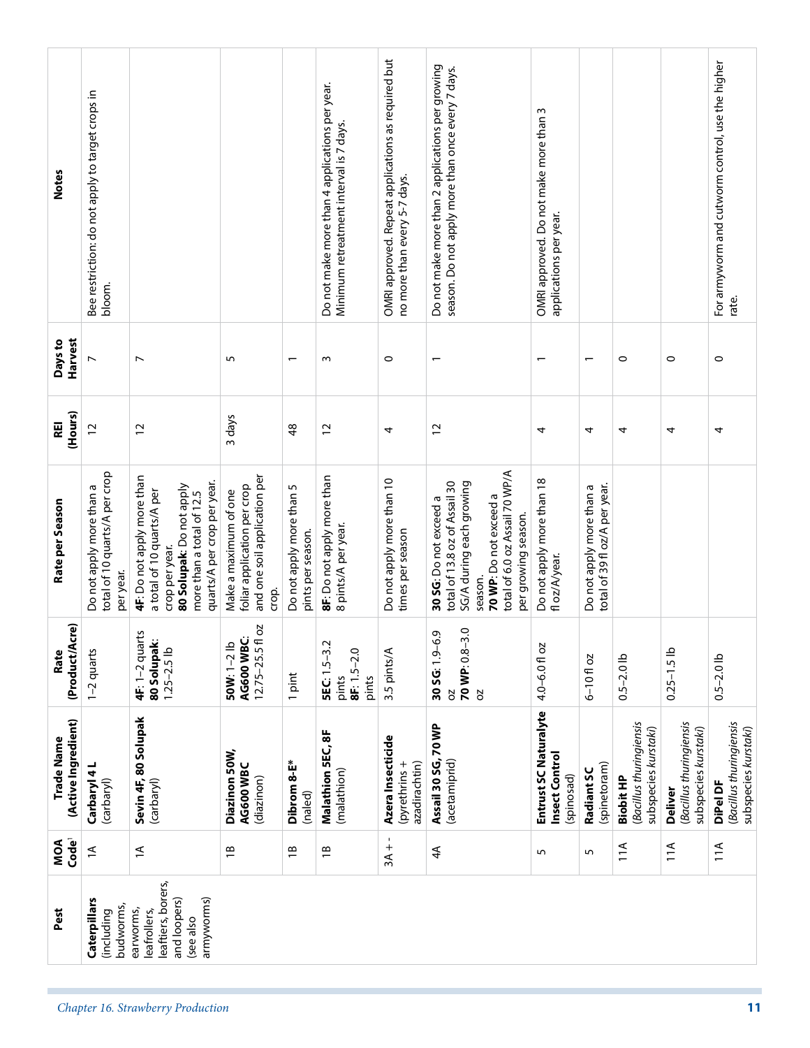| <b>Notes</b>                      | Bee restriction: do not apply to target crops in<br>bloom.             |                                                                                                                                                                    |                                                                                               |                                               | Do not make more than 4 applications per year.<br>Minimum retreatment interval is 7 days. | OMRI approved. Repeat applications as required but<br>no more than every 5-7 days. | Do not make more than 2 applications per growing<br>season. Do not apply more than once every 7 days.                                                                             | OMRI approved. Do not make more than 3<br>applications per year. |                                                           |                                                                     |                                                                   | For armyworm and cutworm control, use the higher<br>rate.   |
|-----------------------------------|------------------------------------------------------------------------|--------------------------------------------------------------------------------------------------------------------------------------------------------------------|-----------------------------------------------------------------------------------------------|-----------------------------------------------|-------------------------------------------------------------------------------------------|------------------------------------------------------------------------------------|-----------------------------------------------------------------------------------------------------------------------------------------------------------------------------------|------------------------------------------------------------------|-----------------------------------------------------------|---------------------------------------------------------------------|-------------------------------------------------------------------|-------------------------------------------------------------|
| Harvest<br>Days to                | $\overline{ }$                                                         | $\overline{ }$                                                                                                                                                     | 5                                                                                             | $\overline{\phantom{0}}$                      | m                                                                                         | $\circ$                                                                            | $\overline{\phantom{0}}$                                                                                                                                                          |                                                                  | $\overline{\phantom{0}}$                                  | $\circ$                                                             | $\circ$                                                           | $\circ$                                                     |
| (Hours)<br>REI                    | $\overline{c}$                                                         | $\overline{c}$                                                                                                                                                     | 3 days                                                                                        | 48                                            | $\overline{c}$                                                                            | 4                                                                                  | $\overline{c}$                                                                                                                                                                    | 4                                                                | 4                                                         | 4                                                                   | 4                                                                 | 4                                                           |
| Rate per Season                   | total of 10 quarts/A per crop<br>Do not apply more than a<br>per year. | 4F: Do not apply more than<br>quarts/A per crop per year.<br>80 Solupak: Do not apply<br>a total of 10 quarts/A per<br>more than a total of 12.5<br>crop per year. | and one soil application per<br>foliar application per crop<br>Make a maximum of one<br>crop. | Do not apply more than 5<br>pints per season. | 8F: Do not apply more than<br>8 pints/A per year.                                         | Do not apply more than 10<br>times per season                                      | total of 6.0 oz Assail 70 WP/A<br>total of 13.8 oz of Assail 30<br>SG/A during each growing<br>70 WP: Do not exceed a<br>30 SG: Do not exceed a<br>per growing season.<br>season. | Do not apply more than 18<br>fl oz/A/year.                       | total of 39 fl oz/A per year.<br>Do not apply more than a |                                                                     |                                                                   |                                                             |
| (Product/Acre)<br>Rate            | 1-2 quarts                                                             | 4F: 1-2 quarts<br>80 Solupak:<br>$1.25 - 2.5$ lb                                                                                                                   | <b>DZ</b><br>AG600 WBC:<br>$12.75 - 25.5$ fl<br>50W: 1-2 lb                                   | 1 pint                                        | 5EC: 1.5-3.2<br>$8F: 1.5 - 2.0$<br>pints<br>pints                                         | 3.5 pints/A                                                                        | 70 WP: 0.8-3.0<br>ن<br>$30 S$ G: $1.9-6$<br>ð<br><b>b</b>                                                                                                                         | $4.0 - 6.0$ fl oz                                                | $6 - 10f$ oz                                              | $0.5 - 2.0$ lb                                                      | $0.25 - 1.5$ lb                                                   | $0.5 - 2.0$ lb                                              |
| (Active Ingredient)<br>Trade Name | Carbaryl 4L<br>(carbaryl)                                              | Sevin 4F, 80 Solupak<br>(carbaryl)                                                                                                                                 | Diazinon 50W,<br>AG600 WBC<br>(diazinon)                                                      | Dibrom 8-E*<br>(naled)                        | Malathion 5EC, 8F<br>(malathion)                                                          | Azera Insecticide<br>azadirachtin)<br>(pyrethrins+                                 | Assail 30 SG, 70 WP<br>(acetamiprid)                                                                                                                                              | Entrust SC Naturalyte<br>Insect Control<br>(spinosad)            | (spinetoram)<br>Radiant SC                                | (Bacillus thuringiensis<br>subspecies kurstaki)<br><b>Biobit HP</b> | (Bacillus thuringiensis<br>subspecies kurstaki)<br><b>Deliver</b> | (Bacillus thuringiensis<br>subspecies kurstaki)<br>DiPel DF |
| Code <sup>1</sup><br>MOA          | $\overline{1}$                                                         | $\widetilde{\mathcal{L}}$                                                                                                                                          | $\overline{B}$                                                                                | $\overline{\mathbf{B}}$                       | $\overline{1}$                                                                            | $3A +$                                                                             | 4A                                                                                                                                                                                | S                                                                | 5                                                         | 11A                                                                 | 11A                                                               | 11A                                                         |
| Pest                              | Caterpillars<br>budworms,<br>(including                                | leaftiers, borers,<br>armyworms)<br>and loopers)<br>earworms,<br>leafrollers,<br>(see also                                                                         |                                                                                               |                                               |                                                                                           |                                                                                    |                                                                                                                                                                                   |                                                                  |                                                           |                                                                     |                                                                   |                                                             |
|                                   |                                                                        | Chapter 16. Strawberry Production                                                                                                                                  |                                                                                               |                                               |                                                                                           |                                                                                    |                                                                                                                                                                                   |                                                                  |                                                           |                                                                     |                                                                   | 11                                                          |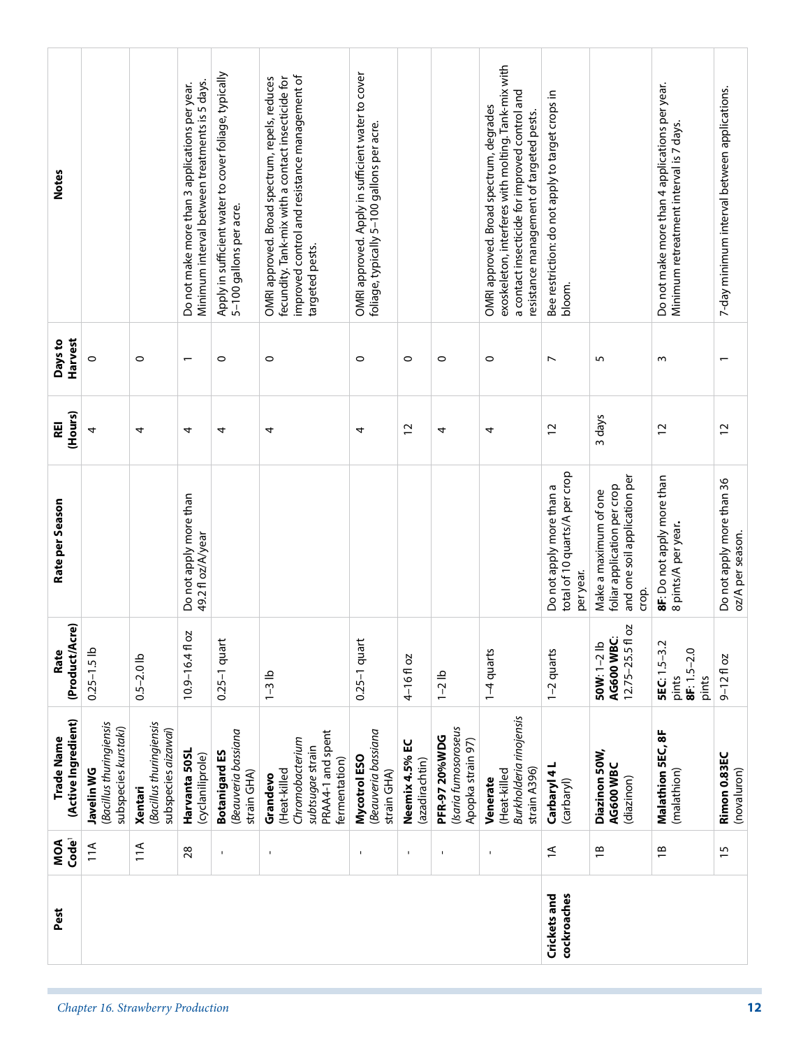| <b>Notes</b>                      |                                                               |                                                           | Minimum interval between treatments is 5 days.<br>Do not make more than 3 applications per year. | Apply in sufficient water to cover foliage, typically<br>5-100 gallons per acre. | improved control and resistance management of<br>OMRI approved. Broad spectrum, repels, reduces<br>fecundity. Tank-mix with a contact insecticide for<br>targeted pests. | OMRI approved. Apply in sufficient water to cover<br>foliage, typically 5-100 gallons per acre. |                                  |                                                                   | exoskeleton, interferes with molting. Tank-mix with<br>a contact insecticide for improved control and<br>OMRI approved. Broad spectrum, degrades<br>resistance management of targeted pests. | Bee restriction: do not apply to target crops in                       |                                                                                               | Do not make more than 4 applications per year.<br>Minimum retreatment interval is 7 days. | 7-day minimum interval between applications.  |
|-----------------------------------|---------------------------------------------------------------|-----------------------------------------------------------|--------------------------------------------------------------------------------------------------|----------------------------------------------------------------------------------|--------------------------------------------------------------------------------------------------------------------------------------------------------------------------|-------------------------------------------------------------------------------------------------|----------------------------------|-------------------------------------------------------------------|----------------------------------------------------------------------------------------------------------------------------------------------------------------------------------------------|------------------------------------------------------------------------|-----------------------------------------------------------------------------------------------|-------------------------------------------------------------------------------------------|-----------------------------------------------|
|                                   |                                                               |                                                           |                                                                                                  |                                                                                  |                                                                                                                                                                          |                                                                                                 |                                  |                                                                   |                                                                                                                                                                                              | bloom.                                                                 |                                                                                               |                                                                                           |                                               |
| Harvest<br>Days to                | $\circ$                                                       | $\circ$                                                   |                                                                                                  | $\circ$                                                                          | $\circ$                                                                                                                                                                  | $\circ$                                                                                         | $\circ$                          | $\circ$                                                           | $\circ$                                                                                                                                                                                      | $\overline{ }$                                                         | 5                                                                                             | m                                                                                         |                                               |
| (Hours)<br>REI                    | 4                                                             | 4                                                         | 4                                                                                                | 4                                                                                | 4                                                                                                                                                                        | 4                                                                                               | $\overline{c}$                   | 4                                                                 | 4                                                                                                                                                                                            | $\overline{c}$                                                         | 3 days                                                                                        | 12                                                                                        | $\overline{12}$                               |
| Rate per Season                   |                                                               |                                                           | Do not apply more than<br>49.2 fl oz/A/year                                                      |                                                                                  |                                                                                                                                                                          |                                                                                                 |                                  |                                                                   |                                                                                                                                                                                              | total of 10 quarts/A per crop<br>Do not apply more than a<br>per year. | and one soil application per<br>foliar application per crop<br>Make a maximum of one<br>crop. | 8F: Do not apply more than<br>8 pints/A per year.                                         | Do not apply more than 36<br>oz/A per season. |
| (Product/Acre)<br>Rate            | $0.25 - 1.5$ lb                                               | $0.5 - 2.0$ lb                                            | <b>b</b><br>$10.9 - 16.4$ fl                                                                     | $0.25-1$ quart                                                                   | $1-3$ lb                                                                                                                                                                 | $0.25-1$ quart                                                                                  | 4-16floz                         | $1 - 2$ lb                                                        | 1-4 quarts                                                                                                                                                                                   | 1-2 quarts                                                             | ō<br>AG600 WBC:<br>50W: 1-2 lb<br>$12.75 - 25.5$ fl                                           | <b>SEC:</b> 1.5-3.2<br>2.0<br>8F: 1.5-<br>pints<br>pints                                  | $9 - 12f$ oz                                  |
| (Active Ingredient)<br>Trade Name | (Bacillus thuringiensis<br>subspecies kurstaki)<br>Javelin WG | (Bacillus thuringiensis<br>subspecies aizawai)<br>Xentari | Harvanta 50SL<br>(cyclaniliprole)                                                                | Beauveria bassiana<br><b>Botanigard ES</b><br>strain GHA)                        | PRAA4-1 and spent<br>Chromobacterium<br>subtsugae strain<br>fermentation)<br>(Heat-killed<br>Grandevo                                                                    | (Beauveria bassiana<br>Mycotrol ESO<br>strain GHA)                                              | Neemix 4.5% EC<br>(azadirachtin) | (Isaria fumosoroseus<br><b>PFR-97 20%WDG</b><br>Apopka strain 97) | Burkholderia rinojensis<br>strain A396)<br>(Heat-killed<br>Venerate                                                                                                                          | Carbaryl 4L<br>(carbaryl)                                              | Diazinon 50W,<br>AG600 WBC<br>(diazinon)                                                      | Malathion SEC, 8F<br>(malathion)                                                          | Rimon 0.83EC<br>(novaluron)                   |
| Code <sup>1</sup><br>MOA          | 11A                                                           | 11A                                                       | 28                                                                                               | $\mathbf{I}$                                                                     | $\mathbf{I}$                                                                                                                                                             | $\mathbf{I}$                                                                                    |                                  | $\mathbf{I}$                                                      | $\mathbf I$                                                                                                                                                                                  | $\overline{1}$                                                         | $\overline{1}$ B                                                                              | $\overline{B}$                                                                            | 15                                            |
| Pest                              |                                                               |                                                           |                                                                                                  |                                                                                  |                                                                                                                                                                          |                                                                                                 |                                  |                                                                   |                                                                                                                                                                                              | cockroaches<br>Crickets and                                            |                                                                                               |                                                                                           |                                               |
|                                   | Chapter 16. Strawberry Production                             |                                                           |                                                                                                  |                                                                                  |                                                                                                                                                                          |                                                                                                 |                                  |                                                                   |                                                                                                                                                                                              |                                                                        |                                                                                               |                                                                                           | 12                                            |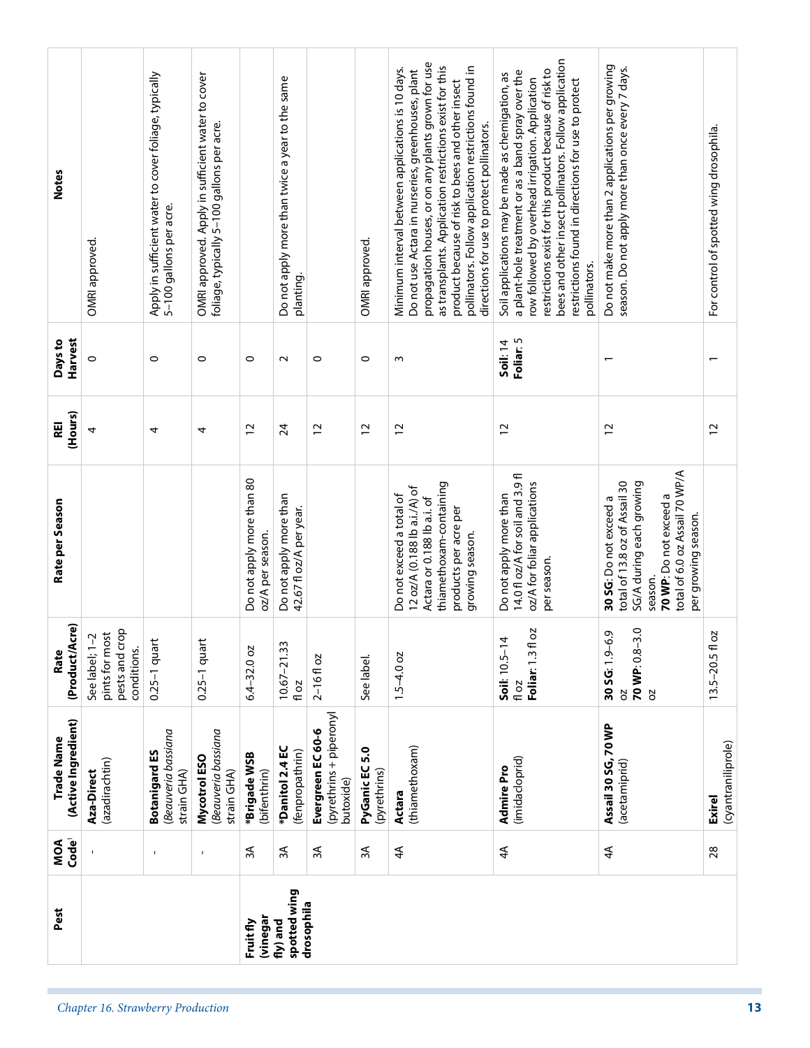| Code <sup>1</sup><br>MOA<br>Pest  |                                                                   | $\mathbf{I}$                                                                     | $\mathbf{I}$                                                                                    | 3A<br><b>vinegar</b><br>Fruit fly             | 3A<br>spotted wing<br>drosophila<br>fly) and                 | 3A                                                        | 3A                                | 4 <sup>4</sup>                                                                                                                                                                                                                                                                                                                                                                      | 4 <sup>4</sup>                                                                                                                                                                                                                                                                                                                                       | $4\overline{4}$                                                                                                                                                                   | 28                                      |
|-----------------------------------|-------------------------------------------------------------------|----------------------------------------------------------------------------------|-------------------------------------------------------------------------------------------------|-----------------------------------------------|--------------------------------------------------------------|-----------------------------------------------------------|-----------------------------------|-------------------------------------------------------------------------------------------------------------------------------------------------------------------------------------------------------------------------------------------------------------------------------------------------------------------------------------------------------------------------------------|------------------------------------------------------------------------------------------------------------------------------------------------------------------------------------------------------------------------------------------------------------------------------------------------------------------------------------------------------|-----------------------------------------------------------------------------------------------------------------------------------------------------------------------------------|-----------------------------------------|
| (Active Ingredient)<br>Trade Name | (azadirachtin)<br>Aza-Direct                                      | (Beauveria bassiana<br><b>Botanigard ES</b><br>strain GHA)                       | Beauveria bassiana<br>Mycotrol ESO<br>strain GHA)                                               | *Brigade WSB<br>(bifenthrin)                  | *Danitol 2.4 EC<br>(fenpropathrin)                           | (pyrethrins + piperonyl<br>Evergreen EC 60-6<br>butoxide) | 5.0<br>PyGanic EC<br>(pyrethrins) | (thiamethoxam)<br>Actara                                                                                                                                                                                                                                                                                                                                                            | (imidacloprid)<br><b>Admire Pro</b>                                                                                                                                                                                                                                                                                                                  | Assail 30 SG, 70 WP<br>(acetamiprid)                                                                                                                                              | (cyantraniliprole)<br><b>Exirel</b>     |
| (Product/Acre)<br>Rate            | pests and crop<br>See label; 1-2<br>pints for most<br>conditions. | $0.25-1$ quart                                                                   | $0.25-1$ quart                                                                                  | $6.4 - 32.0$ oz                               | $10.67 - 21.33$<br>fl oz                                     | $2 - 16f$ oz                                              | See label.                        | $1.5 - 4.0$ oz                                                                                                                                                                                                                                                                                                                                                                      | 5<br>Soil: 10.5-14<br>Foliar: 1.3 fl<br>fl oz                                                                                                                                                                                                                                                                                                        | $\ddot{\circ}$<br>ō<br>$30 S G: 1.9-6$<br>70 WP: 0.8-3<br>2O<br>SO                                                                                                                | 13.5-20.5 fl oz                         |
| Rate per Season                   |                                                                   |                                                                                  |                                                                                                 | Do not apply more than 80<br>oz/A per season. | Do not apply more than<br>42.67 fl oz/A per year.            |                                                           |                                   | thiamethoxam-containing<br>12 oz/A (0.188 lb a.i./A) of<br>Do not exceed a total of<br>Actara or 0.188 lb a.i. of<br>products per acre per<br>growing season.                                                                                                                                                                                                                       | 14.0 fl oz/A for soil and 3.9 fl<br>oz/A for foliar applications<br>Do not apply more than<br>per season.                                                                                                                                                                                                                                            | total of 6.0 oz Assail 70 WP/A<br>SG/A during each growing<br>total of 13.8 oz of Assail 30<br>70 WP: Do not exceed a<br>30 SG: Do not exceed a<br>per growing season.<br>season. |                                         |
| (Hours)<br>REI                    | 4                                                                 | 4                                                                                | 4                                                                                               | $\overline{c}$                                | 24                                                           | $\overline{c}$                                            | $\overline{c}$                    | $\overline{c}$                                                                                                                                                                                                                                                                                                                                                                      | $\overline{c}$                                                                                                                                                                                                                                                                                                                                       | $\overline{c}$                                                                                                                                                                    | $\overline{c}$                          |
| Harvest<br>Days to                | $\circ$                                                           | $\circ$                                                                          | 0                                                                                               | $\circ$                                       | $\sim$                                                       | $\circ$                                                   | $\circ$                           | $\mathsf{c}$                                                                                                                                                                                                                                                                                                                                                                        | Foliar: 5<br>Soil: 14                                                                                                                                                                                                                                                                                                                                |                                                                                                                                                                                   | $\overline{\phantom{0}}$                |
| <b>Notes</b>                      | OMRI approved.                                                    | Apply in sufficient water to cover foliage, typically<br>5–100 gallons per acre. | OMRI approved. Apply in sufficient water to cover<br>foliage, typically 5-100 gallons per acre. |                                               | Do not apply more than twice a year to the same<br>planting. |                                                           | OMRI approved.                    | propagation houses, or on any plants grown for use<br>as transplants. Application restrictions exist for this<br>pollinators. Follow application restrictions found in<br>Minimum interval between applications is 10 days.<br>Do not use Actara in nurseries, greenhouses, plant<br>product because of risk to bees and other insect<br>directions for use to protect pollinators. | bees and other insect pollinators. Follow application<br>restrictions exist for this product because of risk to<br>a plant-hole treatment or as a band spray over the<br>Soil applications may be made as chemigation, as<br>row followed by overhead irrigation. Application<br>restrictions found in directions for use to protect<br>pollinators. | Do not make more than 2 applications per growing<br>season. Do not apply more than once every 7 days.                                                                             | For control of spotted wing drosophila. |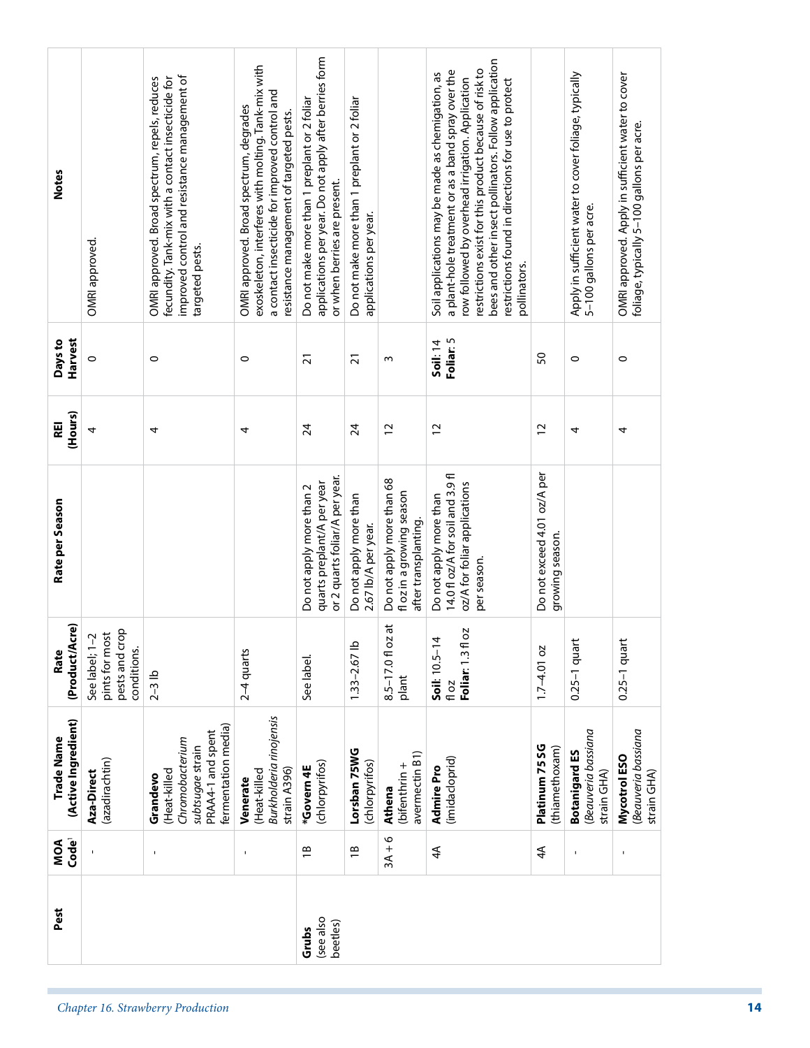| <b>Notes</b>                      | OMRI approved.                                                    | improved control and resistance management of<br>fecundity. Tank-mix with a contact insecticide for<br>OMRI approved. Broad spectrum, repels, reduces<br>targeted pests. | exoskeleton, interferes with molting. Tank-mix with<br>a contact insecticide for improved control and<br>OMRI approved. Broad spectrum, degrades<br>resistance management of targeted pests. | applications per year. Do not apply after berries form<br>Do not make more than 1 preplant or 2 foliar<br>or when berries are present. | Do not make more than 1 preplant or 2 foliar<br>applications per year. |                                                                                | bees and other insect pollinators. Follow application<br>restrictions exist for this product because of risk to<br>a plant-hole treatment or as a band spray over the<br>Soil applications may be made as chemigation, as<br>row followed by overhead irrigation. Application<br>restrictions found in directions for use to protect<br>pollinators. |                                                | Apply in sufficient water to cover foliage, typically<br>5–100 gallons per acre. | OMRI approved. Apply in sufficient water to cover<br>foliage, typically 5-100 gallons per acre. |
|-----------------------------------|-------------------------------------------------------------------|--------------------------------------------------------------------------------------------------------------------------------------------------------------------------|----------------------------------------------------------------------------------------------------------------------------------------------------------------------------------------------|----------------------------------------------------------------------------------------------------------------------------------------|------------------------------------------------------------------------|--------------------------------------------------------------------------------|------------------------------------------------------------------------------------------------------------------------------------------------------------------------------------------------------------------------------------------------------------------------------------------------------------------------------------------------------|------------------------------------------------|----------------------------------------------------------------------------------|-------------------------------------------------------------------------------------------------|
| Harvest<br>Days to                | $\circ$                                                           | $\circ$                                                                                                                                                                  | $\circ$                                                                                                                                                                                      | $\overline{2}1$                                                                                                                        | $\overline{2}1$                                                        | $\mathsf{c}$                                                                   | Foliar: 5<br><b>Soil: 14</b>                                                                                                                                                                                                                                                                                                                         | 50                                             | $\circ$                                                                          | $\circ$                                                                                         |
| (Hours)<br>REI                    | 4                                                                 | 4                                                                                                                                                                        | 4                                                                                                                                                                                            | $\overline{2}$                                                                                                                         | $\overline{24}$                                                        | $\overline{c}$                                                                 | $\overline{c}$                                                                                                                                                                                                                                                                                                                                       | $\overline{c}$                                 | 4                                                                                | 4                                                                                               |
| Rate per Season                   |                                                                   |                                                                                                                                                                          |                                                                                                                                                                                              | or 2 quarts foliar/A per year.<br>quarts preplant/A per year<br>Do not apply more than 2                                               | Do not apply more than<br>2.67 lb/A per year.                          | Do not apply more than 68<br>fl oz in a growing season<br>after transplanting. | 14.0 fl oz/A for soil and 3.9 fl<br>oz/A for foliar applications<br>Do not apply more than<br>per season.                                                                                                                                                                                                                                            | Do not exceed 4.01 oz/A per<br>growing season. |                                                                                  |                                                                                                 |
| (Product/Acre)<br>Rate            | pests and crop<br>See label; 1-2<br>pints for most<br>conditions. | $2-3$ lb                                                                                                                                                                 | $2-4$ quarts                                                                                                                                                                                 | See label.                                                                                                                             | $1.33 - 2.67$ lb                                                       | 8.5-17.0 fl oz at<br>plant                                                     | Foliar: 1.3 fl oz<br>Soil: 10.5-14<br>fl oz                                                                                                                                                                                                                                                                                                          | $1.7 - 4.01$ oz                                | $0.25-1$ quar                                                                    | $0.25-1$ quar                                                                                   |
| (Active Ingredient)<br>Trade Name | (azadirachtin)<br>Aza-Direct                                      | fermentation media)<br>PRAA4-1 and spent<br>Chromobacterium<br>subtsugae strain<br>(Heat-killed<br>Grandevo                                                              | Burkholderia rinojensis<br>strain A396)<br>(Heat-killed<br>Venerate                                                                                                                          | (chlorpyrifos)<br>*Govern4E                                                                                                            | Lorsban 75WG<br>(chlorpyrifos)                                         | avermectin B1)<br>(bifenthrin +<br>Athena                                      | (imidacloprid)<br>Admire Pro                                                                                                                                                                                                                                                                                                                         | Platinum 75 SG<br>(thiamethoxam)               | Beauveria bassiana<br><b>Botanigard ES</b><br>strain GHA)                        | Beauveria bassiana<br>Mycotrol ESO<br>strain GHA)                                               |
| Code <sup>1</sup><br>MOA          |                                                                   | $\mathbf{I}$                                                                                                                                                             | $\mathbf{I}$                                                                                                                                                                                 | $\overline{B}$                                                                                                                         | $\overline{\Xi}$                                                       | $3A + 6$                                                                       | 4A                                                                                                                                                                                                                                                                                                                                                   | 4A                                             | $\mathbf{I}$                                                                     | $\mathbf{I}$                                                                                    |
| Pest                              |                                                                   |                                                                                                                                                                          |                                                                                                                                                                                              | (see also<br>beetles)<br>Grubs                                                                                                         |                                                                        |                                                                                |                                                                                                                                                                                                                                                                                                                                                      |                                                |                                                                                  |                                                                                                 |
|                                   |                                                                   | Chapter 16. Strawberry Production                                                                                                                                        |                                                                                                                                                                                              |                                                                                                                                        |                                                                        |                                                                                |                                                                                                                                                                                                                                                                                                                                                      |                                                |                                                                                  |                                                                                                 |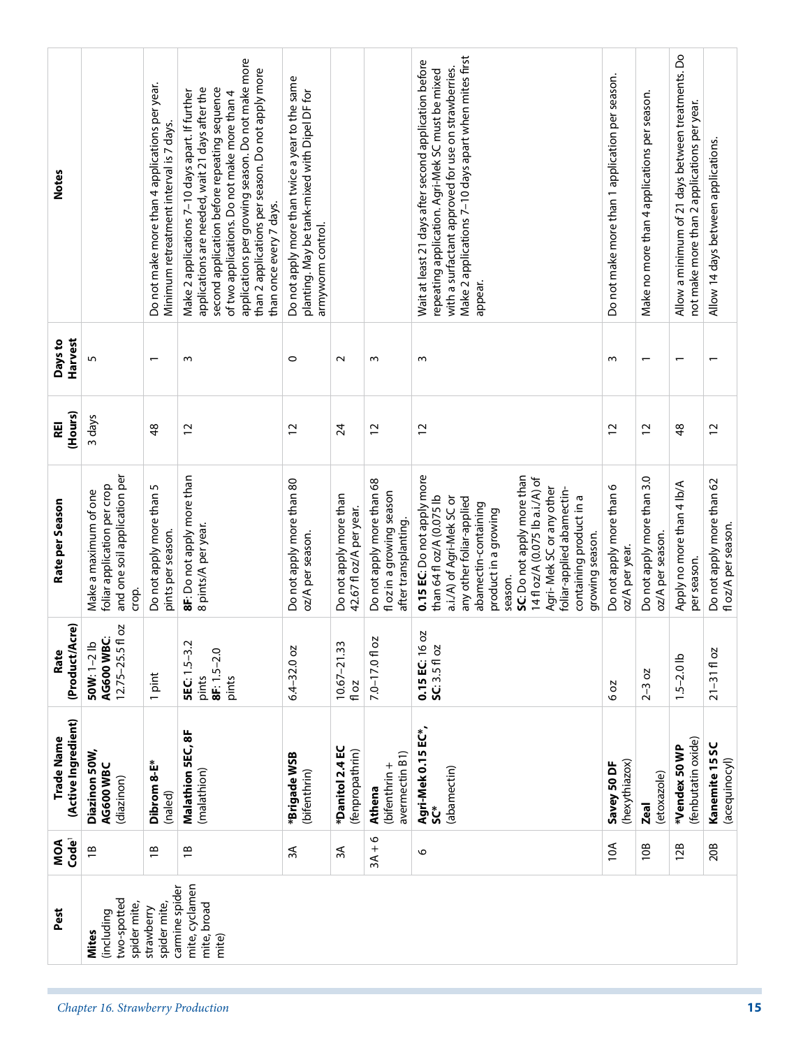| <b>Notes</b>                      |                                                                                               | Do not make more than 4 applications per year.<br>Minimum retreatment interval is 7 days. | applications per growing season. Do not make more<br>than 2 applications per season. Do not apply more<br>second application before repeating sequence<br>applications are needed, wait 21 days after the<br>Make 2 applications 7-10 days apart. If further<br>of two applications. Do not make more than 4<br>than once every 7 days. | Do not apply more than twice a year to the same<br>planting. May be tank-mixed with Dipel DF for<br>armyworm control. |                                                   |                                                                                | Make 2 applications 7-10 days apart when mites first<br>Wait at least 21 days after second application before<br>with a surfactant approved for use on strawberries.<br>repeating application. Agri-Mek SC must be mixed<br>appear.                                                                                                                 | Do not make more than 1 application per season. | Make no more than 4 applications per season.   | Allow a minimum of 21 days between treatments. Do<br>not make more than 2 applications per year. | Allow 14 days between applications.              |
|-----------------------------------|-----------------------------------------------------------------------------------------------|-------------------------------------------------------------------------------------------|-----------------------------------------------------------------------------------------------------------------------------------------------------------------------------------------------------------------------------------------------------------------------------------------------------------------------------------------|-----------------------------------------------------------------------------------------------------------------------|---------------------------------------------------|--------------------------------------------------------------------------------|-----------------------------------------------------------------------------------------------------------------------------------------------------------------------------------------------------------------------------------------------------------------------------------------------------------------------------------------------------|-------------------------------------------------|------------------------------------------------|--------------------------------------------------------------------------------------------------|--------------------------------------------------|
| Harvest<br>Days to                | 5                                                                                             | $\overline{\phantom{0}}$                                                                  | w                                                                                                                                                                                                                                                                                                                                       | $\circ$                                                                                                               | $\sim$                                            | w                                                                              | $\sim$                                                                                                                                                                                                                                                                                                                                              | ω                                               |                                                | $\overline{\phantom{0}}$                                                                         | $\overline{\phantom{0}}$                         |
| (Hours)<br>REI                    | 3 days                                                                                        | $\frac{8}{3}$                                                                             | $\overline{c}$                                                                                                                                                                                                                                                                                                                          | $\overline{c}$                                                                                                        | 24                                                | 12                                                                             | $\overline{c}$                                                                                                                                                                                                                                                                                                                                      | 2                                               | 12                                             | \$                                                                                               | $\overline{c}$                                   |
| Rate per Season                   | and one soil application per<br>foliar application per crop<br>Make a maximum of one<br>crop. | Do not apply more than 5<br>pints per season.                                             | 8F: Do not apply more than<br>8 pints/A per year.                                                                                                                                                                                                                                                                                       | Do not apply more than 80<br>oz/A per season.                                                                         | Do not apply more than<br>42.67 fl oz/A per year. | Do not apply more than 68<br>fl oz in a growing season<br>after transplanting. | 0.15 EC: Do not apply more<br>SC: Do not apply more than<br>14 fl oz/A (0.075 lb a.i./A) of<br>Agri-Mek SC or any other<br>foliar-applied abamectin-<br>than 64 fl oz/A (0.075 lb<br>a.i./A) of Agri-Mek SC or<br>containing product in a<br>any other foliar-applied<br>abamectin-containing<br>product in a growing<br>growing season.<br>season. | Do not apply more than 6<br>oz/A per year.      | Do not apply more than 3.0<br>oz/A per season. | Apply no more than 4 lb/A<br>per season.                                                         | Do not apply more than 62<br>fl oz/A per season. |
| (Product/Acre)<br>Rate            | 12.75-25.5 fl oz<br>AG600 WBC:<br>50W: 1-2 lb                                                 | 1 pint                                                                                    | <b>SEC:</b> 1.5-3.2<br>$8F: 1.5 - 2.0$<br>pints<br>pints                                                                                                                                                                                                                                                                                | $6.4 - 32.0$ oz                                                                                                       | $10.67 - 21.33$<br>fl oz                          | 7.0-17.0 fl oz                                                                 | 2O<br>SC: 3.5 fl oz<br>0.15 EC: 16                                                                                                                                                                                                                                                                                                                  | 20 9                                            | <b>SO</b><br>$2 - 3$                           | $1.5 - 2.0$ lb                                                                                   | $21 - 31 f$ oz                                   |
| (Active Ingredient)<br>Trade Name | Diazinon 50W,<br>AG600 WBC<br>(diazinon)                                                      | Dibrom 8-E*<br>(naled)                                                                    | Malathion 5EC, 8F<br>(malathion)                                                                                                                                                                                                                                                                                                        | *Brigade WSB<br>(bifenthrin)                                                                                          | *Danitol 2.4 EC<br>(fenpropathrin)                | avermectin B1)<br>(bifenthrin +<br>Athena                                      | Agri-Mek 0.15 EC*,<br>(abamectin)<br>ຽ                                                                                                                                                                                                                                                                                                              | (hexythiazox)<br>Savey 50 DF                    | (etoxazole)<br><b>Zeal</b>                     | (fenbutatin oxide)<br>*Vendex 50 WP                                                              | Kanemite 15 SC<br>(acequinocyl)                  |
| Code <sup>1</sup><br>MOA          | $\overline{B}$                                                                                | $\overline{1}$                                                                            | $\overline{1}$                                                                                                                                                                                                                                                                                                                          | 3A                                                                                                                    | 3A                                                | $3A + 6$                                                                       | 6                                                                                                                                                                                                                                                                                                                                                   | 10A                                             | 10B                                            | 12B                                                                                              | 20B                                              |
| Pest                              | two-spotted<br>spider mite,<br>(including<br><b>Mites</b>                                     | spider mite,<br>strawberry                                                                | mite, cyclamen<br>carmine spider<br>mite, broad<br>mite)                                                                                                                                                                                                                                                                                |                                                                                                                       |                                                   |                                                                                |                                                                                                                                                                                                                                                                                                                                                     |                                                 |                                                |                                                                                                  |                                                  |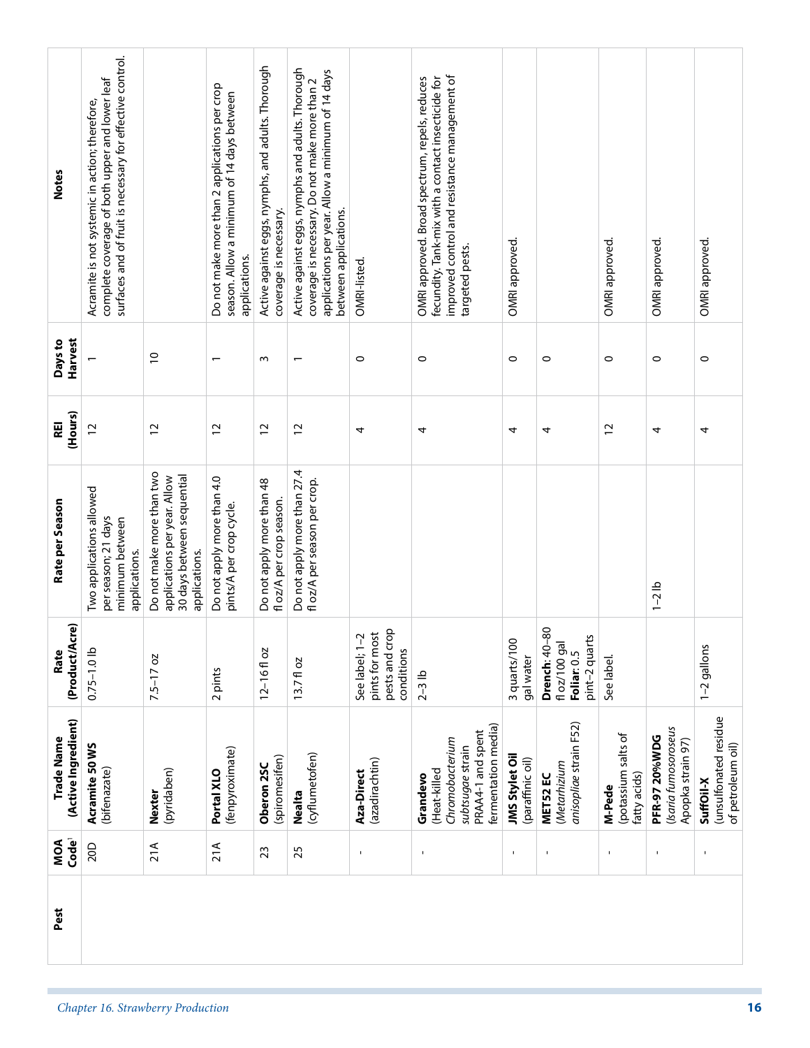| <b>Notes</b>                      | surfaces and of fruit is necessary for effective control.<br>complete coverage of both upper and lower leaf<br>Acramite is not systemic in action; therefore, |                                                                                                          | Do not make more than 2 applications per crop<br>season. Allow a minimum of 14 days between<br>applications. | Active against eggs, nymphs, and adults. Thorough<br>coverage is necessary. | Active against eggs, nymphs and adults. Thorough<br>applications per year. Allow a minimum of 14 days<br>coverage is necessary. Do not make more than 2<br>between applications. | OMRI-listed.                                                     | improved control and resistance management of<br>fecundity. Tank-mix with a contact insecticide for<br>OMRI approved. Broad spectrum, repels, reduces<br>targeted pests. | OMRI approved.                     |                                                                    | OMRI approved.                                | OMRI approved.                                                    | OMRI approved.                                          |
|-----------------------------------|---------------------------------------------------------------------------------------------------------------------------------------------------------------|----------------------------------------------------------------------------------------------------------|--------------------------------------------------------------------------------------------------------------|-----------------------------------------------------------------------------|----------------------------------------------------------------------------------------------------------------------------------------------------------------------------------|------------------------------------------------------------------|--------------------------------------------------------------------------------------------------------------------------------------------------------------------------|------------------------------------|--------------------------------------------------------------------|-----------------------------------------------|-------------------------------------------------------------------|---------------------------------------------------------|
|                                   |                                                                                                                                                               |                                                                                                          |                                                                                                              |                                                                             |                                                                                                                                                                                  |                                                                  |                                                                                                                                                                          |                                    |                                                                    |                                               |                                                                   |                                                         |
| Harvest<br>Days to                |                                                                                                                                                               | $\overline{C}$                                                                                           | $\overline{\phantom{m}}$                                                                                     | $\sim$                                                                      | $\overline{\phantom{0}}$                                                                                                                                                         | $\circ$                                                          | $\circ$                                                                                                                                                                  | $\circ$                            | $\circ$                                                            | $\circ$                                       | $\circ$                                                           | $\circ$                                                 |
| (Hours)<br>REI                    | $\overline{c}$                                                                                                                                                | $\overline{c}$                                                                                           | $\overline{c}$                                                                                               | $\overline{c}$                                                              | $\approx$                                                                                                                                                                        | 4                                                                | 4                                                                                                                                                                        | 4                                  | 4                                                                  | $\overline{c}$                                | 4                                                                 | 4                                                       |
| Rate per Season                   | Two applications allowed<br>per season; 21 days<br>minimum between<br>applications.                                                                           | Do not make more than two<br>30 days between sequential<br>applications per year. Allow<br>applications. | Do not apply more than 4.0<br>pints/A per crop cycle.                                                        | Do not apply more than 48<br>fl oz/A per crop season.                       | Do not apply more than 27.4<br>fl oz/A per season per crop.                                                                                                                      |                                                                  |                                                                                                                                                                          |                                    |                                                                    |                                               | $1 - 2$ lb                                                        |                                                         |
| (Product/Acre)<br>Rate            | $0.75 - 1.0$ lb                                                                                                                                               | $7.5 - 17$ oz                                                                                            | 2 pints                                                                                                      | $12 - 16f$ oz                                                               | $13.7f$ oz                                                                                                                                                                       | pests and crop<br>See label; 1-2<br>pints for most<br>conditions | $2-3$ lb                                                                                                                                                                 | 3 quarts/100<br>gal water          | 80<br>pint-2 quarts<br>fl oz/100 gal<br>Drench: 40-<br>Foliar: 0.5 | See label.                                    |                                                                   | 1-2 gallons                                             |
| (Active Ingredient)<br>Trade Name | Acramite 50 WS<br>(bifenazate)                                                                                                                                | (pyridaben)<br>Nexter                                                                                    | (fenpyroximate)<br>Portal XLO                                                                                | (spiromesifen)<br>Oberon 25C                                                | (cyflumetofen)<br><b>Nealta</b>                                                                                                                                                  | (azadirachtin)<br>Aza-Direct                                     | fermentation media)<br>PRAA4-1 and spent<br>Chromobacterium<br>subtsugae strain<br>(Heat-killed<br>Grandevo                                                              | JMS Stylet Oil<br>(paraffinic oil) | anisopliae strain F52)<br>(Metarhizium<br>MET52 EC                 | (potassium salts of<br>fatty acids)<br>M-Pede | (Isaria fumosoroseus<br><b>PFR-97 20%WDG</b><br>Apopka strain 97) | (unsulfonated residue<br>of petroleum oil)<br>SuffOil-X |
| Code <sup>1</sup><br>MOA          | 20D                                                                                                                                                           | 21A                                                                                                      | 21A                                                                                                          | 23                                                                          | 25                                                                                                                                                                               |                                                                  | $\blacksquare$                                                                                                                                                           | $\mathbf{I}$                       | ٠                                                                  |                                               | $\mathbf I$                                                       | $\blacksquare$                                          |
| Pest                              | Chapter 16. Strawberry Production                                                                                                                             |                                                                                                          |                                                                                                              |                                                                             |                                                                                                                                                                                  |                                                                  |                                                                                                                                                                          |                                    |                                                                    |                                               |                                                                   | 16                                                      |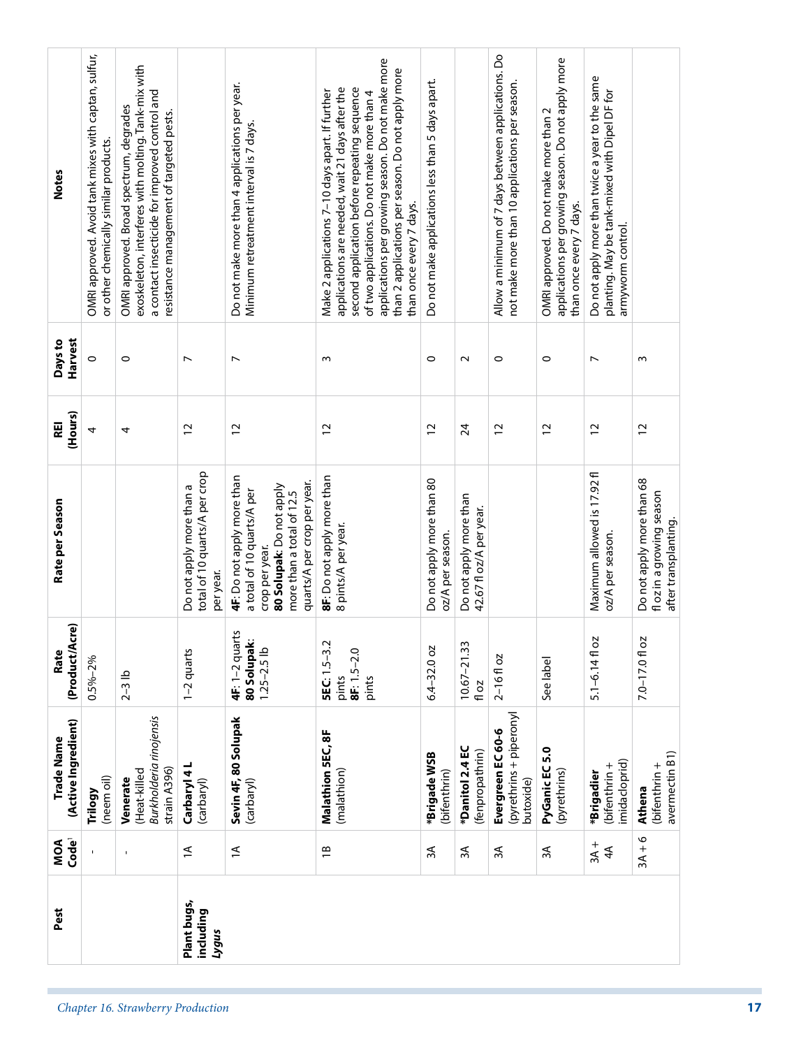| <b>Notes</b>                      | OMRI approved. Avoid tank mixes with captan, sulfur,<br>or other chemically similar products. | exoskeleton, interferes with molting. Tank-mix with<br>a contact insecticide for improved control and<br>OMRI approved. Broad spectrum, degrades<br>resistance management of targeted pests. |                                                                        | Do not make more than 4 applications per year.<br>Minimum retreatment interval is 7 days.                                                                          | applications per growing season. Do not make more<br>than 2 applications per season. Do not apply more<br>second application before repeating sequence<br>applications are needed, wait 21 days after the<br>Make 2 applications 7-10 days apart. If further<br>of two applications. Do not make more than 4<br>than once every 7 days. | Do not make applications less than 5 days apart. |                                                   | Allow a minimum of 7 days between applications. Do<br>not make more than 10 applications per season. | applications per growing season. Do not apply more<br>OMRI approved. Do not make more than 2<br>than once every 7 days. | Do not apply more than twice a year to the same<br>planting. May be tank-mixed with Dipel DF for<br>armyworm control. |                                                                                |
|-----------------------------------|-----------------------------------------------------------------------------------------------|----------------------------------------------------------------------------------------------------------------------------------------------------------------------------------------------|------------------------------------------------------------------------|--------------------------------------------------------------------------------------------------------------------------------------------------------------------|-----------------------------------------------------------------------------------------------------------------------------------------------------------------------------------------------------------------------------------------------------------------------------------------------------------------------------------------|--------------------------------------------------|---------------------------------------------------|------------------------------------------------------------------------------------------------------|-------------------------------------------------------------------------------------------------------------------------|-----------------------------------------------------------------------------------------------------------------------|--------------------------------------------------------------------------------|
| Harvest<br>Days to                | $\circ$                                                                                       | $\circ$                                                                                                                                                                                      | $\overline{ }$                                                         | $\overline{ }$                                                                                                                                                     | $\sim$                                                                                                                                                                                                                                                                                                                                  | $\circ$                                          | $\sim$                                            | $\circ$                                                                                              | $\circ$                                                                                                                 | $\overline{ }$                                                                                                        | $\sim$                                                                         |
| (Hours)<br>REI                    | 4                                                                                             | 4                                                                                                                                                                                            | $\overline{c}$                                                         | $\overline{c}$                                                                                                                                                     | $\overline{c}$                                                                                                                                                                                                                                                                                                                          | 12                                               | 24                                                | $\overline{c}$                                                                                       | $\overline{c}$                                                                                                          | 12                                                                                                                    | $\overline{c}$                                                                 |
| Rate per Season                   |                                                                                               |                                                                                                                                                                                              | total of 10 quarts/A per crop<br>Do not apply more than a<br>per year. | 4F: Do not apply more than<br>quarts/A per crop per year.<br>80 Solupak: Do not apply<br>a total of 10 quarts/A per<br>more than a total of 12.5<br>crop per year. | 8F: Do not apply more than<br>8 pints/A per year.                                                                                                                                                                                                                                                                                       | Do not apply more than 80<br>oz/A per season.    | Do not apply more than<br>42.67 fl oz/A per year. |                                                                                                      |                                                                                                                         | Maximum allowed is 17.92 fl<br>oz/A per season.                                                                       | Do not apply more than 68<br>fl oz in a growing season<br>after transplanting. |
| (Product/Acre)<br>Rate            | $0.5\% - 2\%$                                                                                 | $2-3$ lb                                                                                                                                                                                     | 1-2 quarts                                                             | 4F: 1-2 quarts<br>80 Solupak:<br>$1.25 - 2.5$ lb                                                                                                                   | <b>SEC:</b> 1.5-3.2<br>$8F: 1.5 - 2.0$<br>pints<br>pints                                                                                                                                                                                                                                                                                | $6.4 - 32.0$ oz                                  | $10.67 - 21.33$<br>fl oz                          | $2 - 16f$ oz                                                                                         | See label                                                                                                               | $5.1 - 6.14f$ oz                                                                                                      | $7.0 - 17.0$ fl oz                                                             |
| (Active Ingredient)<br>Trade Name | (neem oil)<br>Trilogy                                                                         | Burkholderia rinojensis<br>strain A396)<br>(Heat-killed<br>Venerate                                                                                                                          | Carbaryl 4L<br>(carbaryl)                                              | Sevin 4F, 80 Solupak<br>(carbaryl)                                                                                                                                 | Malathion 5EC, 8F<br>(malathion)                                                                                                                                                                                                                                                                                                        | *Brigade WSB<br>(bifenthrin)                     | *Danitol 2.4 EC<br>(fenpropathrin)                | (pyrethrins + piperonyl<br>Evergreen EC 60-6<br>butoxide)                                            | PyGanic EC 5.0<br>(pyrethrins)                                                                                          | imidacloprid)<br>(bifenthrin +<br>*Brigadier                                                                          | avermectin B1)<br>(bifenthrin +<br>Athena                                      |
| MOA<br>Code                       |                                                                                               | $\mathbf{I}$                                                                                                                                                                                 | $\overline{1}$                                                         | $\overline{1}$                                                                                                                                                     | $\overline{1}$                                                                                                                                                                                                                                                                                                                          | $\approx$                                        | 3A                                                | 3A                                                                                                   | 3A                                                                                                                      | $3A +$<br>4A                                                                                                          | $3A + 6$                                                                       |
| Pest                              |                                                                                               |                                                                                                                                                                                              | Plant bugs,<br>including<br>rnbh                                       |                                                                                                                                                                    |                                                                                                                                                                                                                                                                                                                                         |                                                  |                                                   |                                                                                                      |                                                                                                                         |                                                                                                                       |                                                                                |
|                                   |                                                                                               | Chapter 16. Strawberry Production                                                                                                                                                            |                                                                        |                                                                                                                                                                    |                                                                                                                                                                                                                                                                                                                                         |                                                  |                                                   |                                                                                                      |                                                                                                                         |                                                                                                                       |                                                                                |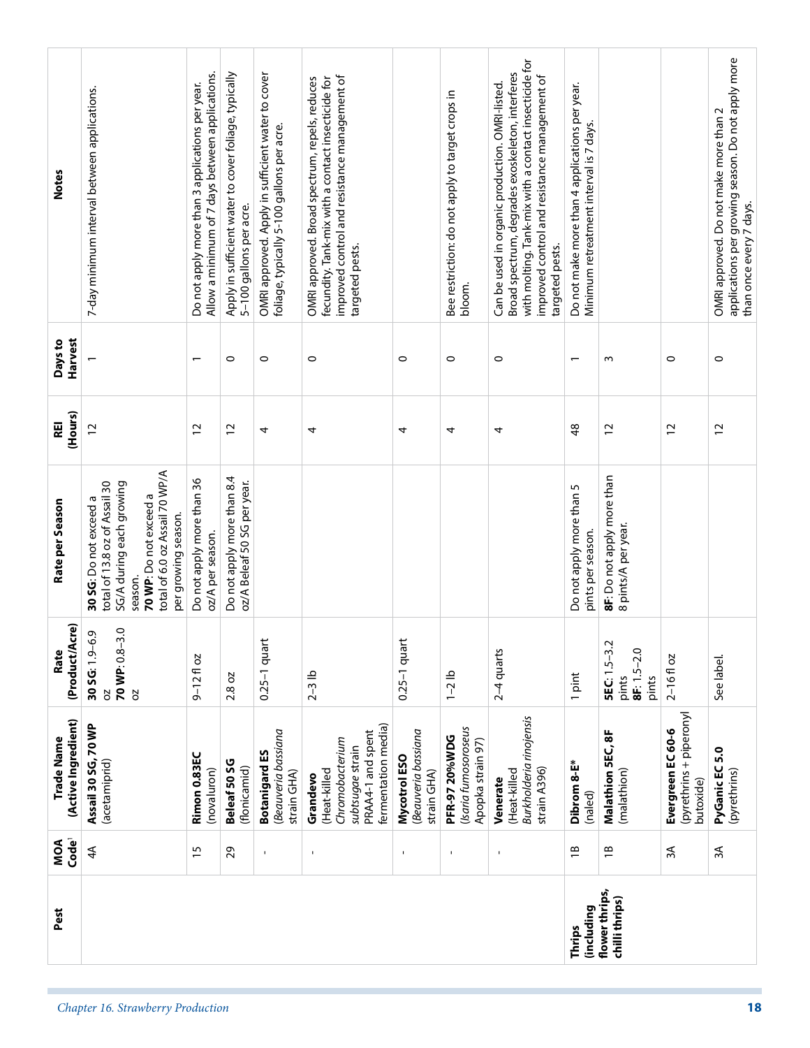| Pest                              |                                                                                                                                                                                   |                                                                                                    |                                                                                  |                                                                                                 |                                                                                                                                                                          |                                                   |                                                                   |                                                                                                                                                                                                                                  | (including<br>Thrips                                                                      | flower thrips,<br>chilli thrips)                         |                                                           |                                                                                                                         |
|-----------------------------------|-----------------------------------------------------------------------------------------------------------------------------------------------------------------------------------|----------------------------------------------------------------------------------------------------|----------------------------------------------------------------------------------|-------------------------------------------------------------------------------------------------|--------------------------------------------------------------------------------------------------------------------------------------------------------------------------|---------------------------------------------------|-------------------------------------------------------------------|----------------------------------------------------------------------------------------------------------------------------------------------------------------------------------------------------------------------------------|-------------------------------------------------------------------------------------------|----------------------------------------------------------|-----------------------------------------------------------|-------------------------------------------------------------------------------------------------------------------------|
| Code <sup>1</sup><br>MOA          | $4\overline{4}$                                                                                                                                                                   | $\overline{15}$                                                                                    | 29                                                                               |                                                                                                 | $\mathbf I$                                                                                                                                                              | $\blacksquare$                                    | $\blacksquare$                                                    | $\mathbf{I}$                                                                                                                                                                                                                     | $\overline{1}$                                                                            | $\overline{1}$                                           | 3A                                                        | ЗÁ                                                                                                                      |
| (Active Ingredient)<br>Trade Name | Assail 30 SG, 70 WP<br>(acetamiprid)                                                                                                                                              | Rimon 0.83EC<br>(novaluron)                                                                        | Beleaf 50 SG<br>(flonicamid)                                                     | Beauveria bassiana<br><b>Botanigard ES</b><br>strain GHA)                                       | fermentation media)<br>PRAA4-1 and spent<br>Chromobacterium<br>subtsugae strain<br>(Heat-killed<br>Grandevo                                                              | Beauveria bassiana<br>Mycotrol ESO<br>strain GHA) | (Isaria fumosoroseus<br><b>PFR-97 20%WDG</b><br>Apopka strain 97) | Burkholderia rinojensis<br>strain A396)<br>(Heat-killed<br>Venerate                                                                                                                                                              | Dibrom 8-E*<br>(naled)                                                                    | Malathion 5EC, 8F<br>(malathion)                         | (pyrethrins + piperonyl<br>Evergreen EC 60-6<br>butoxide) | PyGanic EC 5.0<br>(pyrethrins)                                                                                          |
| (Product/Acre)<br>Rate            | 70 WP: 0.8-3.0<br>Ō,<br>30 SG: 1.9-6<br>ð<br>S                                                                                                                                    | $9 - 12f$ oz                                                                                       | 2.8 oz                                                                           | $0.25-1$ quart                                                                                  | $2-3$ lb                                                                                                                                                                 | $0.25 - 1$ quart                                  | $1 - 2$ lb                                                        | $2-4$ quarts                                                                                                                                                                                                                     | 1 pint                                                                                    | <b>SEC: 1.5-3.2</b><br>$8F: 1.5 - 2.0$<br>pints<br>pints | $2 - 16f$ oz                                              | See label.                                                                                                              |
| Rate per Season                   | total of 6.0 oz Assail 70 WP/A<br>SG/A during each growing<br>total of 13.8 oz of Assail 30<br>70 WP: Do not exceed a<br>30 SG: Do not exceed a<br>per growing season.<br>season. | Do not apply more than 36<br>oz/A per season.                                                      | Do not apply more than 8.4<br>oz/A Beleaf 50 SG per year.                        |                                                                                                 |                                                                                                                                                                          |                                                   |                                                                   |                                                                                                                                                                                                                                  | Do not apply more than 5<br>pints per season.                                             | 8F: Do not apply more than<br>8 pints/A per year.        |                                                           |                                                                                                                         |
| (Hours)<br>REI                    | $\overline{c}$                                                                                                                                                                    | $\overline{c}$                                                                                     | $\overline{c}$                                                                   | 4                                                                                               | 4                                                                                                                                                                        | 4                                                 | 4                                                                 | 4                                                                                                                                                                                                                                | $\frac{8}{3}$                                                                             | $\overline{c}$                                           | $\overline{c}$                                            | $\overline{c}$                                                                                                          |
| Harvest<br>Days to                |                                                                                                                                                                                   | $\overline{\phantom{0}}$                                                                           | $\circ$                                                                          | $\circ$                                                                                         | $\circ$                                                                                                                                                                  | $\circ$                                           | $\circ$                                                           | $\circ$                                                                                                                                                                                                                          | $\overline{\phantom{0}}$                                                                  | $\sim$                                                   | $\circ$                                                   | $\circ$                                                                                                                 |
| <b>Notes</b>                      | 7-day minimum interval between applications.                                                                                                                                      | Allow a minimum of 7 days between applications.<br>Do not apply more than 3 applications per year. | Apply in sufficient water to cover foliage, typically<br>5-100 gallons per acre. | OMRI approved. Apply in sufficient water to cover<br>foliage, typically 5-100 gallons per acre. | improved control and resistance management of<br>OMRI approved. Broad spectrum, repels, reduces<br>fecundity. Tank-mix with a contact insecticide for<br>targeted pests. |                                                   | Bee restriction: do not apply to target crops in<br>bloom.        | with molting. Tank-mix with a contact insecticide for<br>Broad spectrum, degrades exoskeleton, interferes<br>improved control and resistance management of<br>Can be used in organic production. OMRI-listed.<br>targeted pests. | Do not make more than 4 applications per year.<br>Minimum retreatment interval is 7 days. |                                                          |                                                           | applications per growing season. Do not apply more<br>OMRI approved. Do not make more than 2<br>than once every 7 days. |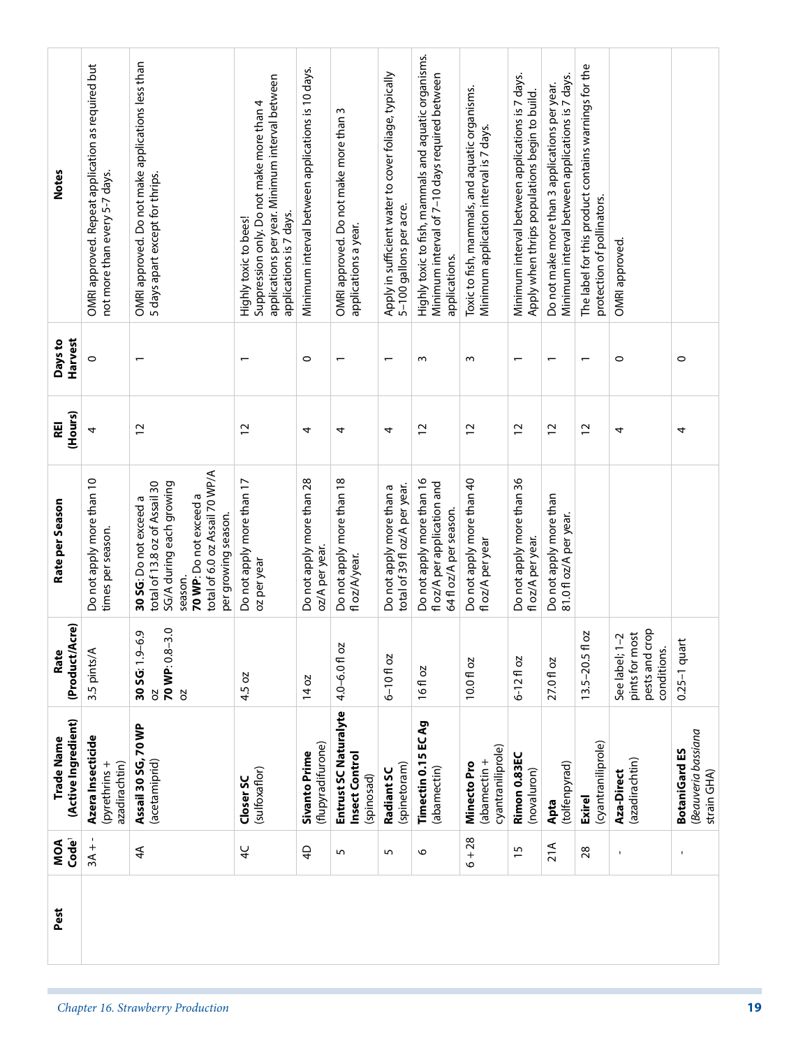| Suppression only. Do not make more than 4<br>OMRI approved. Do not make more than 3<br>Minimum application interval is 7 days.<br><b>Notes</b><br>not more than every 5-7 days.<br>5 days apart except for thrips.<br>protection of pollinators.<br>5-100 gallons per acre.<br>applications is 7 days.<br>Highly toxic to bees!<br>applications a year.<br>OMRI approved.<br>applications.<br>Harvest<br>Days to<br>$\circ$<br>$\circ$<br>$\circ$<br>ω<br>$\sim$<br>$\overline{\phantom{0}}$<br>$\overline{\phantom{0}}$<br>$\overline{\phantom{0}}$<br>$\overline{\phantom{0}}$<br>$\overline{\phantom{0}}$<br>$\overline{\phantom{0}}$<br>(Hours)<br>REI<br>$\overline{c}$<br>12<br>$\overline{c}$<br>$\overline{c}$<br>$\overline{c}$<br>$\overline{c}$<br>$\overline{c}$<br>4<br>4<br>4<br>4<br>4<br>total of 6.0 oz Assail 70 WP/A<br>Do not apply more than 18<br>Do not apply more than 16<br>Do not apply more than 40<br>Do not apply more than 36<br>Do not apply more than 10<br>Do not apply more than 28<br>Do not apply more than 17<br>total of 13.8 oz of Assail 30<br>SG/A during each growing<br>fl oz/A per application and<br>total of 39 fl oz/A per year.<br>Do not apply more than a<br>Do not apply more than<br>70 WP: Do not exceed a<br>30 SG: Do not exceed a<br>Rate per Season<br>64 fl oz/A per season.<br>81.0 fl oz/A per year.<br>per growing season.<br>times per season.<br>fl oz/A per year.<br>fl oz/A per year<br>oz/A per year.<br>fl oz/A/year.<br>oz per year<br>season.<br>(Product/Acre)<br>70 WP: 0.8-3.0<br>ن<br>20<br>See label; 1-2<br>pints for most<br>30 SG: 1.9-6<br>4.0-6.0 fl oz<br>$13.5 - 20.5$ fl<br>3.5 pints/A<br>Rate<br>$6 - 10f$ oz<br>$6 - 12$ floz<br>10.0 fl oz<br>27.0 fl oz<br>16 fl oz<br>4.5 oz<br>14 oz<br><b>b</b><br>SQ<br>(Active Ingredient)<br>Trade Name<br>(abamectin + | Code <sup>1</sup> | $3A +$                                            | 4A                                                | ¥                                               | $\overline{4}$                                   | 5                                                     | $\overline{5}$                                        | $\mathbf \circ$                                                                                        | $6 + 28$                                       | $\overline{15}$                                                                                   | 21A                                                                                                | 28                                                   |                               | $\blacksquare$                                            |
|------------------------------------------------------------------------------------------------------------------------------------------------------------------------------------------------------------------------------------------------------------------------------------------------------------------------------------------------------------------------------------------------------------------------------------------------------------------------------------------------------------------------------------------------------------------------------------------------------------------------------------------------------------------------------------------------------------------------------------------------------------------------------------------------------------------------------------------------------------------------------------------------------------------------------------------------------------------------------------------------------------------------------------------------------------------------------------------------------------------------------------------------------------------------------------------------------------------------------------------------------------------------------------------------------------------------------------------------------------------------------------------------------------------------------------------------------------------------------------------------------------------------------------------------------------------------------------------------------------------------------------------------------------------------------------------------------------------------------------------------------------------------------------------------------------------------------------------------------|-------------------|---------------------------------------------------|---------------------------------------------------|-------------------------------------------------|--------------------------------------------------|-------------------------------------------------------|-------------------------------------------------------|--------------------------------------------------------------------------------------------------------|------------------------------------------------|---------------------------------------------------------------------------------------------------|----------------------------------------------------------------------------------------------------|------------------------------------------------------|-------------------------------|-----------------------------------------------------------|
|                                                                                                                                                                                                                                                                                                                                                                                                                                                                                                                                                                                                                                                                                                                                                                                                                                                                                                                                                                                                                                                                                                                                                                                                                                                                                                                                                                                                                                                                                                                                                                                                                                                                                                                                                                                                                                                      |                   | Azera Insecticid<br>(pyrethrins+<br>azadirachtin) | Assail 30 SG, 70 WP<br>(acetamiprid)              | (sulfoxaflor)<br>Closer SC                      | (flupyradifurone)<br>Sivanto Prime               | Entrust SC Naturalyte<br>Insect Control<br>(spinosad) | (spinetoram)<br>Radiant SC                            | Timectin 0.15 EC Ag<br>(abamectin)                                                                     | cyantraniliprole)<br>Minecto Pro               | Rimon 0.83EC<br>(novaluron)                                                                       | (tolfenpyrad)<br>Apta                                                                              | (cyantraniliprole)<br><b>Exirel</b>                  | (azadirachtin)<br>Aza-Direct  | Beauveria bassiana<br><b>BotaniGard ES</b><br>strain GHA) |
|                                                                                                                                                                                                                                                                                                                                                                                                                                                                                                                                                                                                                                                                                                                                                                                                                                                                                                                                                                                                                                                                                                                                                                                                                                                                                                                                                                                                                                                                                                                                                                                                                                                                                                                                                                                                                                                      |                   |                                                   |                                                   |                                                 |                                                  |                                                       |                                                       |                                                                                                        |                                                |                                                                                                   |                                                                                                    |                                                      | pests and crop<br>conditions. | $0.25-1$ quart                                            |
|                                                                                                                                                                                                                                                                                                                                                                                                                                                                                                                                                                                                                                                                                                                                                                                                                                                                                                                                                                                                                                                                                                                                                                                                                                                                                                                                                                                                                                                                                                                                                                                                                                                                                                                                                                                                                                                      |                   |                                                   |                                                   |                                                 |                                                  |                                                       |                                                       |                                                                                                        |                                                |                                                                                                   |                                                                                                    |                                                      |                               |                                                           |
|                                                                                                                                                                                                                                                                                                                                                                                                                                                                                                                                                                                                                                                                                                                                                                                                                                                                                                                                                                                                                                                                                                                                                                                                                                                                                                                                                                                                                                                                                                                                                                                                                                                                                                                                                                                                                                                      |                   |                                                   |                                                   |                                                 |                                                  |                                                       |                                                       |                                                                                                        |                                                |                                                                                                   |                                                                                                    |                                                      |                               | 4                                                         |
|                                                                                                                                                                                                                                                                                                                                                                                                                                                                                                                                                                                                                                                                                                                                                                                                                                                                                                                                                                                                                                                                                                                                                                                                                                                                                                                                                                                                                                                                                                                                                                                                                                                                                                                                                                                                                                                      |                   |                                                   |                                                   |                                                 |                                                  |                                                       |                                                       |                                                                                                        |                                                |                                                                                                   |                                                                                                    |                                                      |                               | 0                                                         |
|                                                                                                                                                                                                                                                                                                                                                                                                                                                                                                                                                                                                                                                                                                                                                                                                                                                                                                                                                                                                                                                                                                                                                                                                                                                                                                                                                                                                                                                                                                                                                                                                                                                                                                                                                                                                                                                      |                   | OMRI approved. Repeat application as required but | OMRI approved. Do not make applications less than | applications per year. Minimum interval between | Minimum interval between applications is 10 days |                                                       | Apply in sufficient water to cover foliage, typically | Highly toxic to fish, mammals and aquatic organisms.<br>Minimum interval of 7-10 days required between | Toxic to fish, mammals, and aquatic organisms. | Minimum interval between applications is 7 days.<br>Apply when thrips populations begin to build. | Minimum interval between applications is 7 days.<br>Do not make more than 3 applications per year. | The label for this product contains warnings for the |                               |                                                           |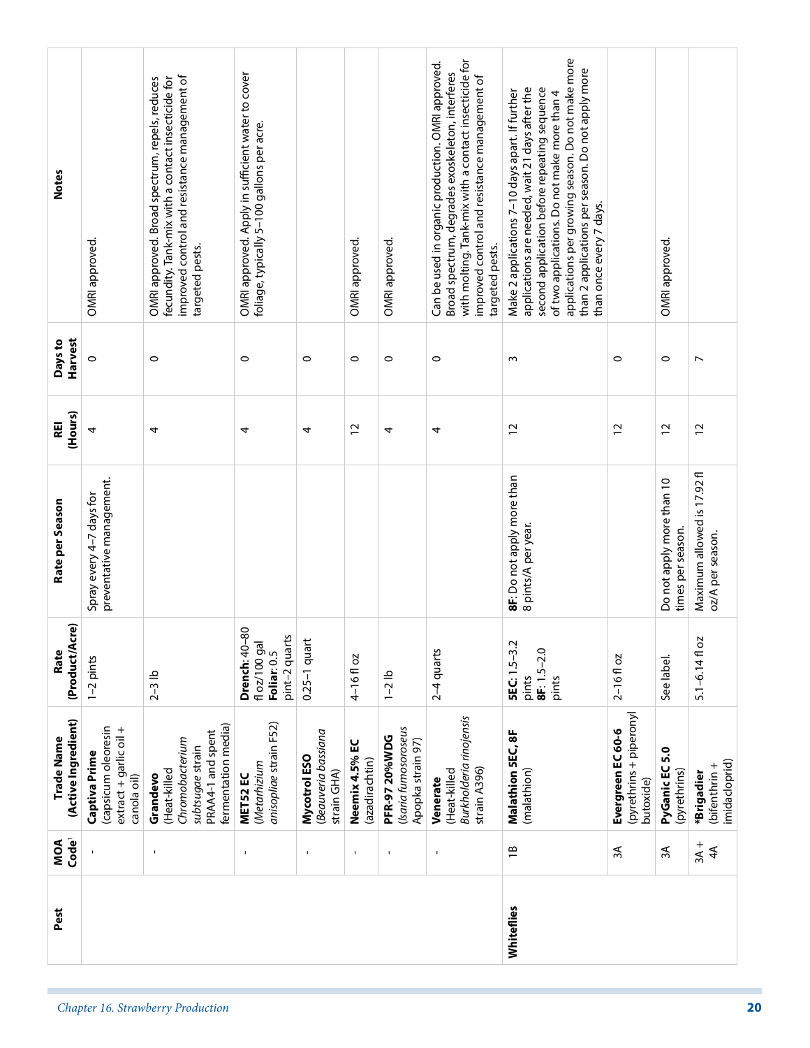| Pest                              |                                                                               |                                                                                                                                                                          |                                                                                                 |                                                   |                                  |                                                                   |                                                                                                                                                                                                                                    | Whiteflies                                                                                                                                                                                                                                                                                                                              |                                                           |                                                |                                                 |
|-----------------------------------|-------------------------------------------------------------------------------|--------------------------------------------------------------------------------------------------------------------------------------------------------------------------|-------------------------------------------------------------------------------------------------|---------------------------------------------------|----------------------------------|-------------------------------------------------------------------|------------------------------------------------------------------------------------------------------------------------------------------------------------------------------------------------------------------------------------|-----------------------------------------------------------------------------------------------------------------------------------------------------------------------------------------------------------------------------------------------------------------------------------------------------------------------------------------|-----------------------------------------------------------|------------------------------------------------|-------------------------------------------------|
| Code <sup>1</sup><br>MOA          |                                                                               | $\mathbf{I}$                                                                                                                                                             | J,                                                                                              | $\mathbf{I}$                                      | $\mathbf{I}$                     | $\blacksquare$                                                    | ٠                                                                                                                                                                                                                                  | $\overline{1}$                                                                                                                                                                                                                                                                                                                          | $\approx$                                                 | 3A                                             | $3A +$<br>4 <sup>4</sup>                        |
| (Active Ingredient)<br>Trade Name | (capsicum oleoresin<br>extract + garlic oil +<br>Captiva Prime<br>canola oil) | fermentation media)<br>PRAA4-1 and spent<br>Chromobacterium<br>subtsugae strain<br>(Heat-killed<br>Grandevo                                                              | anisopliae strain F52)<br>(Metarhizium<br>MET52 EC                                              | Beauveria bassiana<br>Mycotrol ESO<br>strain GHA) | Neemix 4.5% EC<br>(azadirachtin) | (Isaria fumosoroseus<br><b>PFR-97 20%WDG</b><br>Apopka strain 97) | Burkholderia rinojensis<br>strain A396)<br>(Heat-killed<br>Venerate                                                                                                                                                                | Malathion 5EC, 8F<br>(malathion)                                                                                                                                                                                                                                                                                                        | (pyrethrins + piperonyl<br>Evergreen EC 60-6<br>butoxide) | 5.0<br>PyGanic EC<br>(pyrethrins)              | imidacloprid)<br>(bifenthrin +<br>*Brigadier    |
| (Product/Acre)<br>Rate            | $1-2$ pints                                                                   | $2-3$ lb                                                                                                                                                                 | 80<br>pint-2 quarts<br>floz/100 gal<br>Drench: 40-<br>Foliar: 0.5                               | $0.25-1$ quart                                    | 4-16floz                         | $1 - 2$ lb                                                        | $2-4$ quarts                                                                                                                                                                                                                       | <b>SEC:</b> 1.5-3.2<br>$8F: 1.5 - 2.0$<br>pints<br>pints                                                                                                                                                                                                                                                                                | $2 - 16f$ oz                                              | See label.                                     | $5.1 - 6.14f$ oz                                |
| Rate per Season                   | preventative management.<br>Spray every 4-7 days for                          |                                                                                                                                                                          |                                                                                                 |                                                   |                                  |                                                                   |                                                                                                                                                                                                                                    | 8F: Do not apply more than<br>8 pints/A per year.                                                                                                                                                                                                                                                                                       |                                                           | Do not apply more than 10<br>times per season. | Maximum allowed is 17.92 fl<br>oz/A per season. |
| (Hours)<br>REI                    | 4                                                                             | 4                                                                                                                                                                        | 4                                                                                               | 4                                                 | 2                                | 4                                                                 | 4                                                                                                                                                                                                                                  | $\overline{c}$                                                                                                                                                                                                                                                                                                                          | $\overline{c}$                                            | $\overline{c}$                                 | 12                                              |
| Harvest<br>Days to                | $\circ$                                                                       | $\circ$                                                                                                                                                                  | $\circ$                                                                                         | $\circ$                                           | $\circ$                          | $\circ$                                                           | $\circ$                                                                                                                                                                                                                            | $\sim$                                                                                                                                                                                                                                                                                                                                  | $\circ$                                                   | $\circ$                                        | $\overline{ }$                                  |
| <b>Notes</b>                      | OMRI approved.                                                                | improved control and resistance management of<br>OMRI approved. Broad spectrum, repels, reduces<br>fecundity. Tank-mix with a contact insecticide for<br>targeted pests. | OMRI approved. Apply in sufficient water to cover<br>foliage, typically 5-100 gallons per acre. |                                                   | OMRI approved.                   | OMRI approved.                                                    | with molting. Tank-mix with a contact insecticide for<br>Can be used in organic production. OMRI approved.<br>Broad spectrum, degrades exoskeleton, interferes<br>improved control and resistance management of<br>targeted pests. | applications per growing season. Do not make more<br>than 2 applications per season. Do not apply more<br>second application before repeating sequence<br>applications are needed, wait 21 days after the<br>Make 2 applications 7-10 days apart. If further<br>of two applications. Do not make more than 4<br>than once every 7 days. |                                                           | OMRI approved.                                 |                                                 |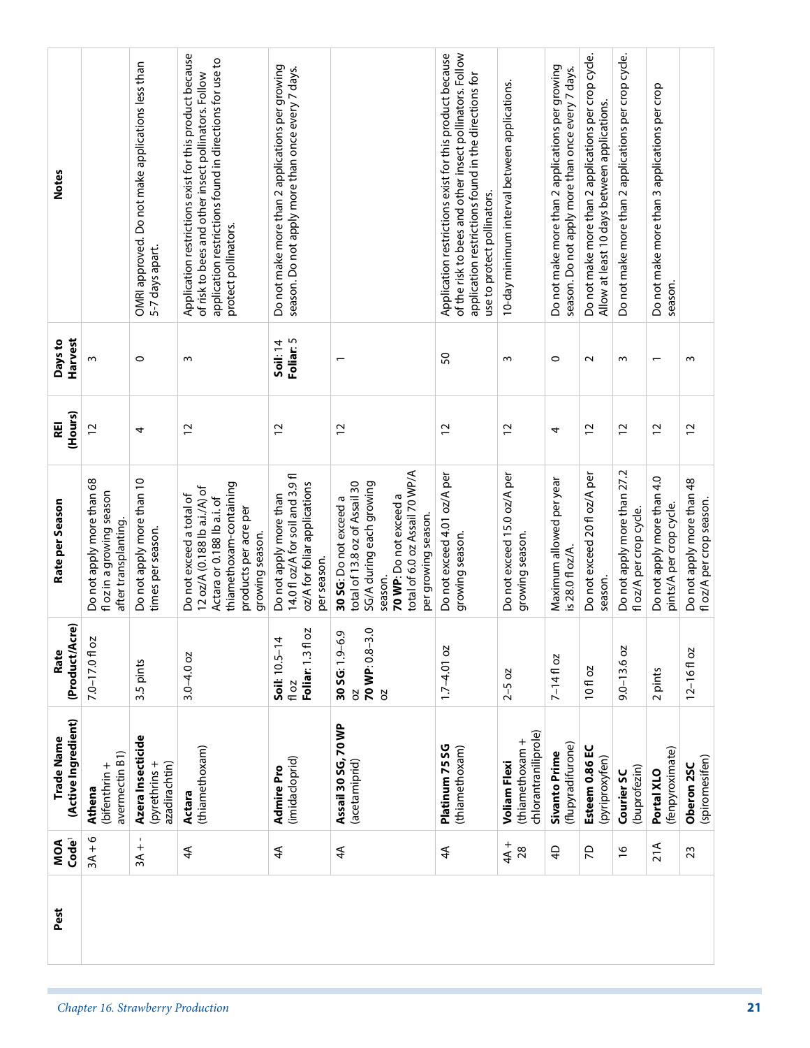| Code <sup>1</sup><br>MOA | (Active Ingredient)<br>Trade Name                              | <u>e)</u><br>(Product/Ac<br>Rate                       | Rate per Season                                                                                                                                                                   | (Hours)<br>REI | Harvest<br>Days to           | <b>Notes</b>                                                                                                                                                                                               |  |
|--------------------------|----------------------------------------------------------------|--------------------------------------------------------|-----------------------------------------------------------------------------------------------------------------------------------------------------------------------------------|----------------|------------------------------|------------------------------------------------------------------------------------------------------------------------------------------------------------------------------------------------------------|--|
| $3A + 6$                 | avermectin B1)<br>(bifenthrin +<br>Athena                      | $7.0 - 17.0$ fl oz                                     | Do not apply more than 68<br>fl oz in a growing season<br>after transplanting.                                                                                                    | $\overline{c}$ | ω                            |                                                                                                                                                                                                            |  |
| $3A +$                   | Azera Insecticide<br>azadirachtin)<br>(pyrethrins+             | 3.5 pints                                              | Do not apply more than 10<br>times per season.                                                                                                                                    | 4              | $\circ$                      | OMRI approved. Do not make applications less than<br>5-7 days apart.                                                                                                                                       |  |
| $4\overline{4}$          | (thiamethoxam)<br>Actara                                       | $3.0 - 4.0$ oz                                         | thiamethoxam-containing<br>12 oz/A (0.188 lb a.i./A) of<br>Do not exceed a total of<br>Actara or 0.188 lb a.i. of<br>products per acre per<br>growing season.                     | $\overline{c}$ | S                            | Application restrictions exist for this product because<br>application restrictions found in directions for use to<br>of risk to bees and other insect pollinators. Follow<br>protect pollinators.         |  |
| $4\overline{4}$          | (imidacloprid)<br>Admire Pro                                   | <b>S</b><br>$Soli: 10.5-14$<br>Foliar: 1.3 fl<br>fl oz | 14.0 fl oz/A for soil and 3.9 fl<br>oz/A for foliar applications<br>Do not apply more than<br>per season.                                                                         | $\overline{c}$ | Foliar: 5<br><b>Soil:</b> 14 | Do not make more than 2 applications per growing<br>season. Do not apply more than once every 7 days.                                                                                                      |  |
| $4\overline{4}$          | Assail 30 SG, 70 WP<br>(acetamiprid)                           | 9<br>Ō<br>30 SG: 1.9-6.<br>70 WP: 0.8-3<br>5Q<br>5     | total of 6.0 oz Assail 70 WP/A<br>SG/A during each growing<br>total of 13.8 oz of Assail 30<br>70 WP: Do not exceed a<br>30 SG: Do not exceed a<br>per growing season.<br>season. | $\overline{c}$ | $\overline{\phantom{0}}$     |                                                                                                                                                                                                            |  |
| 4A                       | Platinum 75 SG<br>(thiamethoxam)                               | $1.7 - 4.01$ oz                                        | Do not exceed 4.01 oz/A per<br>growing season.                                                                                                                                    | $\overline{c}$ | SO                           | Application restrictions exist for this product because<br>of the risk to bees and other insect pollinators. Follow<br>application restrictions found in the directions for<br>use to protect pollinators. |  |
| $+4A$<br>28              | chlorantraniliprole)<br>(thiamethoxam +<br><b>Voliam Flexi</b> | $2 - 5 oz$                                             | Do not exceed 15.0 oz/A per<br>growing season.                                                                                                                                    | $\overline{c}$ | w                            | 10-day minimum interval between applications.                                                                                                                                                              |  |
| $\overline{4}$           | (flupyradifurone)<br>Sivanto Prime                             | ŏ<br>$7 - 14$ fl $($                                   | Maximum allowed per year<br>is 28.0 fl oz/A.                                                                                                                                      | 4              | 0                            | Do not make more than 2 applications per growing<br>season. Do not apply more than once every 7 days.                                                                                                      |  |
| 5                        | Esteem 0.86 EC<br>(pyriproxyfen)                               | 10 fl oz                                               | Do not exceed 20 fl oz/A per<br>season.                                                                                                                                           | $\overline{c}$ | $\sim$                       | Do not make more than 2 applications per crop cycle.<br>Allow at least 10 days between applications.                                                                                                       |  |
| $\frac{9}{2}$            | (buprofezin)<br>Courier SC                                     | $9.0 - 13.6$ oz                                        | Do not apply more than 27.2<br>fl oz/A per crop cycle.                                                                                                                            | $\overline{c}$ | w                            | Do not make more than 2 applications per crop cycle.                                                                                                                                                       |  |
| 21A                      | (fenpyroximate)<br>Portal XLO                                  | 2 pints                                                | Do not apply more than 4.0<br>pints/A per crop cycle.                                                                                                                             | $\overline{c}$ |                              | Do not make more than 3 applications per crop<br>season.                                                                                                                                                   |  |
| 23                       | (spiromesifen)<br>Oberon 25C                                   | $12 - 16f$ oz                                          | Do not apply more than 48<br>fl oz/A per crop season.                                                                                                                             | $\overline{c}$ | S                            |                                                                                                                                                                                                            |  |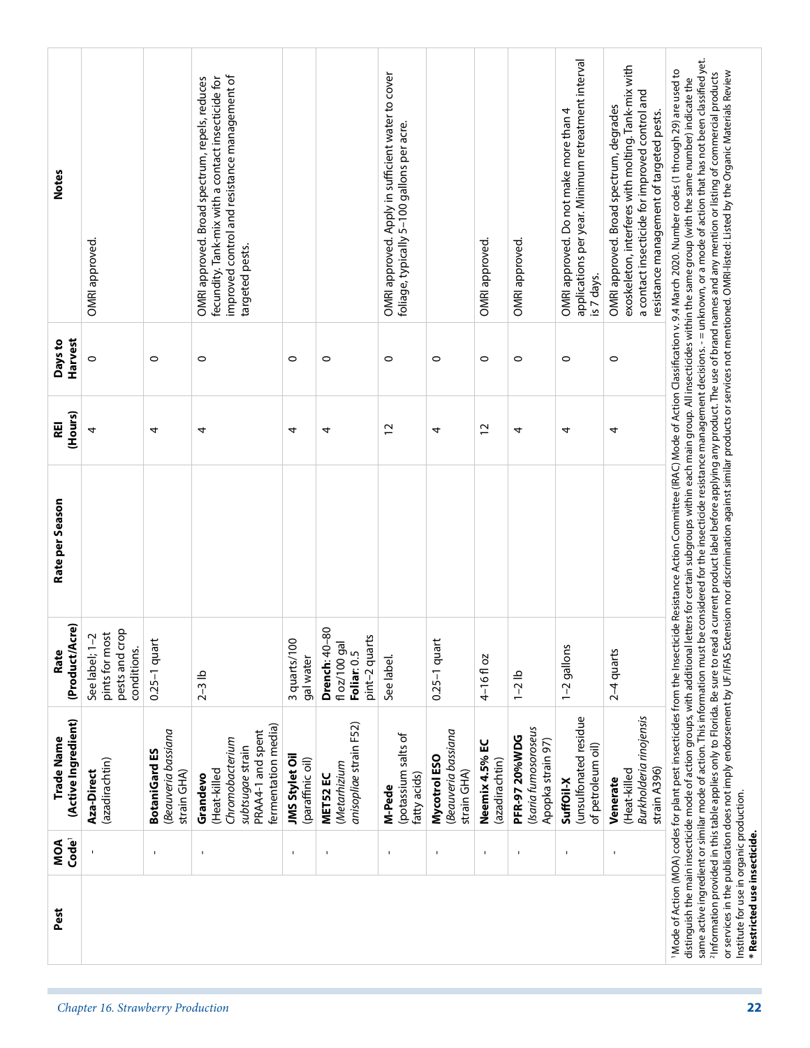|                                   | Pest                                                                      | Code <sup>1</sup><br>MOA | (Active Ingredient)<br>Trade Name                                                                           | (Product/Acre)<br>Rate                                             | Rate per Season | (Hours)<br>REI | Harvest<br>Days to | <b>Notes</b>                                                                                                                                                                                                                                                                                                                                                                                                                                                                                                                                                                                                                                                                                                                                                                                                                                                                                                                                                                                                                                                          |  |
|-----------------------------------|---------------------------------------------------------------------------|--------------------------|-------------------------------------------------------------------------------------------------------------|--------------------------------------------------------------------|-----------------|----------------|--------------------|-----------------------------------------------------------------------------------------------------------------------------------------------------------------------------------------------------------------------------------------------------------------------------------------------------------------------------------------------------------------------------------------------------------------------------------------------------------------------------------------------------------------------------------------------------------------------------------------------------------------------------------------------------------------------------------------------------------------------------------------------------------------------------------------------------------------------------------------------------------------------------------------------------------------------------------------------------------------------------------------------------------------------------------------------------------------------|--|
| Chapter 16. Strawberry Production |                                                                           |                          | (azadirachtin)<br>Aza-Direct                                                                                | pests and crop<br>pints for most<br>See label; 1-2<br>conditions.  |                 | 4              | $\circ$            | OMRI approved.                                                                                                                                                                                                                                                                                                                                                                                                                                                                                                                                                                                                                                                                                                                                                                                                                                                                                                                                                                                                                                                        |  |
|                                   |                                                                           | $\mathbf I$              | Beauveria bassiana<br><b>BotaniGard ES</b><br>strain GHA)                                                   | $0.25-1$ quart                                                     |                 | 4              | $\circ$            |                                                                                                                                                                                                                                                                                                                                                                                                                                                                                                                                                                                                                                                                                                                                                                                                                                                                                                                                                                                                                                                                       |  |
|                                   |                                                                           | $\blacksquare$           | fermentation media)<br>PRAA4-1 and spent<br>Chromobacterium<br>subtsugae strain<br>(Heat-killed<br>Grandevo | $2-3$ lb                                                           |                 | 4              | $\circ$            | improved control and resistance management of<br>OMRI approved. Broad spectrum, repels, reduces<br>fecundity. Tank-mix with a contact insecticide for<br>targeted pests.                                                                                                                                                                                                                                                                                                                                                                                                                                                                                                                                                                                                                                                                                                                                                                                                                                                                                              |  |
|                                   |                                                                           | 1                        | JMS Stylet Oil<br>(paraffinic oil)                                                                          | 3 quarts/100<br>gal water                                          |                 | 4              | $\circ$            |                                                                                                                                                                                                                                                                                                                                                                                                                                                                                                                                                                                                                                                                                                                                                                                                                                                                                                                                                                                                                                                                       |  |
|                                   |                                                                           | $\overline{\phantom{a}}$ | anisopliae strain F52)<br>(Metarhizium<br>MET52 EC                                                          | 80<br>pint-2 quarts<br>fl oz/100 gal<br>Drench: 40-<br>Foliar: 0.5 |                 | 4              | $\circ$            |                                                                                                                                                                                                                                                                                                                                                                                                                                                                                                                                                                                                                                                                                                                                                                                                                                                                                                                                                                                                                                                                       |  |
|                                   |                                                                           | $\blacksquare$           | (potassium salts of<br>fatty acids)<br>M-Pede                                                               | See label.                                                         |                 | $\overline{c}$ | $\circ$            | OMRI approved. Apply in sufficient water to cover<br>foliage, typically 5-100 gallons per acre.                                                                                                                                                                                                                                                                                                                                                                                                                                                                                                                                                                                                                                                                                                                                                                                                                                                                                                                                                                       |  |
|                                   |                                                                           | $\blacksquare$           | Beauveria bassiana<br>Mycotrol ESO<br>strain GHA)                                                           | $0.25-1$ quart                                                     |                 | 4              | $\circ$            |                                                                                                                                                                                                                                                                                                                                                                                                                                                                                                                                                                                                                                                                                                                                                                                                                                                                                                                                                                                                                                                                       |  |
|                                   |                                                                           | $\mathbf{I}$             | Neemix 4.5% EC<br>(azadirachtin)                                                                            | 4-16floz                                                           |                 | $\overline{c}$ | $\circ$            | OMRI approved.                                                                                                                                                                                                                                                                                                                                                                                                                                                                                                                                                                                                                                                                                                                                                                                                                                                                                                                                                                                                                                                        |  |
|                                   |                                                                           | Ţ                        | (Isaria fumosoroseus<br><b>PFR-97 20%WDG</b><br>Apopka strain 97)                                           | $1 - 2$ lb                                                         |                 | 4              | $\circ$            | OMRI approved.                                                                                                                                                                                                                                                                                                                                                                                                                                                                                                                                                                                                                                                                                                                                                                                                                                                                                                                                                                                                                                                        |  |
|                                   |                                                                           | $\blacksquare$           | unsulfonated residue<br>of petroleum oil)<br>SuffOil-X                                                      | 1-2 gallons                                                        |                 | 4              | $\circ$            | applications per year. Minimum retreatment interval<br>OMRI approved. Do not make more than 4<br>is 7 days.                                                                                                                                                                                                                                                                                                                                                                                                                                                                                                                                                                                                                                                                                                                                                                                                                                                                                                                                                           |  |
|                                   |                                                                           |                          | Burkholderia rinojensis<br>strain A396)<br>(Heat-killed<br>Venerate                                         | $2-4$ quarts                                                       |                 | 4              | $\circ$            | exoskeleton, interferes with molting. Tank-mix with<br>a contact insecticide for improved control and<br>OMRI approved. Broad spectrum, degrades<br>resistance management of targeted pests.                                                                                                                                                                                                                                                                                                                                                                                                                                                                                                                                                                                                                                                                                                                                                                                                                                                                          |  |
| 22                                | Institute for use in organic production.<br>* Restricted use insecticide. |                          |                                                                                                             |                                                                    |                 |                |                    | same active ingredient or similar mode of action. This information must be considered for the insecticide resistance management decisions. - = unknown, or a mode of action that has not been classified yet.<br>I Mode of Action (MOA) codes for plant pest insecticides from the Insecticide Resistance Action Committee (IRAC) Mode of Action Classification v. 9.4 March 2020. Number codes (1 through 29) are used to<br>or services in the publication does not imply endorsement by UF/IFAS Extension nor discrimination against similar products or services not mentioned. OMRI-listed by the Organic Materials Review<br><sup>2</sup> Information provided in this table applies only to Florida. Be sure to read a current product label before applying any product. The use of brand names and any mention or listing of commercial products<br>distinguish the main insecticide mode of action groups, with additional letters for certain subgroups within each main group. All insecticides within the same group (with the same number) indicate the |  |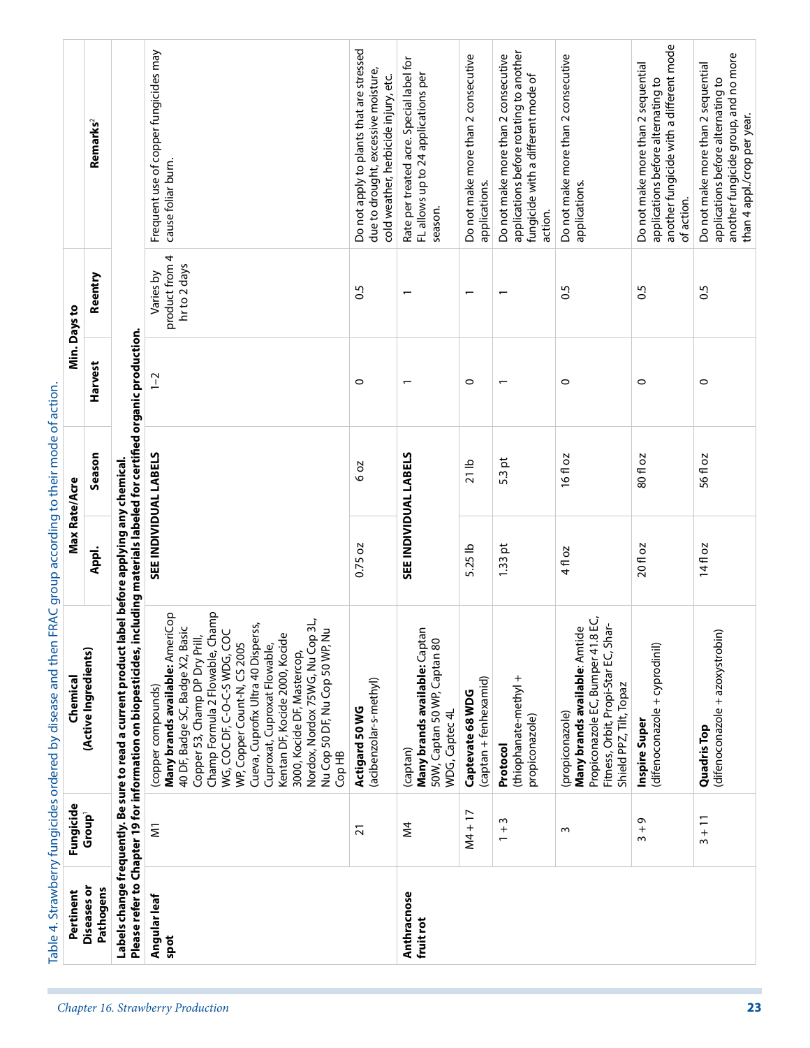| 16fl oz<br>80 fl oz<br>20 fl oz<br>4 fl oz<br>(propiconazore,<br><b>Many brands available</b> : Amtide<br>--'- FC Rumper 41 8 EC,<br>Fitness, Orbit, Propi-Star EC, Shar-<br>(difenoconazole + cyprodinil)<br>Shield PPZ, Tilt, Topaz<br>Inspire Super<br>Ō<br>$\frac{1}{3}$<br>S | applications.<br>of action.<br>action.<br>0.5<br>0.5<br>$\circ$<br>0<br>5.3 pt | applications.<br>$\overline{\phantom{0}}$<br>$\circ$<br>$\overline{ }$ | season.<br>$\overline{ }$ | 0.5<br>$\circ$<br>6 oz                   | cause foliar burn.<br>product from 4<br>hr to 2 days<br>Varies by<br>$\overline{1}$ -2<br>SEE INDIVIDUAL LABELS | Remarks <sup>2</sup><br>Reentry<br>Please refer to Chapter 19 for information on biopesticides, including materials labeled for certified organic production.<br>Harvest<br>Season | Min. Days to | another fungicide with a different mode<br>Do not apply to plants that are stressed<br>Frequent use of copper fungicides may<br>applications before rotating to another<br>Do not make more than 2 consecutive<br>Do not make more than 2 consecutive<br>Do not make more than 2 consecutive<br>Rate per treated acre. Special label for<br>Do not make more than 2 sequential<br>due to drought, excessive moisture,<br>fungicide with a different mode of<br>FL allows up to 24 applications per<br>cold weather, herbicide injury, etc.<br>applications before alternating to |
|-----------------------------------------------------------------------------------------------------------------------------------------------------------------------------------------------------------------------------------------------------------------------------------|--------------------------------------------------------------------------------|------------------------------------------------------------------------|---------------------------|------------------------------------------|-----------------------------------------------------------------------------------------------------------------|------------------------------------------------------------------------------------------------------------------------------------------------------------------------------------|--------------|----------------------------------------------------------------------------------------------------------------------------------------------------------------------------------------------------------------------------------------------------------------------------------------------------------------------------------------------------------------------------------------------------------------------------------------------------------------------------------------------------------------------------------------------------------------------------------|
| 56 fl oz<br>14fl oz<br>(difenoconazole + azoxystrobin)<br><b>Quadris Top</b><br>$3 + 11$                                                                                                                                                                                          | $\circ$                                                                        |                                                                        |                           | SEE INDIVIDUAL LABELS<br>21 <sub>1</sub> |                                                                                                                 |                                                                                                                                                                                    |              | another fungicide group, and no more<br>Do not make more than 2 sequential<br>applications before alternating to<br>than 4 appl./crop per year.<br>0.5                                                                                                                                                                                                                                                                                                                                                                                                                           |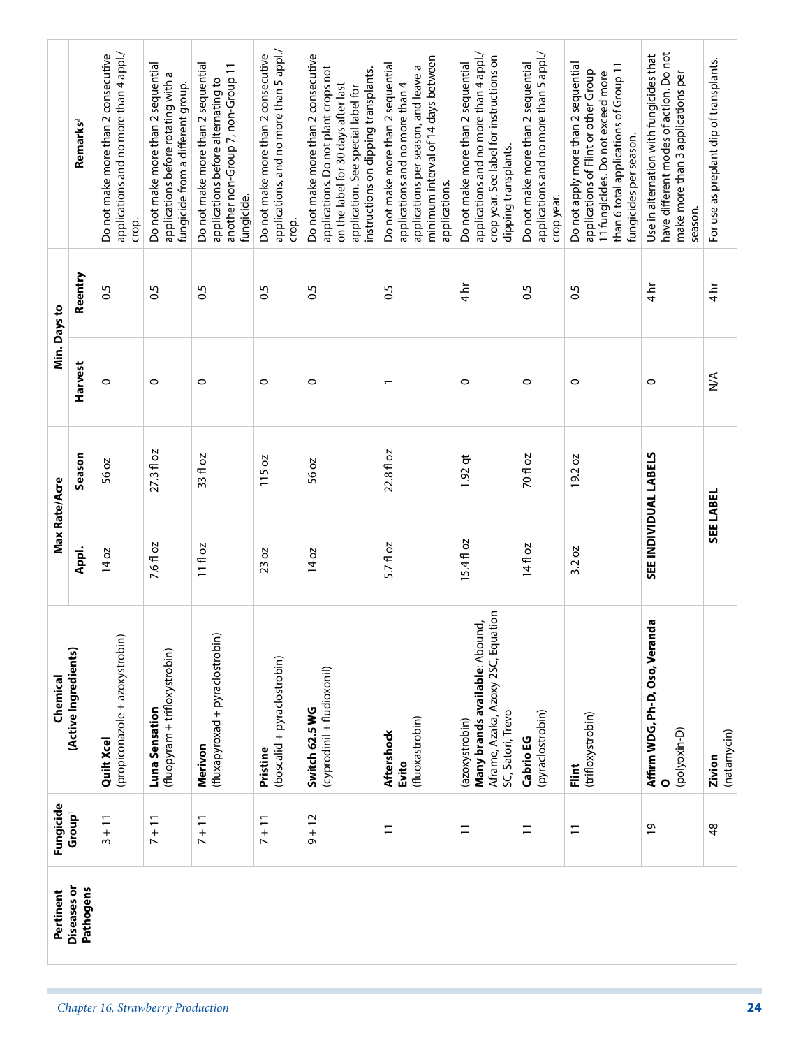|                                   | Pertinent                       | Fungicide                       | Chemical                                                                                                    | Max Rate/Acre                |                  |                  | Min. Days to     |                                                                                                                                                                                                  |
|-----------------------------------|---------------------------------|---------------------------------|-------------------------------------------------------------------------------------------------------------|------------------------------|------------------|------------------|------------------|--------------------------------------------------------------------------------------------------------------------------------------------------------------------------------------------------|
|                                   | <b>Diseases</b> or<br>Pathogens | Group <sup>1</sup>              | (Active Ingredients)                                                                                        | Appl.                        | Season           | Harvest          | Reentry          | Remarks <sup>2</sup>                                                                                                                                                                             |
|                                   |                                 | $3 + 11$                        | (propiconazole + azoxystrobin)<br>Quilt Xcel                                                                | $14$ oz                      | 56 oz            | $\circ$          | $\frac{5}{2}$    | applications and no more than 4 appl./<br>Do not make more than 2 consecutive<br>crop.                                                                                                           |
| Chapter 16. Strawberry Production |                                 | $\frac{1}{1}$<br>$\overline{ }$ | (fluopyram + trifloxystrobin)<br>Luna Sensation                                                             | 7.6 fl oz                    | $27.3f$ oz       | $\circ$          | $\overline{0}$   | Do not make more than 2 sequential<br>applications before rotating with a<br>fungicide from a different group.                                                                                   |
|                                   |                                 | $\frac{1}{1}$<br>$\overline{ }$ | (fluxapyroxad + pyraclostrobin)<br>Merivon                                                                  | 11 fl oz                     | 33 fl oz         | 0                | $\overline{0}$   | Do not make more than 2 sequential<br>another non-Group 7, non-Group 11<br>applications before alternating to<br>fungicide.                                                                      |
|                                   |                                 | $7 + 11$                        | (boscalid + pyraclostrobin)<br>Pristine                                                                     | <b>DZ</b><br>23 <sub>1</sub> | SO<br><b>115</b> | $\circ$          | $\overline{0.5}$ | applications, and no more than 5 appl./<br>Do not make more than 2 consecutive<br>crop.                                                                                                          |
|                                   |                                 | $9 + 12$                        | (cyprodinil + fludioxonil)<br>Switch 62.5 WG                                                                | 14 oz                        | 56 oz            | $\circ$          | $\overline{0}$   | Do not make more than 2 consecutive<br>applications. Do not plant crops not<br>instructions on dipping transplants.<br>on the label for 30 days after last<br>application. See special label for |
|                                   |                                 | $\overline{1}$                  | (fluoxastrobin)<br>Aftershock<br>Evito                                                                      | 5.7 fl oz                    | 22.8 fl oz       | $\overline{ }$   | $\overline{0}$   | minimum interval of 14 days between<br>Do not make more than 2 sequential<br>applications per season, and leave a<br>applications and no more than 4<br>applications.                            |
|                                   |                                 | $\overline{1}$                  | Aframe, Azaka, Azoxy 2SC, Equation<br>Many brands available: Abound,<br>SC, Satori, Trevo<br>(azoxystrobin) | 15.4fl oz                    | $1.92$ qt        | 0                | $4 h$ r          | applications and no more than 4 appl./<br>crop year. See label for instructions on<br>Do not make more than 2 sequential<br>dipping transplants.                                                 |
|                                   |                                 | $\overline{1}$                  | (pyraclostrobin)<br>Cabrio EG                                                                               | 14 fl oz                     | 70 fl oz         | $\circ$          | S.O              | applications and no more than 5 appl./<br>Do not make more than 2 sequential<br>crop year.                                                                                                       |
|                                   |                                 | $\overline{1}$                  | (trifloxystrobin)<br>i.<br>Eliat                                                                            | 3.2 oz                       | 19.2 oz          | $\circ$          | 0.5              | Do not apply more than 2 sequential<br>than 6 total applications of Group 11<br>applications of Flint or other Group<br>11 fungicides. Do not exceed more<br>fungicides per season.              |
|                                   |                                 | $\overline{6}$                  | 용<br>Affirm WDG, Ph-D, Oso, Veran<br>(polyoxin-D)<br>$\circ$                                                | SEE INDIVIDUAL LABELS        |                  | $\circ$          | $4\overline{h}$  | have different modes of action. Do not<br>Use in alternation with fungicides that<br>make more than 3 applications per<br>season.                                                                |
|                                   |                                 | 48                              | (natamycin)<br>Zivion                                                                                       | SEE LABEL                    |                  | $\sum_{i=1}^{n}$ | $4 h$ r          | For use as preplant dip of transplants.                                                                                                                                                          |
| 24                                |                                 |                                 |                                                                                                             |                              |                  |                  |                  |                                                                                                                                                                                                  |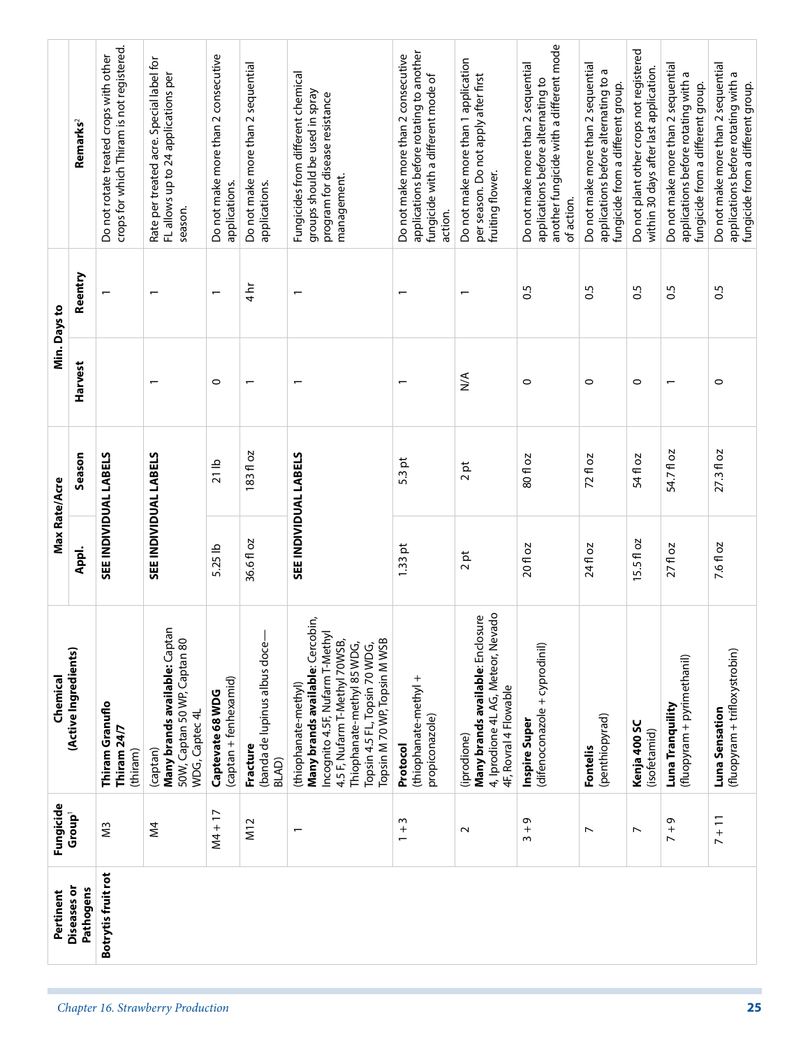|               | Remarks <sup>2</sup>            | crops for which Thiram is not registered.<br>Do not rotate treated crops with other | Rate per treated acre. Special label for<br>FL allows up to 24 applications per<br>season.  | Do not make more than 2 consecutive<br>applications. | Do not make more than 2 sequential<br>applications.      | Fungicides from different chemical<br>groups should be used in spray<br>program for disease resistance<br>management.                                                                                                      | applications before rotating to another<br>Do not make more than 2 consecutive<br>fungicide with a different mode of<br>action. | Do not make more than 1 application<br>per season. Do not apply after first<br>fruiting flower.                | another fungicide with a different mode<br>Do not make more than 2 sequential<br>applications before alternating to<br>of action. | Do not make more than 2 sequential<br>applications before alternating to a<br>fungicide from a different group. | Do not plant other crops not registered<br>within 30 days after last application. | Do not make more than 2 sequential<br>applications before rotating with a<br>fungicide from a different group. | Do not make more than 2 sequential<br>applications before rotating with a<br>fungicide from a different group. |
|---------------|---------------------------------|-------------------------------------------------------------------------------------|---------------------------------------------------------------------------------------------|------------------------------------------------------|----------------------------------------------------------|----------------------------------------------------------------------------------------------------------------------------------------------------------------------------------------------------------------------------|---------------------------------------------------------------------------------------------------------------------------------|----------------------------------------------------------------------------------------------------------------|-----------------------------------------------------------------------------------------------------------------------------------|-----------------------------------------------------------------------------------------------------------------|-----------------------------------------------------------------------------------|----------------------------------------------------------------------------------------------------------------|----------------------------------------------------------------------------------------------------------------|
| Min. Days to  | Reentry                         |                                                                                     | ٣                                                                                           | $\overline{\phantom{0}}$                             | $\frac{1}{4}$                                            |                                                                                                                                                                                                                            |                                                                                                                                 |                                                                                                                | 0.5                                                                                                                               | $\overline{0}$                                                                                                  | $\frac{5}{2}$                                                                     | 0.5                                                                                                            | 0.5                                                                                                            |
|               | Harvest                         |                                                                                     | ۳                                                                                           | $\circ$                                              | $\overline{\phantom{0}}$                                 |                                                                                                                                                                                                                            | $\overline{\phantom{0}}$                                                                                                        | $\sum_{i=1}^{n}$                                                                                               | 0                                                                                                                                 | $\circ$                                                                                                         | $\circ$                                                                           |                                                                                                                | $\circ$                                                                                                        |
| Max Rate/Acre | Season                          | SEE INDIVIDUAL LABELS                                                               | SEE INDIVIDUAL LABELS                                                                       | 21 <sub>1</sub>                                      | 183 fl oz                                                | SEE INDIVIDUAL LABELS                                                                                                                                                                                                      | 5.3 pt                                                                                                                          | 2pt                                                                                                            | 80 fl oz                                                                                                                          | 72 fl oz                                                                                                        | 54 fl oz                                                                          | 54.71 oz                                                                                                       | 27.3 fl oz                                                                                                     |
|               | Appl.                           |                                                                                     |                                                                                             | 5.25 lb                                              | ō<br>36.61                                               |                                                                                                                                                                                                                            | ħ<br>1.33                                                                                                                       | 2pt                                                                                                            | 20 fl oz                                                                                                                          | 24 fl oz                                                                                                        | 15.5 fl oz                                                                        | 27 fl oz                                                                                                       | 7.6 fl oz                                                                                                      |
| Chemical      | (Active Ingredients)            | Thiram Granuflo<br>Thiram 24/7<br>(thiram)                                          | Many brands available: Captan<br>50W, Captan 50 WP, Captan 80<br>WDG, Captec 4L<br>(captan) | (captan + fenhexamid)<br>Captevate 68 WDG            | (banda de lupinus albus doce-<br>Fracture<br><b>BLAD</b> | Many brands available: Cercobin,<br>Incognito 4.5F, Nufarm T-Methy<br>Topsin M 70 WP, Topsin M WSB<br>4.5 F, Nufarm T-Methyl 70WSB,<br>Thiophanate-methyl 85 WDG,<br>Topsin 4.5 FL, Topsin 70 WDG,<br>(thiophanate-methyl) | (thiophanate-methyl +<br>propiconazole)<br>Protocol                                                                             | 4, Iprodione 4L AG, Meteor, Nevado<br>Many brands available: Enclosure<br>4F, Rovral 4 Flowable<br>(iprodione) | (difenoconazole + cyprodinil)<br>Inspire Super                                                                                    | (penthiopyrad)<br>Fontelis                                                                                      | Kenja 400 SC<br>(isofetamid)                                                      | (fluopyram + pyrimethanil)<br>Luna Tranquility                                                                 | (fluopyram + trifloxystrobin)<br>Luna Sensation                                                                |
| Fungicide     | Group <sup>1</sup>              | $\widetilde{\Xi}$                                                                   | ΣÁ                                                                                          | $NA + 17$                                            | M12                                                      |                                                                                                                                                                                                                            | $\omega$<br>$^{+}$<br>$\overline{ }$                                                                                            | $\sim$                                                                                                         | $3 + 9$                                                                                                                           | $\overline{ }$                                                                                                  | $\overline{\phantom{a}}$                                                          | Ō<br>$\frac{1}{2}$                                                                                             | $7 + 11$                                                                                                       |
| Pertinent     | <b>Diseases or</b><br>Pathogens | Botrytis fruit rot                                                                  |                                                                                             |                                                      |                                                          |                                                                                                                                                                                                                            |                                                                                                                                 |                                                                                                                |                                                                                                                                   |                                                                                                                 |                                                                                   |                                                                                                                |                                                                                                                |
|               |                                 |                                                                                     | Chapter 16. Strawberry Production                                                           |                                                      |                                                          |                                                                                                                                                                                                                            |                                                                                                                                 |                                                                                                                |                                                                                                                                   |                                                                                                                 |                                                                                   |                                                                                                                | 25                                                                                                             |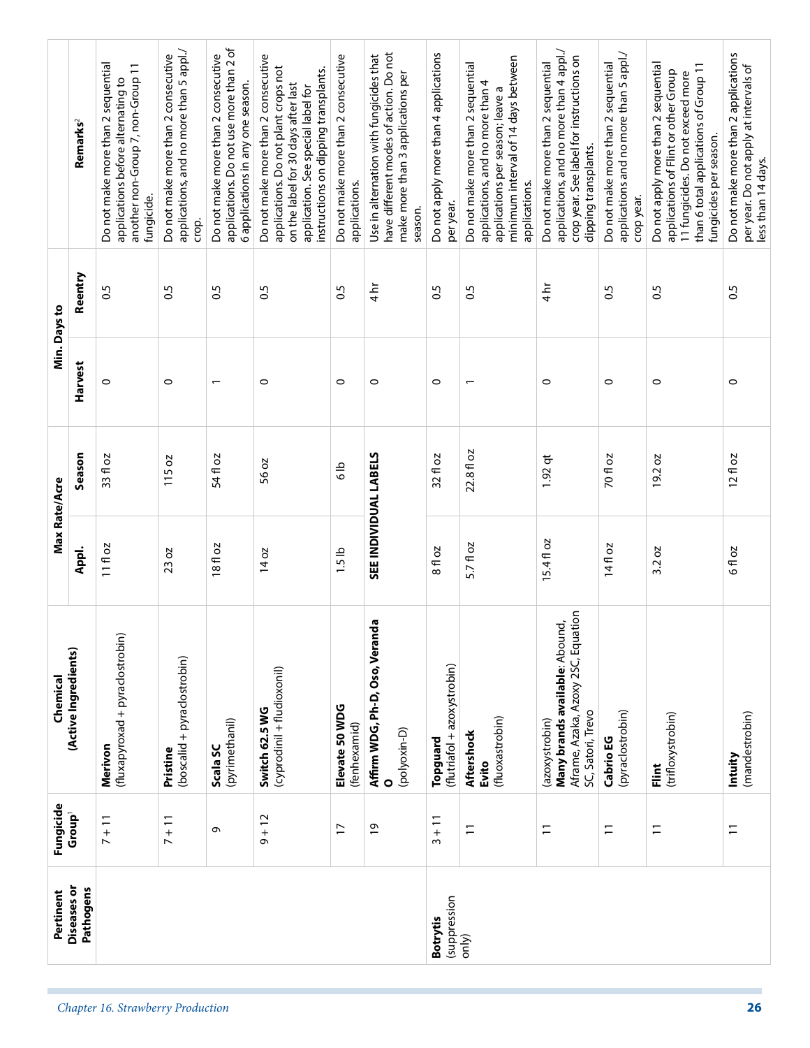|               | Remarks <sup>2</sup>     | Do not make more than 2 sequential<br>another non-Group 7, non-Group 11<br>applications before alternating to<br>fungicide. | applications, and no more than 5 appl./<br>Do not make more than 2 consecutive<br>crop. | applications. Do not use more than 2 of<br>Do not make more than 2 consecutive<br>6 applications in any one season. | Do not make more than 2 consecutive<br>applications. Do not plant crops not<br>instructions on dipping transplants.<br>on the label for 30 days after last<br>application. See special label for | Do not make more than 2 consecutive<br>applications. | have different modes of action. Do not<br>Use in alternation with fungicides that<br>make more than 3 applications per<br>season. | Do not apply more than 4 applications<br>per year. | minimum interval of 14 days between<br>Do not make more than 2 sequential<br>applications, and no more than 4<br>applications per season; leave a<br>applications. | applications, and no more than 4 appl./<br>crop year. See label for instructions on<br>Do not make more than 2 sequential<br>dipping transplants. | applications and no more than 5 appl./<br>Do not make more than 2 sequential<br>crop year. | Do not apply more than 2 sequential<br>than 6 total applications of Group 11<br>applications of Flint or other Group<br>11 fungicides. Do not exceed more<br>fungicides per season. | Do not make more than 2 applications<br>per year. Do not apply at intervals of<br>less than 14 days. |
|---------------|--------------------------|-----------------------------------------------------------------------------------------------------------------------------|-----------------------------------------------------------------------------------------|---------------------------------------------------------------------------------------------------------------------|--------------------------------------------------------------------------------------------------------------------------------------------------------------------------------------------------|------------------------------------------------------|-----------------------------------------------------------------------------------------------------------------------------------|----------------------------------------------------|--------------------------------------------------------------------------------------------------------------------------------------------------------------------|---------------------------------------------------------------------------------------------------------------------------------------------------|--------------------------------------------------------------------------------------------|-------------------------------------------------------------------------------------------------------------------------------------------------------------------------------------|------------------------------------------------------------------------------------------------------|
|               | Reentry                  | $\overline{0}$                                                                                                              | $\overline{0}$                                                                          | $\overline{0.5}$                                                                                                    | S.O                                                                                                                                                                                              | $\frac{5}{2}$                                        | $\frac{1}{4}$                                                                                                                     | $\overline{0}$                                     | $\overline{0}$                                                                                                                                                     | $\frac{1}{4}$                                                                                                                                     | $\overline{0}$                                                                             | 0.5                                                                                                                                                                                 | $\overline{0}$                                                                                       |
| Min. Days to  | Harvest                  | 0                                                                                                                           | $\circ$                                                                                 | $\overline{\phantom{0}}$                                                                                            | $\circ$                                                                                                                                                                                          | $\circ$                                              | $\circ$                                                                                                                           | $\circ$                                            | $\overline{ }$                                                                                                                                                     | $\circ$                                                                                                                                           | $\circ$                                                                                    | $\circ$                                                                                                                                                                             | 0                                                                                                    |
|               | Season                   | 33 fl oz                                                                                                                    | 115 oz                                                                                  | 54 fl oz                                                                                                            | 56 oz                                                                                                                                                                                            | $\frac{9}{6}$                                        |                                                                                                                                   | 32 fl oz                                           | 22.8 fl oz                                                                                                                                                         | $1.92$ qt                                                                                                                                         | 70 fl oz                                                                                   | 2O<br>19.2                                                                                                                                                                          | $12f$ oz                                                                                             |
| Max Rate/Acre | Appl.                    | 11 fl oz                                                                                                                    | 23 oz                                                                                   | 18fl oz                                                                                                             | 14 oz                                                                                                                                                                                            | 1.5 <sub>1</sub>                                     | <b>SEE INDIVIDUAL LABELS</b>                                                                                                      | 8 fl oz                                            | 5.7 fl oz                                                                                                                                                          | 15.4 fl oz                                                                                                                                        | 14fl oz                                                                                    | SO<br>3.2                                                                                                                                                                           | 6 fl oz                                                                                              |
| Chemical      | (Active Ingredients)     | (fluxapyroxad + pyraclostrobin)<br>Merivon                                                                                  | (boscalid + pyraclostrobin)<br>Pristine                                                 | (pyrimethanil)<br>Scala SC                                                                                          | (cyprodinil + fludioxonil)<br>Switch 62.5 WG                                                                                                                                                     | Elevate 50 WDG<br>(fenhexamid)                       | Affirm WDG, Ph-D, Oso, Veranda<br>(polyoxin-D)<br>$\circ$                                                                         | (flutriafol + azoxystrobin)<br>Topguard            | (fluoxastrobin)<br>Aftershock<br>Evito                                                                                                                             | Aframe, Azaka, Azoxy 2SC, Equation<br>Many brands available: Abound,<br>SC, Satori, Trevo<br>(azoxystrobin)                                       | (pyraclostrobin)<br>Cabrio EG                                                              | (trifloxystrobin)<br>Flint                                                                                                                                                          | (mandestrobin)<br>Intuity                                                                            |
| Fungicide     | Group <sup>1</sup>       | $7 + 11$                                                                                                                    | $7 + 11$                                                                                | $\sigma$                                                                                                            | $9 + 12$                                                                                                                                                                                         | $\overline{1}$                                       | $\overline{0}$                                                                                                                    | $3 + 11$                                           | $\Xi$                                                                                                                                                              | $\overline{1}$                                                                                                                                    | $\overline{1}$                                                                             | $\overline{1}$                                                                                                                                                                      | $\Xi$                                                                                                |
| Pertinent     | Diseases or<br>Pathogens |                                                                                                                             |                                                                                         |                                                                                                                     |                                                                                                                                                                                                  |                                                      |                                                                                                                                   | (suppression<br><b>Botrytis</b>                    | only)                                                                                                                                                              |                                                                                                                                                   |                                                                                            |                                                                                                                                                                                     |                                                                                                      |
|               |                          | Chapter 16. Strawberry Production                                                                                           |                                                                                         |                                                                                                                     |                                                                                                                                                                                                  |                                                      |                                                                                                                                   |                                                    |                                                                                                                                                                    |                                                                                                                                                   |                                                                                            |                                                                                                                                                                                     | 26                                                                                                   |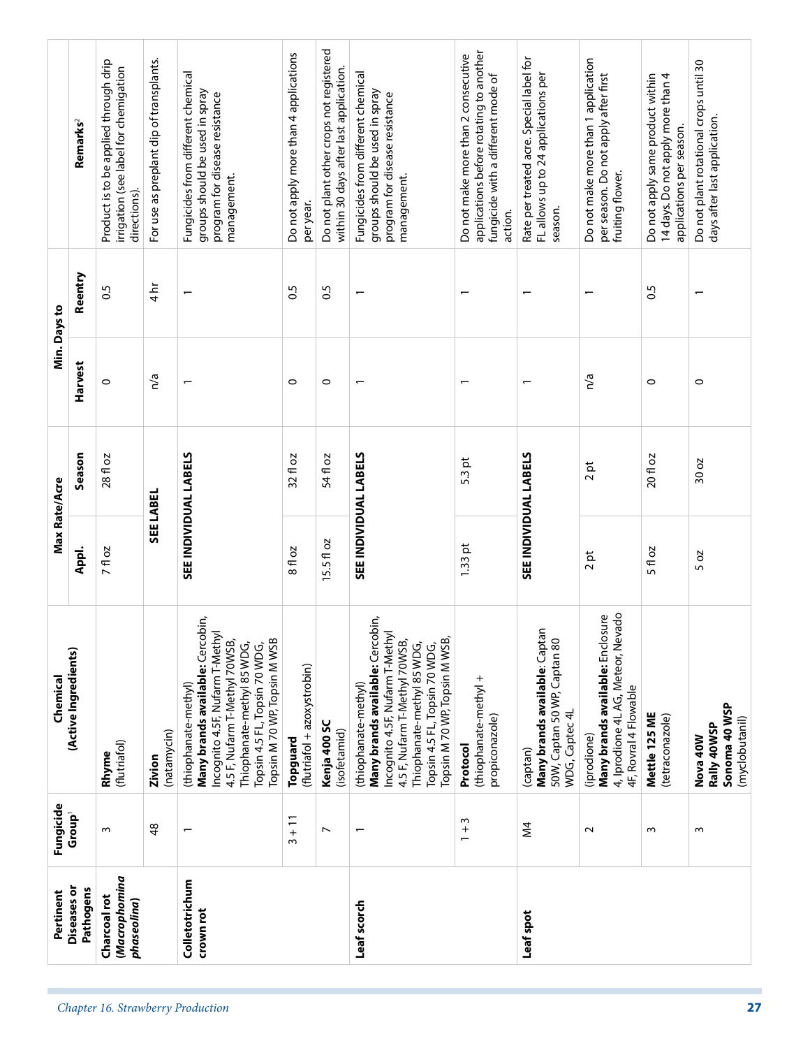|                                                                  | Pertinent                       | Fungicide                | Chemical                                                                                                                                                                                                                     | Max Rate/Acre         |          |         | Min. Days to             |                                                                                                                                 |
|------------------------------------------------------------------|---------------------------------|--------------------------|------------------------------------------------------------------------------------------------------------------------------------------------------------------------------------------------------------------------------|-----------------------|----------|---------|--------------------------|---------------------------------------------------------------------------------------------------------------------------------|
|                                                                  | <b>Diseases</b> or<br>Pathogens | Group <sup>1</sup>       | (Active Ingredients)                                                                                                                                                                                                         | Appl.                 | Season   | Harvest | Reentry                  | Remarks <sup>2</sup>                                                                                                            |
| Charcoal rot<br>phaseolina)                                      | (Macrophomina                   | $\sim$                   | (flutriafol)<br>Rhyme                                                                                                                                                                                                        | 7 fl oz               | 28 fl oz | $\circ$ | 0.5                      | Product is to be applied through drip<br>irrigation (see label for chemigation<br>directions).                                  |
|                                                                  |                                 | 48                       | (natamycin)<br>Zivion                                                                                                                                                                                                        | SEE LABEL             |          | n/a     | $4\overline{\text{hr}}$  | For use as preplant dip of transplants.                                                                                         |
| Colletotrichum<br>crown rot<br>Chapter 16. Strawberry Production |                                 | $\overline{\phantom{0}}$ | Many brands available: Cercobin,<br>Incognito 4.5F, Nufarm T-Methyl<br>Topsin M 70 WP, Topsin M WSB<br>4.5 F, Nufarm T-Methyl 70WSB,<br>Thiophanate-methyl 85 WDG,<br>Topsin 4.5 FL, Topsin 70 WDG,<br>(thiophanate-methyl)  | SEE INDIVIDUAL LABELS |          |         |                          | Fungicides from different chemical<br>groups should be used in spray<br>program for disease resistance<br>management.           |
|                                                                  |                                 | $3 + 11$                 | (flutriafol + azoxystrobin)<br>Topguard                                                                                                                                                                                      | 8 fl oz               | 32 fl oz | $\circ$ | 0.5                      | Do not apply more than 4 applications<br>per year.                                                                              |
|                                                                  |                                 | $\overline{ }$           | Kenja 400 SC<br>(isofetamid)                                                                                                                                                                                                 | 15.5 fl oz            | 54 fl oz | $\circ$ | 0.5                      | Do not plant other crops not registered<br>within 30 days after last application.                                               |
| Leaf scorch                                                      |                                 | $\overline{\phantom{0}}$ | Many brands available: Cercobin,<br>Incognito 4.5F, Nufarm T-Methyl<br>Topsin M 70 WP, Topsin M WSB,<br>4.5 F, Nufarm T-Methyl 70WSB,<br>Thiophanate-methyl 85 WDG,<br>Topsin 4.5 FL, Topsin 70 WDG,<br>(thiophanate-methyl) | SEE INDIVIDUAL LABELS |          |         | $\overline{\phantom{0}}$ | Fungicides from different chemical<br>groups should be used in spray<br>program for disease resistance<br>management.           |
|                                                                  |                                 | $1 + 3$                  | (thiophanate-methyl +<br>propiconazole)<br>Protocol                                                                                                                                                                          | $1.33$ pt             | $5.3$ pt |         |                          | applications before rotating to another<br>Do not make more than 2 consecutive<br>fungicide with a different mode of<br>action. |
| Leaf spot                                                        |                                 | $\geq$                   | Many brands available: Captar<br>50W, Captan 50 WP, Captan 80<br>WDG, Captec 4L<br>(captan)                                                                                                                                  | SEE INDIVIDUAL LABELS |          |         |                          | Rate per treated acre. Special label for<br>FL allows up to 24 applications per<br>season.                                      |
|                                                                  |                                 | $\sim$                   | 4, Iprodione 4L AG, Meteor, Nevado<br>Many brands available: Enclosure<br>4F, Rovral 4 Flowable<br>(iprodione)                                                                                                               | ħ<br>$\sim$           | 2pt      | n/a     |                          | Do not make more than 1 application<br>per season. Do not apply after first<br>fruiting flower.                                 |
|                                                                  |                                 | $\sim$                   | Mettle 125 ME<br>(tetraconazole)                                                                                                                                                                                             | 5 fl oz               | 20 fl oz | $\circ$ | 0.5                      | 14 days. Do not apply more than 4<br>Do not apply same product within<br>applications per season.                               |
| 27                                                               |                                 | $\sim$                   | Sonoma 40 WSP<br>(myclobutanil)<br>Rally 40WSP<br><b>Nova 40W</b>                                                                                                                                                            | 5 0 2                 | 30 oz    | $\circ$ |                          | Do not plant rotational crops until 30<br>days after last application.                                                          |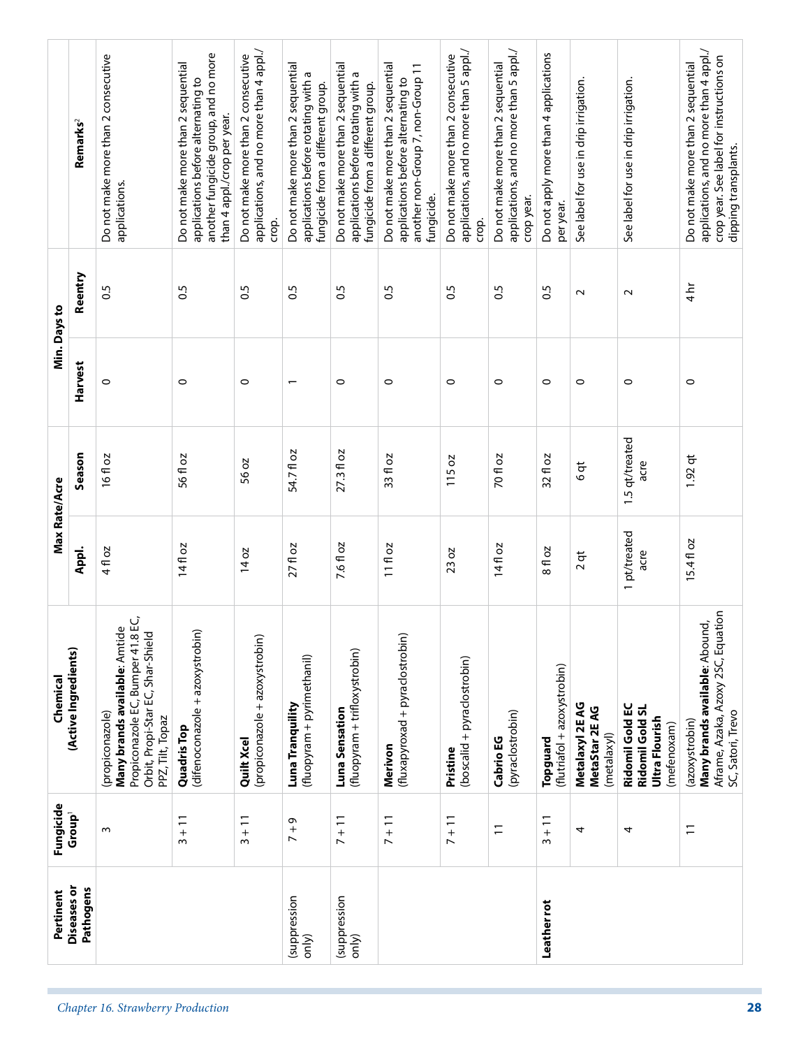| <b>Diseases</b> or    | Fungicide          | Chemical                                                                                                                                                   | Max Rate/Acre        |                        |                          | Min. Days to     |                                                                                                                                                   |
|-----------------------|--------------------|------------------------------------------------------------------------------------------------------------------------------------------------------------|----------------------|------------------------|--------------------------|------------------|---------------------------------------------------------------------------------------------------------------------------------------------------|
| Pathogens             | Group <sup>1</sup> | (Active Ingredients)                                                                                                                                       | Appl.                | Season                 | Harvest                  | Reentry          | Remarks <sup>2</sup>                                                                                                                              |
|                       | $\sim$             | (propiconazure,<br><b>Many brands available</b> : Amtide<br><b>Many brands available</b> : Amtide<br>Orbit, Propi-Star EC, Shar-Shield<br>PPZ, Tilt, Topaz | 4 fl oz              | 16fl oz                | $\circ$                  | $\overline{0}$   | Do not make more than 2 consecutive<br>applications.                                                                                              |
|                       | $3 + 11$           | (difenoconazole + azoxystrobin)<br><b>Quadris Top</b>                                                                                                      | 14fl oz              | 56 fl oz               | $\circ$                  | 0.5              | another fungicide group, and no more<br>Do not make more than 2 sequential<br>applications before alternating to<br>than 4 appl./crop per year.   |
|                       | $3 + 11$           | (propiconazole + azoxystrobin)<br>Quilt Xcel                                                                                                               | $14$ oz              | 56 oz                  | $\circ$                  | $\overline{0}$   | applications, and no more than 4 appl./<br>Do not make more than 2 consecutive<br>crop.                                                           |
| (suppression<br>only) | Ō<br>$\frac{1}{2}$ | (fluopyram + pyrimethanil)<br>Luna Tranquility                                                                                                             | $27f$ l oz           | 54.7 fl oz             | $\overline{\phantom{0}}$ | 0.5              | Do not make more than 2 sequential<br>applications before rotating with a<br>fungicide from a different group.                                    |
| (suppression<br>only) | $7 + 11$           | (fluopyram + trifloxystrobin)<br>Luna Sensation                                                                                                            | 7.6 fl oz            | 27.3 fl oz             | $\circ$                  | $\overline{0.5}$ | Do not make more than 2 sequential<br>applications before rotating with a<br>fungicide from a different group.                                    |
|                       | $7 + 11$           | (fluxapyroxad + pyraclostrobin)<br>Merivon                                                                                                                 | $11f$ oz             | 33 fl oz               | $\circ$                  | $\overline{0}$   | Do not make more than 2 sequential<br>another non-Group 7, non-Group 11<br>applications before alternating to<br>fungicide.                       |
|                       | $7 + 11$           | (boscalid + pyraclostrobin)<br>Pristine                                                                                                                    | 23 oz                | 115 oz                 | $\circ$                  | 0.5              | applications, and no more than 5 appl./<br>Do not make more than 2 consecutive<br>crop.                                                           |
|                       | $\overline{1}$     | (pyraclostrobin)<br>Cabrio EG                                                                                                                              | 14fl oz              | <b>70 fl oz</b>        | $\circ$                  | $\overline{0}$   | applications, and no more than 5 appl./<br>Do not make more than 2 sequential<br>crop year.                                                       |
| Leather rot           | $3 + 11$           | (flutriafol + azoxystrobin)<br>Topguard                                                                                                                    | 8 fl oz              | 32 fl oz               | $\circ$                  | $\overline{0.5}$ | Do not apply more than 4 applications<br>per year.                                                                                                |
|                       | 4                  | Metalaxyl 2E AG<br>MetaStar 2E AG<br>(metalaxyl)                                                                                                           | $2$ qt               | $6$ qt                 | $\circ$                  | $\sim$           | See label for use in drip irrigation.                                                                                                             |
|                       | 4                  | Ridomil Gold EC<br>Ridomil Gold SL<br>Ultra Flourish<br>(mefenoxam)                                                                                        | 1 pt/treated<br>acre | 1.5 qt/treated<br>acre | $\circ$                  | $\sim$           | See label for use in drip irrigation.                                                                                                             |
|                       | $\overline{1}$     | Aframe, Azaka, Azoxy 2SC, Equation<br>Many brands available: Abound,<br>SC, Satori, Trevo<br>(azoxystrobin)                                                | 15.4 fl oz           | $1.92$ qt              | $\circ$                  | $\frac{1}{4}$    | applications, and no more than 4 appl./<br>crop year. See label for instructions on<br>Do not make more than 2 sequential<br>dipping transplants. |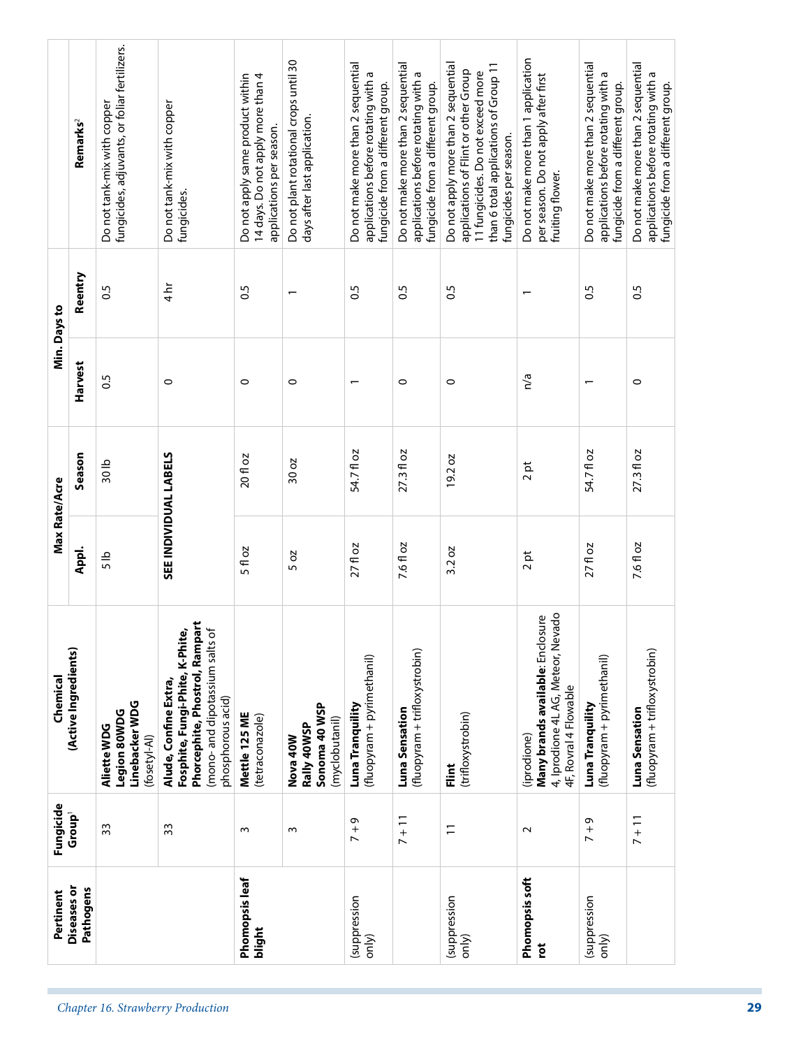| Do not make more than 1 application<br>Do not make more than 2 sequential<br>Do not make more than 2 sequential<br>Do not apply more than 2 sequential<br>Do not make more than 2 sequential<br>than 6 total applications of Group 11<br>applications of Flint or other Group<br>11 fungicides. Do not exceed more<br>applications before rotating with a<br>per season. Do not apply after first<br>applications before rotating with a<br>fungicide from a different group.<br>fungicide from a different group.<br>fungicide from a different group.<br>fungicides per season.<br>fruiting flower.<br>0.5<br>$\overline{0}$<br>0.5<br>$\overline{0}$<br>n/a<br>$\circ$<br>$\circ$<br>0<br>$\overline{\phantom{0}}$<br>27.3 fl oz<br>54.7 fl oz<br>$27.3 f$ oz<br>$19.2 \text{ oz}$<br>$\overline{p}$<br>$\sim$<br>7.6 fl oz<br>7.6 fl oz<br>$27f$ l oz<br>3.2 oz<br>ħ<br>$\sim$<br>4, Iprodione 4L AG, Meteor, Nevado<br>Many brands available: Enclosure<br>(fluopyram + trifloxystrobin)<br>(fluopyram + pyrimethanil)<br>4F, Rovral 4 Flowable<br>Luna Tranquility<br>Luna Sensation<br>Luna Sensation<br>(trifloxystrobin)<br>(iprodione)<br>int<br>Ein<br>$7 + 11$<br>$7 + 11$<br>Q<br>$\Xi$<br>$\frac{1}{2}$<br>$\sim$<br>Phomopsis soft<br>(suppression<br>(suppression<br>only)<br>only)<br>č | applications before rotating with a<br>0.5<br>$\overline{ }$<br>54.71 oz<br>$27f$ l oz<br>(fluopyram + pyrimethanil)<br>Luna Tranquility<br>$7 + 9$<br>(suppression<br>only) | Do not plant rotational crops until 30<br>days after last application.<br>$\overline{\phantom{0}}$<br>$\circ$<br>30 oz<br>5 oz<br>Sonoma 40 WSP<br>(myclobutanil)<br>Rally 40WSP<br>Nova 40W<br>$\sim$ | Do not apply same product within<br>14 days. Do not apply more than 4<br>Do not tank-mix with copper<br>Do not tank-mix with copper<br>Remarks <sup>2</sup><br>applications per season.<br>fungicides. | Reentry<br>$4 h$ r<br>0.5<br>$\frac{5}{2}$ | Min. Days to<br>Harvest<br>C5<br>$\circ$<br>$\circ$ | Season<br>20 fl oz<br>30lb | Max Rate/Acre<br>5 fl oz<br>Appl.<br>$\frac{5}{5}$ | <b>Fosphite, Fungi-Phite, K-Phite,<br/>Phorcephite, Phostrol, Rampart</b><br>(mono- and dipotassium salts of<br>(Active Ingredients)<br>Chemical<br>Alude, Confine Extra,<br>phosphorous acid)<br>Linebacker WDG<br>Legion 80WDG<br>Mettle 125 ME<br>(tetraconazole)<br>Aliette WDG<br>(fosetyl-Al) | Fungicide<br>Group <sup>1</sup><br>33<br>33<br>$\sim$ | Phomopsis leaf<br><b>Diseases</b> or<br>Pathogens<br>Pertinent<br>blight |
|----------------------------------------------------------------------------------------------------------------------------------------------------------------------------------------------------------------------------------------------------------------------------------------------------------------------------------------------------------------------------------------------------------------------------------------------------------------------------------------------------------------------------------------------------------------------------------------------------------------------------------------------------------------------------------------------------------------------------------------------------------------------------------------------------------------------------------------------------------------------------------------------------------------------------------------------------------------------------------------------------------------------------------------------------------------------------------------------------------------------------------------------------------------------------------------------------------------------------------------------------------------------------------------------------------|------------------------------------------------------------------------------------------------------------------------------------------------------------------------------|--------------------------------------------------------------------------------------------------------------------------------------------------------------------------------------------------------|--------------------------------------------------------------------------------------------------------------------------------------------------------------------------------------------------------|--------------------------------------------|-----------------------------------------------------|----------------------------|----------------------------------------------------|-----------------------------------------------------------------------------------------------------------------------------------------------------------------------------------------------------------------------------------------------------------------------------------------------------|-------------------------------------------------------|--------------------------------------------------------------------------|
| applications before rotating with a<br>(fluopyram + trifloxystrobin)                                                                                                                                                                                                                                                                                                                                                                                                                                                                                                                                                                                                                                                                                                                                                                                                                                                                                                                                                                                                                                                                                                                                                                                                                                     |                                                                                                                                                                              |                                                                                                                                                                                                        | fungicide from a different group.                                                                                                                                                                      |                                            |                                                     |                            |                                                    |                                                                                                                                                                                                                                                                                                     |                                                       |                                                                          |
| Do not make more than 2 sequential                                                                                                                                                                                                                                                                                                                                                                                                                                                                                                                                                                                                                                                                                                                                                                                                                                                                                                                                                                                                                                                                                                                                                                                                                                                                       |                                                                                                                                                                              |                                                                                                                                                                                                        |                                                                                                                                                                                                        |                                            |                                                     |                            |                                                    |                                                                                                                                                                                                                                                                                                     |                                                       |                                                                          |
|                                                                                                                                                                                                                                                                                                                                                                                                                                                                                                                                                                                                                                                                                                                                                                                                                                                                                                                                                                                                                                                                                                                                                                                                                                                                                                          |                                                                                                                                                                              |                                                                                                                                                                                                        |                                                                                                                                                                                                        |                                            |                                                     |                            |                                                    |                                                                                                                                                                                                                                                                                                     |                                                       |                                                                          |
| SEE INDIVIDUAL LABELS                                                                                                                                                                                                                                                                                                                                                                                                                                                                                                                                                                                                                                                                                                                                                                                                                                                                                                                                                                                                                                                                                                                                                                                                                                                                                    |                                                                                                                                                                              |                                                                                                                                                                                                        |                                                                                                                                                                                                        |                                            |                                                     |                            |                                                    |                                                                                                                                                                                                                                                                                                     |                                                       |                                                                          |
| fungicides, adjuvants, or foliar fertilizers.                                                                                                                                                                                                                                                                                                                                                                                                                                                                                                                                                                                                                                                                                                                                                                                                                                                                                                                                                                                                                                                                                                                                                                                                                                                            |                                                                                                                                                                              |                                                                                                                                                                                                        |                                                                                                                                                                                                        |                                            |                                                     |                            |                                                    |                                                                                                                                                                                                                                                                                                     |                                                       |                                                                          |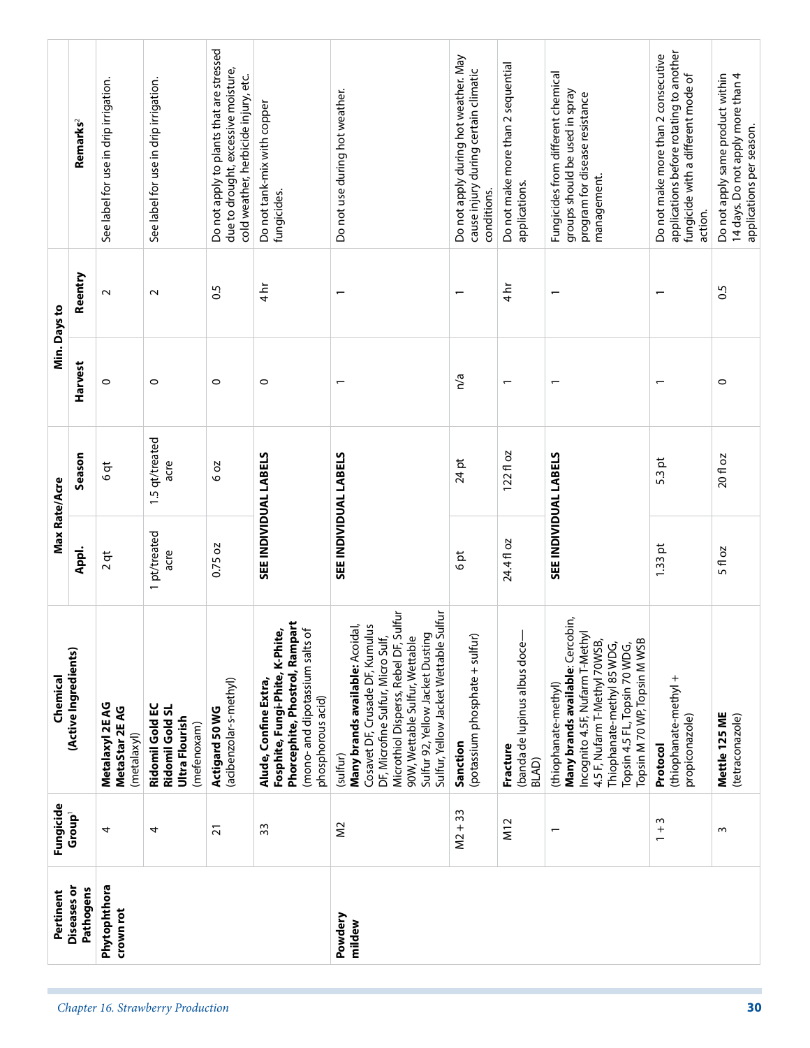| <b>Diseases</b> or<br>Pathogens<br>Pertinent | Fungicide<br>Group <sup>1</sup> | (Active Ingredients)<br>Chemical                                                                                                                                                                                                                                                   | Max Rate/Acre<br>Appl.       | Season                 | Harvest                  | Reentry<br>Min. Days to  | Remarks <sup>2</sup>                                                                                                            |
|----------------------------------------------|---------------------------------|------------------------------------------------------------------------------------------------------------------------------------------------------------------------------------------------------------------------------------------------------------------------------------|------------------------------|------------------------|--------------------------|--------------------------|---------------------------------------------------------------------------------------------------------------------------------|
|                                              | 4                               | Metalaxyl 2E AG<br>MetaStar 2E AG<br>(metalaxyl)                                                                                                                                                                                                                                   | $2$ qt                       | $6$ qt                 | 0                        | $\sim$                   | See label for use in drip irrigation.                                                                                           |
|                                              | 4                               | Ridomil Gold EC<br>Ridomil Gold SL<br>Ultra Flourish<br>(mefenoxam)                                                                                                                                                                                                                | 1 pt/treated<br>acre         | 1.5 qt/treated<br>acre | $\circ$                  | $\sim$                   | See label for use in drip irrigation.                                                                                           |
|                                              | $\overline{21}$                 | (acibenzolar-s-methyl)<br>Actigard 50 WG                                                                                                                                                                                                                                           | 0.75 oz                      | 602                    | $\circ$                  | 0.5                      | Do not apply to plants that are stressed<br>due to drought, excessive moisture,<br>cold weather, herbicide injury, etc.         |
|                                              | 33                              | Phorcephite, Phostrol, Rampart<br>Fosphite, Fungi-Phite, K-Phite,<br>(mono- and dipotassium salts of<br>Alude, Confine Extra,<br>phosphorous acid)                                                                                                                                 | SEE INDIVIDUAL LABELS        |                        | $\circ$                  | $4\,\mathrm{hr}$         | Do not tank-mix with copper<br>fungicides.                                                                                      |
|                                              | $\approx$                       | Microthiol Disperss, Rebel DF, Sulfur<br>Sulfur, Yellow Jacket Wettable Sulfur<br><b>Many brands available:</b> Acoidal,<br>Cosavet DF, Crusade DF, Kumulus<br>Sulfur 92, Yellow Jacket Dusting<br>DF, Microfine Sulfur, Micro Sulf,<br>90W, Wettable Sulfur, Wettable<br>(sulfur) | <b>SEE INDIVIDUAL LABELS</b> |                        | $\overline{\phantom{0}}$ | $\overline{\phantom{0}}$ | Do not use during hot weather.                                                                                                  |
|                                              | $M2 + 33$                       | (potassium phosphate + sulfur)<br>Sanction                                                                                                                                                                                                                                         | ħ<br>O                       | $24$ pt                | n/a                      | $\overline{\phantom{0}}$ | Do not apply during hot weather. May<br>cause injury during certain climatic<br>conditions.                                     |
|                                              | M12                             | (banda de lupinus albus doce-<br>Fracture<br><b>BLAD</b>                                                                                                                                                                                                                           | 24.4fl oz                    | $122f$ l oz            |                          | $\frac{1}{4}$            | Do not make more than 2 sequential<br>applications.                                                                             |
|                                              | $\overline{\phantom{0}}$        | Many brands available: Cercobin,<br>Incognito 4.5F, Nufarm T-Methyl<br>Topsin M 70 WP, Topsin M WSB<br>4.5 F, Nufarm T-Methyl 70WSB,<br>Thiophanate-methyl 85 WDG,<br>Topsin 4.5 FL, Topsin 70 WDG,<br>(thiophanate-methyl)                                                        | <b>SEE INDIVIDUAL LABELS</b> |                        |                          | $\overline{ }$           | Fungicides from different chemical<br>groups should be used in spray<br>program for disease resistance<br>management.           |
|                                              | ω<br>$\frac{+}{-}$              | (thiophanate-methyl +<br>propiconazole)<br>Protocol                                                                                                                                                                                                                                | $1.33$ pt                    | $5.3$ pt               |                          |                          | applications before rotating to another<br>Do not make more than 2 consecutive<br>fungicide with a different mode of<br>action. |
|                                              | S                               | Mettle 125 ME<br>(tetraconazole)                                                                                                                                                                                                                                                   | 5 fl oz                      | 20 fl oz               | $\circ$                  | $\frac{5}{2}$            | Do not apply same product within<br>14 days. Do not apply more than 4<br>applications per season.                               |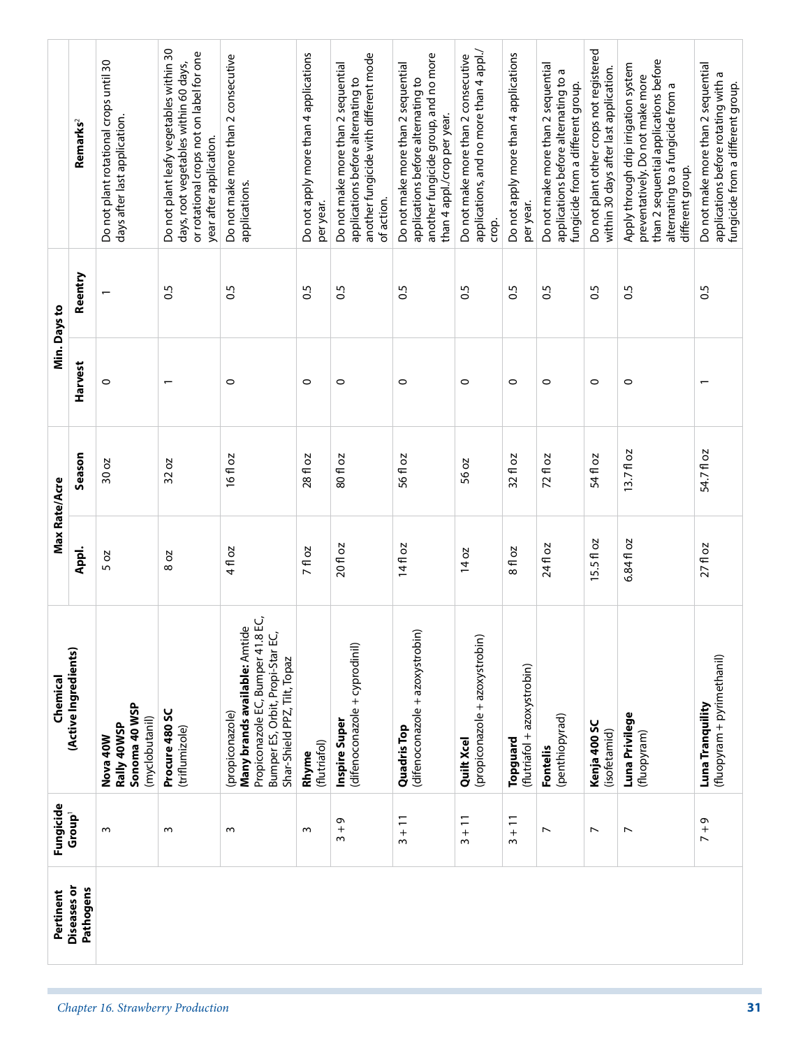|               | Remarks <sup>2</sup><br>Reentry | Do not plant rotational crops until 30<br>days after last application. | Do not plant leafy vegetables within 30<br>or rotational crops not on label for one<br>days, root vegetables within 60 days,<br>year after application.<br>$\overline{0}$ | Do not make more than 2 consecutive<br>applications.<br>0.5                                                                                                         | Do not apply more than 4 applications<br>per year.<br>$\overline{0}$ | another fungicide with different mode<br>Do not make more than 2 sequential<br>applications before alternating to<br>of action.<br>0.5 | another fungicide group, and no more<br>Do not make more than 2 sequential<br>applications before alternating to<br>than 4 appl./crop per year.<br>0.5 | applications, and no more than 4 appl./<br>Do not make more than 2 consecutive<br>crop.<br>$\overline{0}$ | Do not apply more than 4 applications<br>per year.<br>$\overline{0}$ | Do not make more than 2 sequential<br>applications before alternating to a<br>fungicide from a different group.<br>$\frac{5}{2}$ | Do not plant other crops not registered<br>within 30 days after last application.<br>$\frac{5}{2}$ | than 2 sequential applications before<br>Apply through drip irrigation system<br>preventatively. Do not make more<br>alternating to a fungicide from a<br>different group.<br>0.5 | Do not make more than 2 sequential<br>applications before rotating with a<br>0.5 |
|---------------|---------------------------------|------------------------------------------------------------------------|---------------------------------------------------------------------------------------------------------------------------------------------------------------------------|---------------------------------------------------------------------------------------------------------------------------------------------------------------------|----------------------------------------------------------------------|----------------------------------------------------------------------------------------------------------------------------------------|--------------------------------------------------------------------------------------------------------------------------------------------------------|-----------------------------------------------------------------------------------------------------------|----------------------------------------------------------------------|----------------------------------------------------------------------------------------------------------------------------------|----------------------------------------------------------------------------------------------------|-----------------------------------------------------------------------------------------------------------------------------------------------------------------------------------|----------------------------------------------------------------------------------|
| Min. Days to  | Harvest                         | $\circ$                                                                |                                                                                                                                                                           | $\circ$                                                                                                                                                             | $\circ$                                                              | $\circ$                                                                                                                                | $\circ$                                                                                                                                                | $\circ$                                                                                                   | $\circ$                                                              | $\circ$                                                                                                                          | $\circ$                                                                                            | $\circ$                                                                                                                                                                           |                                                                                  |
|               | Season                          | 30 oz                                                                  | 32 oz                                                                                                                                                                     | $16f$ oz                                                                                                                                                            | 28 fl oz                                                             | 80 fl oz                                                                                                                               | 56 fl oz                                                                                                                                               | 56 oz                                                                                                     | 32 fl oz                                                             | 72 fl oz                                                                                                                         | 54 fl oz                                                                                           | 13.7fl oz                                                                                                                                                                         | 54.7 fl oz                                                                       |
| Max Rate/Acre | Appl.                           | 5 oz                                                                   | 802                                                                                                                                                                       | 4 fl oz                                                                                                                                                             | 7 fl oz                                                              | 20 fl oz                                                                                                                               | 14fl oz                                                                                                                                                | 14 oz                                                                                                     | 8 fl oz                                                              | 24 fl oz                                                                                                                         | õ<br>15.5f1                                                                                        | 6.84 fl oz                                                                                                                                                                        | $27f$ l oz                                                                       |
| Chemical      | (Active Ingredients)            | Sonoma 40 WSP<br>(myclobutanil)<br>Rally 40WSP<br><b>Nova 40W</b>      | Procure 480 SC<br>(triflumizole)                                                                                                                                          | (propiconazure,<br><b>Many brands available:</b> Amtide<br><b>Many brands available:</b> Amtide<br>Bumper ES, Orbit, Propi-Star EC,<br>Shar-Shield PPZ, Tilt, Topaz | (flutriafol)<br>Rhyme                                                | (difenoconazole + cyprodinil)<br>Inspire Super                                                                                         | (difenoconazole + azoxystrobin)<br><b>Quadris Top</b>                                                                                                  | (propiconazole + azoxystrobin)<br>Quilt Xcel                                                              | (flutriafol + azoxystrobin)<br>Topguard                              | (penthiopyrad)<br>Fontelis                                                                                                       | Kenja 400 SC<br>(isofetamid)                                                                       | Luna Privilege<br>(fluopyram)                                                                                                                                                     | (fluopyram + pyrimethanil)<br>Luna Tranquility                                   |
| Fungicide     | Group <sup>1</sup>              | $\sim$                                                                 | $\sim$                                                                                                                                                                    | $\sim$                                                                                                                                                              | S                                                                    | $3 + 9$                                                                                                                                | $3 + 11$                                                                                                                                               | $3 + 11$                                                                                                  | $3 + 11$                                                             | $\overline{\phantom{0}}$                                                                                                         | $\overline{\phantom{a}}$                                                                           | $\overline{\phantom{a}}$                                                                                                                                                          | ō<br>$\frac{1}{2}$                                                               |
| Pertinent     | <b>Diseases</b> or<br>Pathogens |                                                                        |                                                                                                                                                                           |                                                                                                                                                                     |                                                                      |                                                                                                                                        |                                                                                                                                                        |                                                                                                           |                                                                      |                                                                                                                                  |                                                                                                    |                                                                                                                                                                                   |                                                                                  |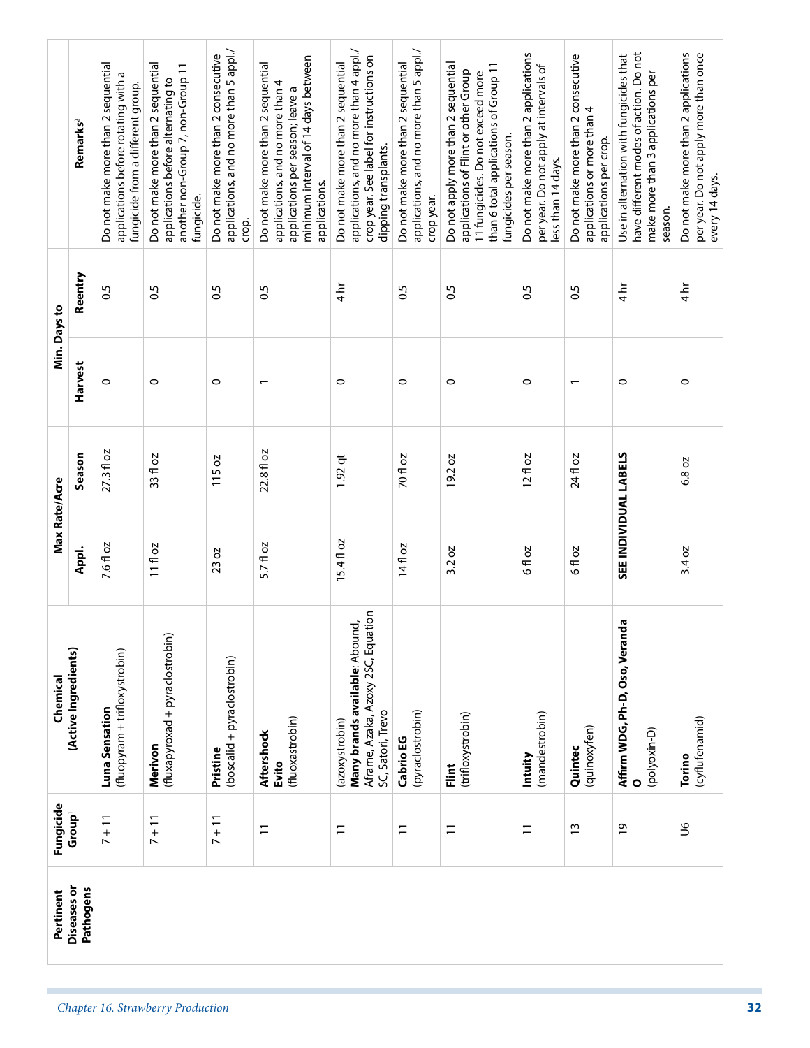|               | Remarks <sup>2</sup>            | Do not make more than 2 sequential<br>applications before rotating with a<br>fungicide from a different group. | Do not make more than 2 sequential<br>another non-Group 7, non-Group 11<br>applications before alternating to<br>fungicide. | applications, and no more than 5 appl./<br>Do not make more than 2 consecutive<br>crop. | minimum interval of 14 days between<br>Do not make more than 2 sequential<br>applications, and no more than 4<br>applications per season; leave a<br>applications. | applications, and no more than 4 appl./<br>crop year. See label for instructions on<br>Do not make more than 2 sequential<br>dipping transplants. | applications, and no more than 5 appl./<br>Do not make more than 2 sequential<br>crop year. | Do not apply more than 2 sequential<br>than 6 total applications of Group 11<br>applications of Flint or other Group<br>11 fungicides. Do not exceed more<br>fungicides per season. | Do not make more than 2 applications<br>per year. Do not apply at intervals of<br>less than 14 days. | Do not make more than 2 consecutive<br>applications or more than 4<br>applications per crop. | have different modes of action. Do not<br>Use in alternation with fungicides that<br>make more than 3 applications per<br>season. | Do not make more than 2 applications<br>per year. Do not apply more than once<br>every 14 days. |
|---------------|---------------------------------|----------------------------------------------------------------------------------------------------------------|-----------------------------------------------------------------------------------------------------------------------------|-----------------------------------------------------------------------------------------|--------------------------------------------------------------------------------------------------------------------------------------------------------------------|---------------------------------------------------------------------------------------------------------------------------------------------------|---------------------------------------------------------------------------------------------|-------------------------------------------------------------------------------------------------------------------------------------------------------------------------------------|------------------------------------------------------------------------------------------------------|----------------------------------------------------------------------------------------------|-----------------------------------------------------------------------------------------------------------------------------------|-------------------------------------------------------------------------------------------------|
|               | Reentry                         | 0.5                                                                                                            | $\overline{0}$                                                                                                              | $\overline{0}$                                                                          | 0.5                                                                                                                                                                | $4\overline{\hbar}$                                                                                                                               | $\overline{0}$                                                                              | 0.5                                                                                                                                                                                 | 0.5                                                                                                  | $\overline{0}$                                                                               | $4\overline{\hbar}$                                                                                                               | $4 h$ r                                                                                         |
| Min. Days to  | Harvest                         | $\circ$                                                                                                        | $\circ$                                                                                                                     | $\circ$                                                                                 | $\overline{ }$                                                                                                                                                     | $\circ$                                                                                                                                           | $\circ$                                                                                     | 0                                                                                                                                                                                   | $\circ$                                                                                              | $\overline{\phantom{0}}$                                                                     | $\circ$                                                                                                                           | $\circ$                                                                                         |
|               | Season                          | $27.3 f$ oz                                                                                                    | 20<br>33f1                                                                                                                  | 115 oz                                                                                  | 22.8 fl oz                                                                                                                                                         | $1.92$ qt                                                                                                                                         | <b>70 fl oz</b>                                                                             | SO<br>19.2                                                                                                                                                                          | $12f$ oz                                                                                             | 24 fl oz                                                                                     |                                                                                                                                   | 6.8 oz                                                                                          |
| Max Rate/Acre | Appl.                           | 7.6 fl oz                                                                                                      | 11 fl oz                                                                                                                    | 23 oz                                                                                   | 5.7 fl oz                                                                                                                                                          | 15.4fl oz                                                                                                                                         | 14fl oz                                                                                     | 3.2 oz                                                                                                                                                                              | 6 fl oz                                                                                              | 6 fl oz                                                                                      | SEE INDIVIDUAL LABELS                                                                                                             | 3.4 oz                                                                                          |
| Chemical      | (Active Ingredients)            | (fluopyram + trifloxystrobin)<br>Luna Sensation                                                                | (fluxapyroxad + pyraclostrobin)<br>Merivon                                                                                  | (boscalid + pyraclostrobin)<br>Pristine                                                 | (fluoxastrobin)<br>Aftershock<br>Evito                                                                                                                             | Aframe, Azaka, Azoxy 2SC, Equation<br>Many brands available: Abound,<br>SC, Satori, Trevo<br>(azoxystrobin)                                       | (pyraclostrobin)<br>Cabrio EG                                                               | (trifloxystrobin)<br>Flint                                                                                                                                                          | (mandestrobin)<br>Intuity                                                                            | (quinoxyfen)<br>Quintec                                                                      | Affirm WDG, Ph-D, Oso, Veranda<br>(polyoxin-D)<br>$\circ$                                                                         | (cyflufenamid)<br>Torino                                                                        |
| Fungicide     | Group <sup>1</sup>              | $7 + 11$                                                                                                       | $7 + 11$                                                                                                                    | $7 + 11$                                                                                | $\overline{1}$                                                                                                                                                     | $\overline{1}$                                                                                                                                    | $\overline{1}$                                                                              | $\Xi$                                                                                                                                                                               | $\overline{1}$                                                                                       | $\frac{1}{2}$                                                                                | $\overline{6}$                                                                                                                    | ى                                                                                               |
| Pertinent     | <b>Diseases</b> or<br>Pathogens |                                                                                                                |                                                                                                                             |                                                                                         |                                                                                                                                                                    |                                                                                                                                                   |                                                                                             |                                                                                                                                                                                     |                                                                                                      |                                                                                              |                                                                                                                                   |                                                                                                 |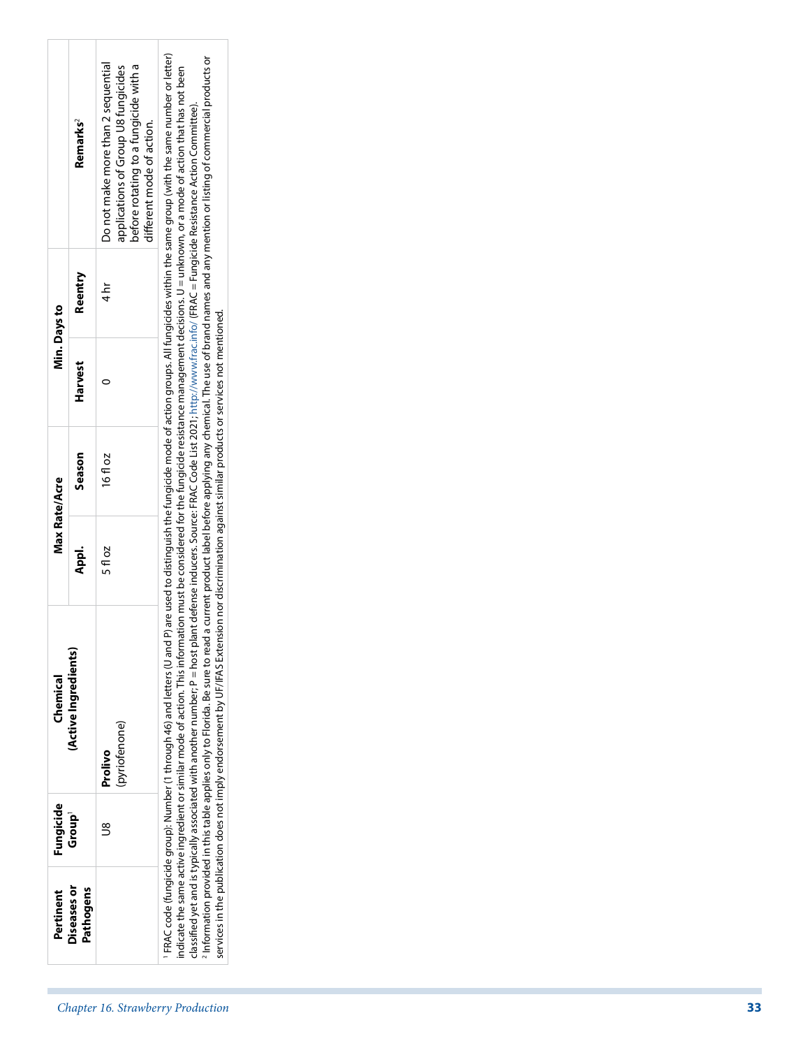| Diseases or<br>Pathogens<br>Pertinent |                                                                                                                                                 |
|---------------------------------------|-------------------------------------------------------------------------------------------------------------------------------------------------|
|                                       |                                                                                                                                                 |
| Fungicide<br>Group <sup>1</sup>       | $\mathbb{S}$                                                                                                                                    |
| (Active Ingredients)<br>Chemical      | (pyriofenone)<br>Prolivo                                                                                                                        |
| Max Rate/Acre<br>Appl.                | 5 fl oz                                                                                                                                         |
| Season                                | 16fl oz                                                                                                                                         |
| Harvest                               | $\circ$                                                                                                                                         |
| Reentry<br>Min. Days to               | $4 h$ r                                                                                                                                         |
| Remarks <sup>2</sup>                  | Do not make more than 2 sequential<br>before rotating to a fungicide with a<br>applications of Group U8 fungicides<br>different mode of action. |